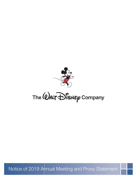

The WALT Disney Company

Notice of 2019 Annual Meeting and Proxy Statement

21DEC201818181737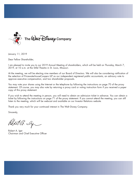

January 11, 2019

Dear Fellow Shareholder,

I am pleased to invite you to our 2019 Annual Meeting of shareholders, which will be held on Thursday, March 7, 2019, at 10 a.m. at the Stifel Theatre in St. Louis, Missouri.

21DEC201818175107

21DEC201818175107

At the meeting, we will be electing nine members of our Board of Directors. We will also be considering ratification of the selection of PricewaterhouseCoopers LLP as our independent registered public accountants, an advisory vote to approve executive compensation, and two shareholder proposals.

You may vote your shares using the Internet or the telephone by following the instructions on page 70 of the proxy statement. Of course, you may also vote by returning a proxy card or voting instruction form if you received a paper copy of this proxy statement.

If you wish to attend the meeting in person, you will need to obtain an admission ticket in advance. You can obtain a ticket by following the instructions on page 71 of the proxy statement. If you cannot attend the meeting, you can still listen to the meeting, which will be webcast and available on our Investor Relations website.

Thank you very much for your continued interest in The Walt Disney Company.

Sincerely,

Robert G. Sy

Robert A. Iger Chairman and Chief Executive Officer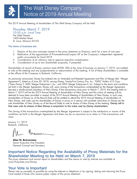# The Walt Disney Company Notice of 2019 Annual Meeting

The 2019 Annual Meeting of shareholders of The Walt Disney Company will be held:

The Stifel Theatre 1400 Market Street St. Louis, Missouri 63103 Thursday, March 7, 2019 10:00 a.m. Local Time

#### **The items of business are:**

- 1. Election of the nine nominees named in the proxy statement as Directors, each for a term of one year.
- 2. Ratification of the appointment of PricewaterhouseCoopers LLP as the Company's independent registered public accountants for fiscal 2019.

21DEC201818175477

- 3. Consideration of an advisory vote to approve executive compensation.
- 4. Consideration of up to two shareholder proposals, if presented.

Shareholders of record of Disney common stock (NYSE: DIS) at the close of business on January 7, 2019, are entitled to vote at the meeting and any postponements or adjournments of the meeting. A list of these shareholders is available at the offices of the Company in Burbank, California.

As previously announced, Disney has entered into an Amended and Restated Agreement and Plan of Merger (the ''Merger Agreement''), dated as of June 20, 2018, among Disney, Twenty-First Century Fox, Inc., TWDC Holdco 613 Corp. (''New Disney''), WDC Merger Enterprises I, Inc., and WDC Merger Enterprises II, Inc. Subject to the terms and conditions set forth in the Merger Agreement, Disney will, upon closing of the transactions contemplated by the Merger Agreement, become a wholly-owned subsidiary of New Disney. If the transactions close prior to March 7, 2019, the meeting held on March 7, 2019 will be the 2019 Annual Meeting of shareholders of New Disney and this notice of meeting will be deemed to have been provided in respect of the 2019 Annual Meeting of shareholders of New Disney. In such case, shareholders of Disney as of the Record Date will be entitled to attend the 2019 Annual Meeting of shareholders of New Disney, and votes cast by shareholders of Disney in proxy or in person will constitute instructions to Disney (as the sole shareholder of New Disney as of the Record Date) to vote its shares of New Disney at the meeting. **Disney will in that case vote its shares of New Disney in proportion to the votes cast by Disney shareholders.**

The closing of the transactions contemplated by the Merger Agreement is subject to the satisfaction or waiver of the conditions set forth in the Merger Agreement and there can be no assurance as to when or if the transactions will close.

January 11, 2019 Burbank, California

**Alan N. Braverman** Senior Executive Vice President, General Counsel and Secretary

### **Important Notice Regarding the Availability of Proxy Materials for the Shareholder Meeting to be Held on March 7, 2019**

The proxy statement and annual report to shareholders and the means to vote by Internet are available at *www.ProxyVote.com/Disney*.

### **Your Vote is Important**

Please vote as promptly as possible by using the Internet or telephone or by signing, dating and returning the Proxy Card mailed to those who receive paper copies of this proxy statement.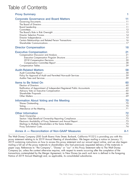# Table of Contents

| <b>Proxy Summary</b>                          |     |
|-----------------------------------------------|-----|
| <b>Corporate Governance and Board Matters</b> | 11  |
|                                               |     |
|                                               |     |
|                                               |     |
|                                               |     |
|                                               |     |
| <b>Director Compensation</b>                  | 18  |
| <b>Executive Compensation</b>                 | 21  |
|                                               |     |
|                                               |     |
|                                               |     |
| <b>Audit-Related Matters</b>                  | 58  |
|                                               |     |
|                                               |     |
|                                               |     |
| <b>Items to Be Voted On</b>                   | 60  |
|                                               |     |
|                                               |     |
|                                               |     |
|                                               | 70  |
| Information About Voting and the Meeting      |     |
|                                               |     |
|                                               |     |
| <b>Other Information</b>                      | 72  |
|                                               |     |
|                                               |     |
|                                               |     |
|                                               |     |
| Annex A — Reconciliation of Non-GAAP Measures | A-1 |

The Walt Disney Company (500 South Buena Vista Street, Burbank, California 91521) is providing you with this proxy statement relating to its 2019 Annual Meeting of shareholders. We began mailing a notice on January 11, 2019 containing instructions on how to access this proxy statement and our annual report online, and we also began mailing a full set of the proxy materials to shareholders who had previously requested delivery of the materials in paper copy. References to ''the Company'', ''Disney'' or ''our'' in this Proxy Statement refer to The Walt Disney Company (or, unless the context otherwise requires, with respect to events occurring after the completion of the transactions contemplated by the Merger Agreement, to New Disney (as each such term is defined in the foregoing Notice of 2019 Annual Meeting)) and, as applicable, its consolidated subsidiaries.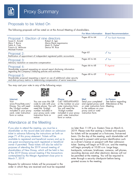### Proposals to be Voted On

The following proposals will be voted on at the Annual Meeting of shareholders.

|                                                                                                                                                                          |                                                                              | For More Information | <b>Board Recommendation</b>  |
|--------------------------------------------------------------------------------------------------------------------------------------------------------------------------|------------------------------------------------------------------------------|----------------------|------------------------------|
| Proposal 1: Election of nine directors<br>Susan E. Arnold<br>Mary T. Barra<br>Safra A. Catz<br>Francis A. deSouza<br>Michael Froman                                      | Robert A. Iger<br>Maria Elena Lagomasino<br>Mark G. Parker<br>Derica W. Rice | Pages 60 to 64       | $\sqrt{\ }$ For Each Nominee |
| Proposal 2:<br>Ratification of appointment of independent registered public accountants                                                                                  |                                                                              | Page 65              | $\sqrt{}$ For                |
| Proposal 3:<br>Advisory resolution on executive compensation                                                                                                             |                                                                              | Pages 65 to 66       | $\sqrt{}$ For                |
| Proposal 4:<br>Shareholder proposal requesting an annual report disclosing information<br>regarding the Company's lobbying policies and activities                       |                                                                              | Pages 66 to 68       | $X$ Against                  |
| Proposal 5:<br>Shareholder proposal requesting a report on use of additional cyber security<br>and data privacy metrics in determining compensation of senior executives |                                                                              | Pages 68 to 69       | $X$ Against                  |

You may cast your vote in any of the following ways:







instruction form or eard, voter instruction<br>notice. in form or notice. form or notice.



and signed proxy card



21DEC201818175849

### Attendance at the Meeting

If you plan to attend the meeting, you must be a shareholder on the record date and obtain an admission ticket in advance following the instructions set forth on page 71 of this proxy statement. Tickets will be available to registered and beneficial owners and up to one guest accompanying each registered or beneficial owner if permitted. These tickets will also be valid for purposes of attending the 2019 annual meeting of shareholders of New Disney, which will be held in lieu of the 2019 Disney annual meeting if the transactions contemplated by the Merger Agreement close prior to March 7, 2019.

Requests for admission tickets will be processed in the order in which they are received and must be requested no later than 11:59 p.m. Eastern Time on March 6, 2019. Please note that seating is limited and requests for tickets will be accepted on a first-come, first-served basis. On the day of the meeting, each shareholder will be required to present valid picture identification such as a driver's license or passport with their admission ticket. Seating will begin at 9:00 a.m. and the meeting will begin promptly at 10:00 a.m. Large bags, backpacks, suitcases, briefcases, cameras, cell phones, recording devices and other electronic devices will not be permitted at the meeting. You will be required to enter through a security checkpoint before being granted access to the meeting.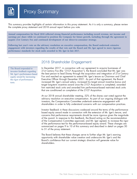This summary provides highlights of certain information in this proxy statement. As it is only a summary, please review the complete proxy statement and 2018 annual report before you vote.

**Annual compensation for fiscal 2018 reflected strong financial performance including record revenue, net income and earnings per share while we continued to position the Company for future growth, including through the agreement to acquire 21st Century Fox and continued development of our direct-to-consumer strategy.**

**Following last year's vote on the advisory resolution on executive compensation, the Board undertook extensive engagement with investors regarding the results of that vote and the Board and Mr. Iger agreed to more rigorous performance standards for stock units awarded to Mr. Iger in late 2017.**

The Board responded to investor feedback regarding Mr. Iger's performance-based equity award by increasing the rigor of performance tests.

### 2018 Shareholder Engagement

In December 2017, in connection with our agreement to acquire businesses of 21st Century Fox (the ''21CF Acquisition''), the Board concluded that Mr. Iger was the best person to lead Disney through the acquisition and integration of 21st Century Fox and reached an agreement to extend Mr. Iger's tenure as Chairman and Chief Executive Officer through December 2021. As part of that agreement, the Board increased Mr. Iger's annual salary, increased his target annual incentive bonus and target long-term incentive award once the 21CF Acquisition is completed, awarded him restricted stock units and awarded him performance-based restricted stock units that are conditioned on completion of the 21CF Acquisition.

**21DEC201818175849**

At our 2018 annual shareholder meeting, 52% of the shares cast voted against the advisory resolution on executive compensation. As part of our ongoing dialogue with investors, the Compensation Committee undertook extensive engagement with shareholders in order to fully understand concerns with our compensation practices.

Investor feedback in these discussions coalesced around the terms of the performancebased equity award made in connection with the extension of Mr. Iger's tenure, and concerns that performance requirements should be more rigorous given the magnitude of the award. In response to this feedback, the Board acting on the recommendation of the Compensation Committee approved, and Mr. Iger agreed, to increase the rigor of the performance test for the performance-based equity award. These changes are summarized on pages 9 to 10 of this summary and described in detail on pages 30 to 31 of the proxy statement.

The Board believes that these changes serve to further align Mr. Iger's earning opportunity with shareholder value creation and underscore Mr. Iger's and the Board's confidence that our current strategic direction will generate value for shareholders.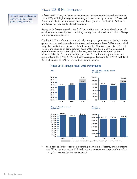### Fiscal 2018 Performance

EPS, net income and revenue grew over the three-year period ending fiscal 2018.

In fiscal 2018 Disney delivered record revenue, net income and diluted earnings per share (EPS), with higher segment operating income driven by increases at Parks and Resorts and Studio Entertainment, partially offset by decreases at Media Networks and Consumer Products & Interactive Media.

Strategically, Disney agreed to the 21CF Acquisition and continued development of our direct-to-consumer business, including the highly anticipated launch of our Disneybranded streaming service.

Our fiscal 2018 performance was not only strong on a year-over-year basis, but also generally compared favorably to the strong performance in fiscal 2016, a year which uniquely benefited from the successful relaunch of the Star Wars franchise. EPS, net income and revenue all grew between fiscal 2016 and fiscal 2018 at compound annual growth rates (CAGR) of 21% for EPS, 16% for net income and 3% for revenue. Adjusting for the non-recurring impact of tax reform and gains from real estate sales in fiscal 2018, EPS and net income grew between fiscal 2016 and fiscal 2018 at CAGRs of 10% for EPS and 6% for net income.



#### Fiscal 2016 Through Fiscal 2018 Performance



**\$10,484 \$12,598**







**\$ in Millions**

**\$14,000 \$12,000**



For a reconciliation of segment operating income to net income, and net income and EPS to net income and EPS excluding the non-recurring impact of tax reform and gains from real estate, see Annex A.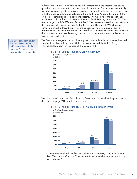In fiscal 2018 at Parks and Resorts, record segment operating income was due to growth at both our domestic and international operations. The increase domestically was due to higher guest spending and volumes. Internationally, the increase was due to higher guest spending and volumes in Paris and Hong Kong. In fiscal 2018, the Studio also generated record operating income. This was due to the exceptional performance of our theatrical releases driven by *Black Panther, Star Wars: The Last Jedi, Avengers: Infinity War* and *Incredibles 2*. The decrease at Media Networks was due to lower advertising revenue, higher losses from Hulu and BAMTech as we continue to invest in these businesses and contractual rate increases for sports programming. The decrease at Consumer Products & Interactive Media was primarily due to lower income from licensing activities and a decrease in comparable store sales at our retail business.

The Company's long-term record of strong performance is reflected in one-, five- and ten-year total shareholder returns (TSRs) that outperformed the S&P 500, by 116 percentage points in the case of the ten-year TSR.



five- and ten-year periods. Disney's total shareholder return exceeded both the S&P 500 and our Media Industry Peers over one-,

> We also outperformed our Media Industry Peers (used for benchmarking purposes as described on page 21) over the same periods.



\*Market cap-weighted TSR for The Walt Disney Company, CBS, 21st Century Fox, Viacom and Comcast. Time Warner is excluded due to its acquisition by AT&T during 2018.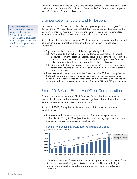This outperformance for the one-, five- and ten-year periods is even greater if Disney itself is excluded from the Media Industry Peers, as the TSR for the other companies was 5%, 36% and 284% for those periods.

 $J_{\mathbf{A}}$ The Compensation Committee has structured compensation so that 90% of the CEO's target compensation is contingent on the Company's financial results and the performance of Disney stock.

### Compensation Structure and Philosophy

The Compensation Committee firmly believes in pay for performance. Again in fiscal 2018, 90% of Mr. Iger's target annual total direct compensation depended on the Company's financial results and the performance of Disney stock, creating close alignment between his incentives and shareholder value creation.

Base salary is the only fixed element of Mr. Iger's annual compensation. Substantially all other annual compensation breaks into the following performance-based categories:

- A performance-based annual cash bonus opportunity that is:
	- (a) 70% dependent on achievement of performance against four financial measures (segment operating income, adjusted EPS, after-tax free cash flow and return on invested capital), all of which the Compensation Committee believes have driven long-term shareholder value creation; and
	- (b) 30% dependent on the Compensation Committee's assessment of individual contributions toward achievement of qualitative goals tied to the Company's strategic priorities.
- An annual equity award, which for the Chief Executive Officer is comprised of 50% options and 50% performance-based units. The realized option value depends on the performance of Disney stock and the realized performance-unit value depends on three-year achievement of relative TSR and EPS performance.

## Fiscal 2018 Chief Executive Officer Compensation

Over the course of his tenure as Chief Executive Officer, Mr. Iger has delivered spectacular financial performance and created significant shareholder value, driven by key strategic moves and exceptional execution.

Since fiscal 2005, Disney has achieved exceptional financial performance highlighted by:

• 13% compounded annual growth in income from continuing operations attributable to Disney (12% adjusted for the non-recurring impact of tax reform and gains from real estate sales in fiscal 2018):



#### Income from Continuing Operations Attributable to Disney

\*For a reconciliation of income from continuing operations attributable to Disney to income from continuing operations attributable to Disney excluding the non-recurring impact of tax reform and gains from real estate sales, see Annex A.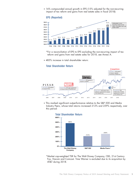• 16% compounded annual growth in EPS (15% adjusted for the non-recurring impact of tax reform and gains from real estate sales in fiscal 2018):



\*For a reconciliation of EPS to EPS excluding the non-recurring impact of tax reform and gains from real estate sales for 2018, see Annex A.

• 485% increase in total shareholder return:

#### Total Shareholder Return



• This marked significant outperformance relative to the S&P 500 and Media Industry Peers, whose total returns increased 212% and 259% respectively, over this period:



\*Market cap-weighted TSR for The Walt Disney Company, CBS, 21st Century Fox, Viacom and Comcast. Time Warner is excluded due to its acquisition by AT&T during 2018.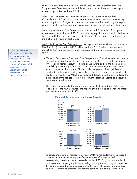Against the backdrop of this track record of consistent strong performance, the Compensation Committee made the following decisions with respect to Mr. Iger's annual compensation for fiscal 2018.

Salary: The Compensation Committee raised Mr. Iger's annual salary from \$2.5 million to \$3.0 million in connection with his contract extension. Base salary remains only 7% of Mr. Iger's total annual compensation (i.e., excluding the equity award associated with extension of his employment agreement), in-line with last year.

Annual Equity Awards: The Compensation Committee left the value of Mr. Iger's annual equity award for fiscal 2018 approximately equal to the values for the last six fiscal years. Half of the equity award is in the form of performance-based stock units and half is in the form of stock options.

Non-Equity Incentive Plan Compensation: Mr. Iger's performance-based cash bonus of \$18.0 million (compared to \$15.2 million for fiscal 2017) reflects performance against the four financial performance measures and qualitative goals as discussed below:

• *Financial Performance Measures*: The Compensation Committee sets performance ranges for the four financial performance measures that are used to determine 70% of each named executive officer's bonus award early in the fiscal year. In establishing these ranges for fiscal 2018, the Committee increased the overall level of the ranges for adjusted EPS and adjusted after-tax free cash flow to provide incentives for overall growth. The Committee recognized the significant capital investments in BAMTech and Parks and Resorts, and therefore reduced the overall level of the ranges for adjusted segment operating income and adjusted return on invested capital.

This performance resulted in performance factors that ranged from 133% to 146% across the four measures, and the weighted average of the four financial performance factors was 139%.



In comparing actual performance for fiscal 2018 to the performance ranges, the Compensation Committee adjusted for the impacts of: recurring and non-recurring tax-reform benefits recorded in fiscal 2018, gains on the sale of real estate and property rights, restructuring and impairment charges, a one-time \$1,000 employee bonus, expenses related to the 21CF Acquisition, expenses related to content development for direct-to-consumer streaming services and

BAMTech and Parks. The Compensation Committee set financial performance ranges for fiscal 2018 designed to provide incentives for overall growth while recognizing the significant capital investments in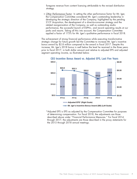foregone revenue from content licensing attributable to the revised distribution strategy.

• *Other Performance Factor*: In setting the other performance factor for Mr. Iger, the Compensation Committee considered Mr. Iger's outstanding leadership in developing the strategic direction of the Company, highlighted by the pending 21CF Acquisition, the development of a direct-to-consumer strategy and the related reorganization of the Company, as well as outstanding studio performance, the successful launch of ESPN+, and record operating results at our parks and resorts. Taking all this into account, the Compensation Committee applied a factor of 175% for Mr. Iger's qualitative performance in fiscal 2018.

The achievement of strong financial performance while executing transformative strategic change for future growth led the Committee to increase Mr. Iger's incentive bonus award by \$2.8 million compared to the award in fiscal 2017. Despite this increase, Mr. Iger's 2018 bonus is well below the level he received in the three years prior to fiscal 2017, in both dollar amount and relative to adjusted EPS and adjusted segment operating income, as illustrated below.





\*Adjusted EPS is EPS as adjusted by the Compensation Committee for purposes of determining compensation. For fiscal 2018, the adjustments are those described above under ''Financial Performance Measures.'' For fiscal 2014 through 2017, the adjustments are those described in the proxy statements for the 2015 through 2018 annual meetings.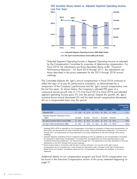

CEO Incentive Bonus Award vs. Adjusted Segment Operating Income,

\*Adjusted Segment Operating Income is Segment Operating Income as adjusted by the Compensation Committee for purposes of determining compensation. For fiscal 2018, the adjustments are those described above under ''Financial Performance Measures.'' For fiscal 2014 through 2017, the adjustments are those described in the proxy statements for the 2015 through 2018 annual meetings.

The Committee believes Mr. Iger's annual compensation in fiscal 2018 continues to reflect the rigor of its pay for performance orientation, as demonstrated by a comparison of the Company's performance and Mr. Iger's annual compensation over the last five years. As shown below, the Company's adjusted EPS grew at a compound annual growth rate of 11% from fiscal 2014 to fiscal 2018 and adjusted segment operating income grew 5% over the period. Despite this growth, Mr. Iger's incentive bonus award decreased 6% and his total annual compensation decreased 4% on a compounded basis over this period.

|                                                | <b>FY14</b>          | <b>FY15</b>         | <b>FY16</b> | <b>FY17</b> | <b>FY18</b>          | Compounded<br>Growth<br><b>FY14-FY18</b> |
|------------------------------------------------|----------------------|---------------------|-------------|-------------|----------------------|------------------------------------------|
| Adjusted EPS*                                  | 4.32<br>\$.          | $$^{\circ}$<br>5.14 | \$<br>5.72  | \$<br>5.67  | $\mathbb{S}$<br>6.48 | 11%                                      |
| Adjusted Segment Operating Income<br>$(SM)$ ** | \$13,005             | \$14,607            | \$15.721    | \$14,900    | \$15,919             | 5%                                       |
| Mr. Iger's Incentive Bonus Award (\$M)         | 22.8<br>$\mathbb{S}$ | \$<br>22.3          | \$<br>20.0  | \$<br>15.2  | \$<br>18.0           | (6%)                                     |
| Mr. Iger's Total Compensation (\$M)            | 46.5<br>\$           | \$<br>44.9          | S<br>43.9   | \$<br>36.3  | $39.3***$<br>\$.     | (4% )                                    |

Adjusted EPS is EPS as adjusted by the Compensation Committee for purposes of determining compensation. For fiscal 2018, the adjustments are those described above under "Financial Performance Measures." For fiscal 2014 through 2017, the adjustments are those described in the proxy statements for the 2015 through 2018 annual meetings.

- \*\* Adjusted Segment Operating Income is Segment Operating Income as adjusted by the Compensation Committee for purposes of determining compensation. For fiscal 2018, the adjustments are those described above under ''Financial Performance Measures.'' For fiscal 2014 through 2017, the adjustments are those described in the proxy statements for the 2015 through 2018 annual meetings.
- \*\*\* Stock awards made in connection with Mr. Iger's contract extension, but not part of Mr. Iger's annual compensation are not included here. Those awards are discussed under ''Changes to Mr. Iger's Performance-Based Stock Unit Awards'' immediately below and the ''Compensation Discussion and Analysis'' in the proxy statement.

Additional details on our compensation program and fiscal 2018 compensation can be found in the Executive Compensation section of this proxy statement beginning on page 21.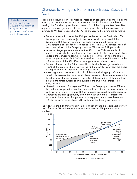### Changes to Mr. Iger's Performance-Based Stock Unit Awards

the 60.5th percentile. Revised performance tests reduce the shares Mr. Iger would receive at every relative TSR performance level below

Taking into account the investor feedback received in connection with the vote on the advisory resolution on executive compensation at the 2018 annual shareholder meeting, the Board acting on the recommendation of the Compensation Committee approved, and Mr. Iger agreed to, several changes to the performance-based units awarded to Mr. Iger in December 2017. The changes to the award are as follows:

- **Reduced threshold pay at the 25th percentile to zero** Previously, 50% of the target number of units subject to the award would have vested if the Company's TSR through the end of the performance period was at the 25th percentile of TSRs for the companies in the S&P 500. As revised, none of the shares will vest if the Company's relative TSR is at the 25th percentile.
- **Increased target performance from the 50th to the 65th percentile of peers** — Previously, the target number of units subject to the award would have vested if the Company's TSR was at the 50th percentile relative to the TSR of other companies in the S&P 500; as revised, the Company's TSR must be at the 65th percentile of the S&P 500 for the target number of units to vest.
- **Reduced the cap at the 75th percentile** Previously, Mr. Iger could earn 150% of the target number of units at the 75th percentile; as revised, the award is capped at a 125% payout at the 75th percentile.
- **Held target value constant** In light of the more challenging performance criteria, the value of the award would have decreased absent an increase in the target number of units. To maintain the value of the award as of the date it was granted, the target number of units subject to the award was increased to 937,599 units.
- **Limitation on award for negative TSR** If the Company's absolute TSR over the performance period is negative, no more than 100% of the target number of units would vest, even if relative TSR performance exceeded the 65th percentile.
- **Decreased earning opportunity below the 60th percentile** Despite the increase in the number of target units, at every point on the curve below the 60.5th percentile, fewer shares will vest than under the original agreement.

The following chart illustrates the shift in the number of units that would vest at every level of relative TSR performance (assuming that absolute TSR performance is positive).

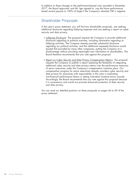In addition to these changes to the performance-based units awarded in December 2017, the Board approved, and Mr. Iger agreed to, cap the future performancebased award payouts to 100% of target if the Company's absolute TSR is negative.

### Shareholder Proposals

In this year's proxy statement, you will find two shareholder proposals, one seeking additional disclosure regarding lobbying expenses and one seeking a report on cyber security and data privacy.

- *Lobbying Disclosure*: The proposal requests the Company to provide additional disclosure regarding its political activities, including information regarding its lobbying activities. The Company already provides substantial disclosure regarding our political activities, and the additional requested disclosure would exceed that provided by many other companies, putting the Company at a disadvantage without providing meaningful new information to shareholders. The Board therefore recommends that you vote against this proposal.
- *Report on Cyber Security and Data Privacy Compensation Metrics*: The proposal requests the Company to publish a report assessing the feasibility of integrating additional cyber security and data privacy metrics into the performance measures of senior executives under the Company's compensation incentive plans. Our compensation program for senior executives already considers cyber security and data privacy for executives with responsibility in this area in evaluating non-financial performance factors in setting individual incentive bonus awards. Accordingly, the Board recommends that you vote against this proposal because it is unnecessary and would not promote enhanced protection of data security and data privacy.

You can read our detailed positions on these proposals on pages 66 to 69 of the proxy statement.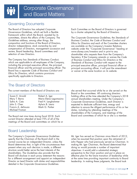### Governing Documents

The Board of Directors has adopted *Corporate* Each Committee on the Board of Directors is governed framework within which the Board, assisted by its composition and functions of the Board of Directors, director independence, stock ownership by and director independence, stock ownership by and are available on the Company's Investor Relations<br>
compensation of Directors, management succession and website under the "Corporate Governance" headi compensation of Directors, management succession and website under the "Corporate Governance" heading at review, Board leadership, Board committees and www.disney.com/investors and in print to any review, Board leadership, Board committees and *www.disney.com/investors* and in print to any

The Company has *Standards of Business Conduct*, *of Business Conduct and Ethics for Directors* or the which are applicable to all employees of the Company, *Standards of Business Conduct* with respect to the including the principal executive officer, the principal principal executive officer, principal financial officer or Board has a separate *Code of Business Conduct and Ethics for Directors*, which contains provisions specifically applicable to Directors.

by a charter adopted by the Board of Directors.

21DEC201818174850

committees, directs the affairs of the Company. The The *Corporate Governance Guidelines*, the *Standards of Business Conduct, the Code of Business Conduct and*<br>*Ethics for Directors* and each of the Committee charters shareholder who requests them from the Company's Secretary. If the Company amends or waives the *Code* principal accounting officer, it will post the amendment<br>or waiver at the same location on its website.

## The Board of Directors

| Susan E. Arnold    | Robert A. Iger       |
|--------------------|----------------------|
| Mary T. Barra      | Maria Elena Lagomasi |
| Safra A. Catz      | Fred H. Langhammer   |
| John S. Chen       | Aylwin B. Lewis      |
| Francis A. deSouza | Mark G. Parker       |
| Michael Froman     |                      |

The Board met nine times during fiscal 2018. Each current Director attended at least 75% of all of the meetings of the Board and committees on which he or

The current members of the Board of Directors are: she served that occurred while he or she served on the Board or the committees. All continuing directors holding office at the time attended the Company's 2018 ino  $\parallel$  annual shareholders meeting. Under the Company's Corporate Governance Guidelines, each Director is expected to dedicate sufficient time, energy and attention to ensure the diligent performance of his or her duties, including by attending meetings of the shareholders of the Company, and meetings of the

## Board Leadership

The Company's *Corporate Governance Guidelines* Mr. Iger has served as Chairman since March of 2012, specify that the Chairman of the Board shall in the when he assumed that position upon the retirement of normal course be an independent Director, unless the John Pepper who had previously served as Chairman. Board determines that, in light of the circumstances then making Mr. Iger Chairman, the Board determined that present when any such decision is made, a different doing so would promote a number of important present when any such decision is made, a different structure would better serve the best interests of the objectives: it would add a substantial strategic<br>shareholders. The Guidelines also provide that the perspective to the Chair position and put in plo Board will disclose in each proxy statement the reasons for a different arrangement and appoint an independent at the same time providing important continuity to Board Director as Lead Director with duties and responsibilities leadership. In making these judgments, the Board took detailed in the *Corporate Governance Guidelines*.

John Pepper who had previously served as Chairman. In perspective to the Chair position and put in place an<br>effective plan for the future transition of leadership while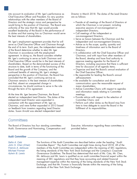into account its evaluation of Mr. Iger's performance as Director in March 2018. The duties of the Lead Director Chief Executive Officer and President, his very positive are as follows: relationships with the other members of the Board of Directors and the strategic vision and perspective he • Preside at all meetings of the Board of Directors at would bring to the position of Chairman. The Board was • which the Chairman is not present, including would bring to the position of Chairman. The Board was which the Chairman is not present, include<br>uniformly of the view that Mr. Iger would provide executive sessions of non-management or uniformly of the view that Mr. Iger would provide excellent leadership of the Board in the performance of independent Directors;<br>its duties and that naming him as Chairman would serve • Call meetings of the independent or its duties and that naming him as Chairman would serve • Call meetings of the independent birectors;<br>the best interests of shareholders. the best interests of shareholders.

Mr. Iger's employment agreement provides that he will independent and non-management Directors;<br>serve as Chief Executive Officer and Chairman through • Advise as to the scope, quality, quantity and serve as Chief Executive Officer and Chairman through • Advise as to the scope, quality, quantity and the end of its term. Fach vear, the independent members timeliness of information sent to the Board of the end of its term. Each year, the independent members of the Board determine whether to elect Mr. Iger Directors;<br>Chairman in accordance with the employment • In collabo agreement. In doing so, the Board considers whether Chairman, and with input from other members of Mr. Iger's continuing to serve as both Chairman and the Board, develop and have final authority to Mr. Iger's continuing to serve as both Chairman and the Board, develop and have final authority<br>Chief Executive Officer would be in the best interests of approve meeting agendas for the Board of Chief Executive Officer would be in the best interests of shareholders. Based on the demonstrated success of this structure to date, both in terms of the functioning of the Board and the growth of the Company, and the continued benefits of retaining Mr. Iger's strategic the Chief Executive Officer;<br>perspective in the position of Chairman, the Board has • Be responsible for leading the Board's annual perspective in the position of Chairman, the Board has concluded that Mr. Iger's continuing service as self-assessment;<br>Chairman remains in the best interests of shareholders • Be available for consultation and direct Chairman remains in the best interests of shareholders and that, absent an unexpected change in circumstances, he should continue to serve in the role major shareholders;<br>through the term of his agreement. • Advise Committee C

At the time Mr. Iger became Chairman, the Board<br>elected an independent Lead Director. The duties of the **ack** Provide advice with respect to the selection of elected an independent Lead Director. The duties of the • Provide advice with respectively independent Lead Director were expanded in independent Lead Director were expanded in<br>connection with the appointment of Mr. Iger as Chairman, and were further expanded in 2013 based time to time delegate to assist t<br>on feedback from investors regarding Lead Director fulfillment of its responsibilities. on feedback from investors regarding Lead Director duties. Susan Arnold was elected independent Lead

- 
- 
- Serve as liaison between the Chairman and the independent and non-management Directors;
- 
- In collaboration with the Chief Executive Officer and Directors, including assurance that there is sufficient<br>time for discussion of all agenda items;
- Organize and lead the Board's annual evaluation of
- 
- communication upon the reasonable request of
- Advise Committee Chairs with respect to agendas and information needs relating to Committee
- 
- Perform such other duties as the Board may from<br>time to time delegate to assist the Board in the

### **Committees**

The Board of Directors has four standing committees: Executive. Information regarding these committees is Audit, Governance and Nominating, Compensation and provided below.

#### Audit Committee

*Safra A. Catz John S. Chen (Chair) Francis A. deSouza Michael Froman Aylwin B. Lewis*

The functions of the Audit Committee are described below under the heading ''*Audit Committee Report*.'' The Audit Committee met eight times during fiscal 2018. All of the members of the Audit Committee are independent within the meaning of SEC regulations, the listing standards of the New York Stock Exchange and the Company's *Corporate Governance Guidelines*. The Board has determined that each of Ms. Catz, Mr. Chen, Mr. deSouza and Mr. Lewis is qualified as an audit committee financial expert within the meaning of SEC regulations and that they have accounting and related financial management expertise within the meaning of the listing standards of the New York Stock Exchange, and that Mr. Froman is financially literate within the meaning of the listing standards of the New York Stock Exchange.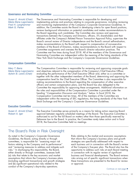#### Governance and Nominating Committee

*Susan E. Arnold (Chair) Maria Elena Lagomasino Fred H. Langhammer Mark G. Parker*

The Governance and Nominating Committee is responsible for developing and implementing policies and practices relating to corporate governance, including reviewing and monitoring implementation of the Company's *Corporate Governance Guidelines*. In addition, the Committee assists the Board in developing criteria for open Board positions, reviews background information on potential candidates and makes recommendations to the Board regarding such candidates. The Committee also reviews and approves transactions between the Company and Directors, officers, 5% shareholders and their affiliates under the Company's Related Person Transaction Approval Policy, supervises the Board's annual review of Director independence and the Board's annual self-evaluation, makes recommendations to the Board with respect to compensation of non-executive members of the Board of Directors, makes recommendations to the Board with respect to Committee assignments and oversees the Board's director education practices. The Committee met five times during fiscal 2018. All of the members of the Governance and Nominating Committee are independent within the meaning of the listing standards of the New York Stock Exchange and the Company's *Corporate Governance Guidelines*.

#### Compensation Committee

The Compensation Committee is responsible for reviewing and approving corporate goals and objectives relevant to the compensation of the Company's Chief Executive Officer, evaluating the performance of the Chief Executive Officer and, either as a committee or together with the other independent members of the Board, determining and approving the compensation level for the Chief Executive Officer. The Committee is also responsible for making recommendations to the Board regarding the compensation of other executive officers and certain compensation plans, and the Board has also delegated to the Committee the responsibility for approving these arrangements. Additional information on the roles and responsibilities of the Compensation Committee is provided under the heading ''*Compensation Discussion and Analysis*,'' below. In fiscal 2018, the Compensation Committee met ten times. All of the members of the Committee are independent within the meaning of SEC regulations, the listing standards of the New York Stock Exchange and the Company's *Corporate Governance Guidelines*. *Mary T. Barra Maria Elena Lagomasino Aylwin B. Lewis (Chair)*

#### Executive Committee

*Susan E. Arnold (Chair) Robert A. Iger*

The Executive Committee serves primarily as a means for taking action requiring Board approval between regularly scheduled meetings of the Board. The Executive Committee is authorized to act for the full Board on matters other than those specifically reserved by Delaware law to the Board. In practice, the Committee rarely takes action and in fiscal 2018, the Executive Committee held no meetings.

### The Board's Role in Risk Oversight

As noted in the Company's *Corporate Governance* Risks relating to the market and economic assumptions *Guidelines*, the Board, acting directly or through that inform the Company's business plans and growth committees, is responsible for ''assessing major risk strategies are specifically addressed with respect to either directly or through committees, assesses both in connection with its regular review of significant assumptions that inform the Company's business plans risks arising out of specific significant transactions when (including significant transactions) and growth strategies these transactions are presented to the Board for review and (b) significant operational risks related to the or approval. conduct of the Company's day-to-day operations.

factors relating to the Company and its performance'' each business unit in connection with the Board's review and ''reviewing measures to address and mitigate such of the Company's five-year plan. The Board also has the risks." In discharging this responsibility, the Board, opportunity to address such risks at each Board meeting (a) risks that relate to the key economic and market business and financial developments. The Board reviews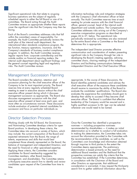Significant operational risks that relate to on-going information technology risks and mitigation strategies business operations are the subject of regularly with the Company's chief information officer at least<br>scheduled reports to either the full Board or one of its annually. The Audit Committee reserves time at each scheduled reports to either the full Board or one of its annually. The Audit Committee reserves time at each committees. The Board acting through the Audit and the entity of the Audit committees. The Board acting through t committees. The Board acting through the Audit meeting for private sessions with the chief financial

Each of the Board's committees addresses risks that fall within the committee's areas of responsibility. For<br>example, the Audit Committee periodically reviews the example, the Audit Committee periodically reviews the<br>audit tax function, treasury operations, insurance, and the Company's standards of business conduct compliance<br>
Company's standards of business conduct compliance The independent Lead Director promotes effective<br>
communication and consideration of matters presenting program. In addition, the Audit Committee receives communication and consideration of matters present<br>regular reports from: corporate controllership and the significant risks to the Company through her role in regular reports from: corporate controllership and the significant risks to the Company through her role in<br>outside auditor on financial reporting matters: the subsetional developing the Board's meeting agendas, advising outside auditor on financial reporting matters; the developing the Board's meeting agendas, advising internal audit department about significant findings; and committee chairs, chairing meetings of the indeper<br>the general counsel regarding legal and regulatory Directors and facilitating communications between the general counsel regarding legal and regulatory risks. The Audit Committee reviews independent Directors and the Chief Executive Officer.

Committee reviews as appropriate whether these reports officer, general counsel, head of the internal audit<br>cover the significant risks that the Company may then be facing.<br>facing. Committee addresses risks arising out of

### Management Succession Planning

The Board considers the selection, retention and appropriate. In the course of these discussions, the succession planning for the chief executive officer of the Board identifies potential candidates and advises the Company to be its most important priority. The Board chief executive officer of the exposure these candidates<br>Company to be its most important priority. The Board chief executive of the exposure the ability of the Board reserves time at every regularly scheduled Board<br>
meeting to meet in executive session without the chief<br>
executive officer present during which it discusses<br>
management succession as appropriate. The Board also<br>
discusses

### Director Selection Process

Working closely with the full Board, the Governance Once the Committee has identified a prospective and Nominating Committee develops criteria for open nominee — including prospective nominees Board positions. In developing these criteria, the recommended by shareholders — it makes an initial Committee takes into account a variety of factors, which determination as to whether to conduct a full evaluation. may include: the current composition of the Board and In making this determination, the Committee takes into<br>expected retirements from the Board: the range of account the information provided to the Committee with expected retirements from the Board; the range of account the information provided to the Committee w<br>tolents, experiences and skills that would best the recommendation of the candidate, as well as the talents, experiences and skills that would best the recommendation of the candidate, as well as the recommendation of the candidate, as well as the complement those already represented on the Board: the Committee's own kno complement those already represented on the Board; the Committee's own knowledge and information obtained independent Directors: and through inquiries to third parties to the extent the balance of management and independent Directors; and through inquiries to third parties to the extent the the<br>the need for financial or other specialized expertise Committee deems appropriate. The preliminary the need for financial or other specialized expertise. Committee deems appropriate. The preliminary<br>Applying these criteria, the Committee considers determination is based primarily on the need for Applying these criteria, the Committee considers determination is based primarily on the need for<br>candidates for Board membership suggested by additional Board members and the likelihood that the

candidates for Board membership suggested by<br>
Committee members, other Board members,<br>
management, and shareholders. The Committee retains<br>
a third-party executive search firm to identify and review<br>
candidates upon reques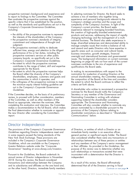prospective nominee's background and experience and In selecting nominees for Director, the Board seeks to to report its findings to the Committee. The Committee anchieve a mix of members who together bring then evaluates the prospective nominee against the experience and personal backgrounds relevant to the specific criteria that it has established for the position, Company's strategic priorities and the scope and<br>as well as the standards and qualifications set out in the complexity of the Company's business. In light of Company's Corporate Governance Guidelines, including: experience relevant to managing branded franchises,

- 
- 
- 
- 
- the extent to which the prospective nominee helps In making its recommendations with respect to the
- the willingness of the prospective nominee to meet the minimum equity interest holding guideline set example riteria set forth above. out in the Company's *Corporate Governance*

If the Committee decides, on the basis of its preliminary Secretary or any member of the Governance and review, to proceed with further consideration, members Nominating Committee in writing with whatever of the Committee, as well as other members of the supporting material the shareholder considers Board as appropriate, interview the nominee. After appropriate. The Governance and Nominating completing this evaluation and interview, the Committee Committee will also consider whether to nominate any makes a recommendation to the full Board, which makes person nominated by a shareholder pursuant to the the final determination whether to nominate or appoint provisions of the Company's Bylaws relating to<br>the new Director after considering the Committee's shareholder nominations as described in "*Shareholder*" the new Director after considering the Committee's report. *Communications*'' below.

complexity of the Company's business. In light of the<br>Company's current priorities, the Board seeks the creation of high-quality branded entertainment<br>products and services, addressing the impact of rapidly • the ability of the prospective nominee to represent<br>
the interests of the shareholders of the Company;<br>
• the prospective nominee's standards of integrity,<br>
• the prospective nominee's standards of integrity, • the prospective nominee's standards of integrity,<br>
commitment and independence of thought and<br>
judgment;<br>
• the prospective nominee's ability to dedicate<br>
• the prospective nominee's ability to dedicate<br>
• the prospectiv • the prospective nominee's ability to dedicate<br>sufficient time, energy and attention to the diligent<br>performance of his or her duties, including the<br>prospective nominee's service on other public<br>company boards, as specifi -Company's Corporate Governance Guidelines;<br>
• the extent to which the prospective nominees contributes to the mix of experience and contributes to the range of talent, skill and expertise qualifications the Board seeks.<br>

the Board reflect the diversity of the Company's nomination for re-election of existing Directors at the shareholders, employees, customers and guests and annual shareholders meeting, the Committee assesses the communities in which it operates; and the composition of the Board at the time and considers<br>the willinaness of the prospective nominee to meet the extent to which the Board continues to reflect the

*Guidelines* A shareholder who wishes to recommend a prospective . nominee for the Board should notify the Company's

### Director Independence

The provisions of the Company's *Corporate Governance* of Directors, or entities of which a Director or an *Guidelines* regarding Director independence meet and immediate family member is an executive officer, in some respects exceed the listing standards of the general partner or significant equity holder. The Board New York Stock Exchange. These provisions are also considered whether there were any transactions or included in the Company's *Corporate Governance* relationships between any of these persons or entities Investor Relations website under the ''Corporate or their affiliates. As provided in the *Guidelines*, the Governance" heading at *www.disney.com/investors*. purpose of this review was to determine whether any

Pursuant to the *Guidelines*, the Board undertook its inconsistent with a determination that the Director is annual review of Director independence in November independent. 2018. During this review, the Board considered transactions and relationships between the Company As a result of this review, the Board affirmatively and its subsidiaries and affiliates on the one hand and, determined that all of the Directors serving in fiscal on the other hand, Directors, immediate family members

Guidelines, which are available on the Company's and any members of the Company's senior management such relationships or transactions existed that were

*Continues on next page*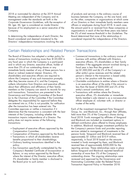2018 or nominated for election at the 2019 Annual of products and services in the ordinary course of Meeting are independent of the Company and its business between the Company, on the one hand, and, management under the standards set forth in the one hand on the other, companies or organizations at which some *Corporate Governance Guidelines*, with the exception of of our Directors or their immediate family members were Mr. Iger. Mr. Iger is considered an inside Director officers or employees during fiscal 2018. In each case,<br>because of his employment as a senior executive of the the amount paid to or received from these companies or because of his employment as a senior executive of the Company. organizations in each of the last three years was below

In determining the independence of each Director, the Board determined that none of the relationships it Directors' independence transactions involving the sale

on the other, companies or organizations at which some the 2% of total revenue threshold in the *Guidelines*. The Board considered and deemed immaterial to the considered impaired the independence of the Directors.

### Certain Relationships and Related Person Transactions

The Board of Directors has adopted a written policy for • Commercial transactions in the ordinary course of review of transactions involving more than \$120,000 in business with entities affiliated with Directors, any fiscal year in which the Company is a participant executive officers, 5% shareholders or their family and in which any Director, executive officer, holder of members if the aggregate amount involved during a more than 5% of our outstanding shares or any fiscal year is less than the greater of immediate family member of any of these persons has a (a) \$1,000,000 and (b) 2% of the Company's or direct or indirect material interest. Directors, 5% other entity's gross revenues and the related shareholders and executive officers are required to person's interest in the transaction is based solely inform the Company of any such transaction promptly on his or her position with the entity; after they become aware of it, and the Company • Charitable contributions to entities where a Director collects information from Directors and executive officers is an executive officer of the entity if the amount is about their affiliations and affiliations of their family less than the lesser of \$200,000 and 2% of the members so the Company can search its records for any entity's annual contributions; and such transactions. Transactions are presented to the • Transactions with entities where the Director,<br>Governance and Nominating Committee of the Board • executive officer, 5% shareholder or immediate Governance and Nominating Committee of the Board (or to the Chairman of the Committee if the Committee family member's sole interest is as a non-executive delegates this responsibility) for approval before they officer employee of, volunteer with, or director or are entered into or, if this is not possible, for ratification trustee of the entity. are entered into or, if this is not possible, for ratification after the transaction has been entered into. The<br>Committee approves or ratifies a transaction if it determines that the transaction is consistent with the best Group, Inc. and Blackrock, Inc., through their affiliates, interests of the Company, including whether the held more than 5% of the Company's shares during<br>transaction impairs independence of a Director. The fiscal 2018. Funds managed by affiliates of Vangua policy does not require review of the following and Blackrock are included as investment options in transactions: defined contribution plans offered to Disney employees.

- 
- 
- Transactions in which all shareholders receive approximately \$1 million and \$10.9 million,
- 
- Any transaction specifically contemplated by the reporting services. These relationships were in place Bylaws, or any action approved by the Board ownership of more than 5% of the Company's where the interest of the Director, executive officer, outstanding shares. The ongoing relationships 5% shareholder or family member is disclosed to the Board prior to such action; Nominating Committee under the Related Person
- 
- 
- 

Each of the investment management firms Vanguard fiscal 2018. Funds managed by affiliates of Vanguard In addition, Blackrock manages investment portfolios for • Employment of executive officers approved by the the Company's pension funds and provides reporting Compensation Committee; services related to management of investments in the • Compensation of Directors approved by the Board; pension funds. Vanguard and Blackrock received fees of benefits proportional to their shareholdings; respectively, in fiscal 2018 based on the amounts • Ordinary banking transactions identified in the invested in funds managed by them, and Blackrock policy; policy; received fees of approximately \$300,000 for the Company's Restated Certificate of Incorporation or before Vanguard and Blackrock reported beneficial outstanding shares. The ongoing relationships were<br>reviewed and approved by the Governance and Transaction Approval Policy in November 2018.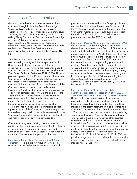### Shareholder Communications

Company through its Transfer Agent, Broadridge a mo later than the close of business on September 13,<br>Corporate Issuer Solutions, by writing to Disney 2019. Proposals should be sent to the Secretary, The Shareholder Services, c/o Broadridge Corporate Issuer Walt Disney Company, 500 South Buena Vista Street, Solutions, P.O. Box 1342, Brentwood, NY 11717, by Burbank, California 91521-1030 and follow the calling Disney Shareholder Services care of Broadridge procedures required by SEC Rule 14a-8. at 1-855-553-4763, or by sending an e-mail to disneyshareholder@broadridge.com. Additional Shareholder Director Nominations for Inclusion in 2020 information about contacting the Company is available Proxy Statement. Under our Bylaws, written notice of on the Disney Shareholder Services website shareholder nominations to the Board of Directors that tab. proxy access provisions in Article II, Section 11 of our Generally. Shareholders may communicate with the

Shareholders and other persons interested in not later than 120 nor earlier than 150 days prior to communicating directly with the independent Lead the first anniversary of the preceding year's annual Director or with the non-management Directors as a meeting. Accordingly any eligible shareholder who group may do so by writing to the independent Lead wishes to have a nomination considered at the 2020 Director, The Walt Disney Company, 500 South Buena Annual Meeting and included in the Company's proxy Vista Street, Burbank, California 91521-1030. Under a statement must deliver a written notice (containing the process approved by the Governance and Nominating information specified in our Bylaws regarding the<br>Committee of the Board for handling letters received by shareholder and the proposed nominee) to the Committee of the Board for handling letters received by the Company and addressed to non-management Company's Secretary between October 9, 2019 and members of the Board, the office of the Secretary of the November 8, 2019. Company reviews all such correspondence and forwards to Board members a summary and/or copies Shareholder Director Nomination and Other of any such correspondence that, in the opinion of the Secretary, deals with the functions of the Board or Annual Meeting Not Included in 2020 Proxy Statement. committees thereof or that he otherwise determines Under our Bylaws, written notice of shareholder requires their attention. The Governance and nominations to the Board of Directors or any other Nominating Committee reviews summaries of all business proposed by a shareholder that is not to be correspondence from identified shareholders at each included in the proxy statement must be delivered to the regular meeting of the Committee. Directors may at any Company's Secretary not later than 90 nor earlier than time review a log of all correspondence received by the 120 days prior to the first anniversary of the preceding Company that is addressed to members of the Board year's annual meeting. Accordingly, any shareholder and request copies of any such correspondence. who wishes to have a nomination or other business

Concerns relating to accounting, internal controls or included in the Company's proxy statement must deliver auditing matters are immediately brought to the attention a written notice (containing the information specified in of the Company's internal audit department and our Bylaws regarding the shareholder and the proposed handled in accordance with procedures established by action) to the Company's Secretary between the Audit Committee with respect to such matters. November 8, 2019 and December 8, 2019. SEC rules

Statement. To be eligible for inclusion in the proxy management intends to vote. statement for our 2020 Annual Meeting, shareholder

proposals must be received by the Company's Secretary 2019. Proposals should be sent to the Secretary, The

(*www.disneyshareholder.com*) under the ''Contact Us'' are to be included in the proxy statement pursuant to the Bylaws must be delivered to the Company's Secretary

considered at the 2020 Annual Meeting but not permit management to vote proxies in its discretion with Shareholder Proposals for Inclusion in 2020 Proxy respect to such matters if we advise shareholders how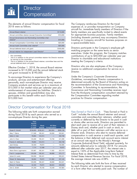The elements of annual Director compensation for fiscal 2018 were as follows.

| Annual Board retainer                                                     | \$110,000 |
|---------------------------------------------------------------------------|-----------|
| Annual committee retainer (except Executive Committee) <sup>1</sup>       | \$10,000  |
| Annual Governance and Nominating Committee chair<br>retainer <sup>2</sup> | \$15,000  |
| Annual Compensation Committee chair retainer <sup>2</sup>                 | \$20,000  |
| Annual Audit Committee chair retainer <sup>2</sup>                        | \$25,000  |
| Annual deferred stock unit grant                                          | \$185,000 |
| Annual retainer for independent Lead Director <sup>3</sup>                | \$50,000  |

This is in addition to the annual Board retainer, committee fees and the annual deferred stock unit grant.

Company products and services up to a maximum of the recommendation of the Governance and Nomination, the Sour<br>\$15,000 in fair market value per calendar year plus Committee. In formulating its recommendation, the \$15,000 in fair market value per calendar year plus participate in this benefit within each Director's the Compensation Committee regarding market \$15,000 limit. practices for Director compensation.

The Company reimburses Directors for the travel expenses of, or provides transportation on Company aircraft for, immediate family members of Directors if the family members are specifically invited to attend events for appropriate business purposes. Family members (including domestic partners) may accompany Directors traveling on Company aircraft for business purposes on a space-available basis.

21DEC201818174979

Directors participate in the Company's employee gift<br>matching program on the same terms as senior executives. Under this program, the Company matches contributions of up to \$50,000 per calendar year per Per committee.<br>
This is in addition to the annual committee retainer the Director receives<br>
for serving on the committee.<br>
This is in addition to the annual Board retainer, committee fees and the<br>
This is in addition to th

Effective October 1, 2018, the annual Board retainer<br>increased to \$115,000 and the annual deferred stock<br>unit grant increased to \$190,000.<br>Director.

To encourage Directors to experience the Company's **Under the Company's Corporate Governance** products, services and entertainment offerings *Guidelines*, non-employee Director compensation is personally, each non-employee Director may receive determined annually by the Board of Directors acting on reimbursement of associated tax liabilities. Director's Governance and Nominating Committee receives input spouses, children and grandchildren may also from the third-party compensation consultant retained by from the third-party compensation consultant retained by

### Director Compensation for Fiscal 2018

|                        | Fees<br>Earned<br>or Paid<br>in Cash | <b>Stock</b><br><b>Awards</b> | <b>All Other</b><br>Compensation | <b>Total</b> |
|------------------------|--------------------------------------|-------------------------------|----------------------------------|--------------|
| Susan E. Arnold        | \$156,833                            | \$185,341                     | \$42,934                         | \$385,108    |
| Mary T. Barra          | 117,500                              | 185,341                       | 50,000                           | 352,841      |
| Safra A. Catz          | 78,694                               | 124.014                       |                                  | 202,708      |
| John S. Chen           | 145,000                              | 185,341                       | 10,758                           | 341,099      |
| Francis A. deSouza     | 78.694                               | 124,014                       |                                  | 202,708      |
| <b>Jack Dorsey</b>     | 52,333                               | 79,672                        |                                  | 132,005      |
| Michael Froman         | 7,174                                | 12,498                        |                                  | 19,672       |
| Maria Elena Lagomasino | 125,667                              | 185.341                       | 11,502                           | 322.510      |
| Fred H. Langhammer     | 120.028                              | 185.341                       | 69,808                           | 375.177      |
| Aylwin B. Lewis        | 150,000                              | 185,341                       |                                  | 335,341      |
| Robert W. Matschullat  | 56,694                               | 79.672                        | 131,082                          | 267.448      |
| Mark G. Parker         | 120,000                              | 185.341                       | 49,000                           | 354,341      |
| Sheryl K. Sandberg     | 52,333                               | 79,672                        | 68.843                           | 200.848      |
| Orin C. Smith          | 81,250                               | 76,105                        | 10.449                           | 167,804      |

The following table sets forth compensation earned *Tees Earned or Paid in Cash. "*Fees Earned or Paid in during fiscal 2018 by each person who served as a Cash'' includes the annual Board retainer and annual<br>non-employee Director during the year. committee and committee-chair retainers, whether paid committee and committee-chair retainers, whether paid currently or deferred by the Director to be paid in cash or shares after service ends. Directors are permitted to elect each year to receive all or part of their retainers in Disney stock and, whether paid in cash or stock, to defer all or part of their retainers until after service as a Director ends. Directors who elect to receive deferred compensation in cash receive a credit each quarter, and<br>the balance in their deferred cash account earns interest John S. Chen 145,000 185,341 10,758 341,099 the balance in their deferred cash account earns interest<br>
Francis A. deSouza 78,694 124,014 – 202,708 at an annual rate equal to the Moody's Average<br>
Jack Dorsey 52,333 79,672 – equal to 120% of the Applicable Long-Term Federal Interest Rate as determined from time to time by the United States Internal Revenue Service. For fiscal 2018, the average interest rate was  $4.08\%$ .

The following table sets forth the form of fees received<br>by each Director who elected to receive compensation<br>in a form other than currently paid cash. The number of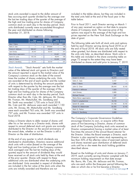stock units awarded is equal to the dollar amount of included in the tables above, but they are included in fees accruing each quarter divided by the average over the total units held at the end of the fiscal year in the the last ten trading days of the quarter of the average of table below. the high and low trading price for shares of Company common stock on each day in the ten-day period. Stock Prior to fiscal 2011, each Director serving on March 1<br>units distributed currently were accumulated throughout of any year received an option on that date to acquire units distributed currently were accumulated throughout the year and distributed as shares following shares of Company stock. The exercise price of the December 31, 2018. Compared to the average of the high and low

|                        | Cash                              |  |                             | <b>Stock Units</b>                 |              |
|------------------------|-----------------------------------|--|-----------------------------|------------------------------------|--------------|
|                        | Paid<br><b>Currently Deferred</b> |  | Value<br><b>Distributed</b> | <b>Currently Deferred Of Units</b> | Value Number |
| Mary T. Barra          |                                   |  | $-$                         | \$117,500                          | 1.099        |
| Safra A. Catz          |                                   |  | \$78.694                    |                                    | 736          |
| Francis A. deSouza     | \$39,347                          |  | 39.347                      |                                    | 368          |
| Jack Dorsey            | 26.167                            |  | 26.167                      |                                    | 247          |
| Maria Elena Lagomasino |                                   |  |                             | 125,667                            | 1.175        |
| Aylwin B. Lewis        | 103.125                           |  |                             | 46.875                             | 436          |
| Mark G. Parker         |                                   |  |                             | 120,000                            | 1.122        |
| Sheryl K. Sandberg     | 26.167                            |  | 26.167                      |                                    | 247          |

''Stock Awards'' sets forth the market *Stock Awards.* value of the deferred stock unit grants to Directors and the amount reported is equal to the market value of the Company's common stock on the date of the award times the number of shares underlying the units. Units are awarded at the end of each quarter and the number of units is determined by dividing the amount payable with respect to the quarter by the average over the last ten trading days of the quarter of the average of the high and low trading price for shares of the Company common stock on each day in the ten-day period. Each Director other than Ms. Catz, Mr. deSouza, Mr. Dorsey,<br>Mr. Froman, Mr. Matschullat, Ms. Sandberg and Mr. Froman, Mr. Matschullat, Ms. Sandberg and<br>
Mr. Smith was awarded 1,730 units in fiscal 2018. Tred H. Langhammer and Mr. deSouza were each awarded 1,150<br>
units, Mr. Dorsey, Mr. Matschullat and Ms. Sandberg (Nark G. Park fiscal 2018.

Unless a Director elects to defer receipt of shares until encourage Directors to own, or acquire within three after his or her service as a Director ends, shares with years of first becoming a Director, shares of common<br>
respect to annual deferred stock unit grants are normally stock of the Company (including stock units received respect to annual deferred stock unit grants are normally stock of the Company (including stock units received as<br>distributed to the Director on the second anniversary of Director compensation) having a market value of at the award date, whether or not the Director is still a five times the amount of the annual Board retainer for<br>Director on the date of distribution.

At the end of any quarter in which dividends are<br>distributed to shareholders, Directors receive additional<br>stock units with a value (based on the average of the<br>high and low trading prices of the Company common<br>stock avera quarter) equal to the amount of dividends they would<br>have received on all stock units held by them at the end<br>of the prior quarter. Shares with respect to these<br>additional units are distributed when the underlying units<br>ar

prices reported on the New York Stock Exchange on the date of grant.

The following table sets forth all stock units and options held by each Director serving during fiscal 2018 as of the end of fiscal 2018. All stock units are fully vested when granted, but shares are distributed with respect to the units only later, as described above. Stock units in this table are included in the share ownership table on page 72 except to the extent they may have been distributed as shares and sold prior to January 7, 2019.

|                        | <b>Stock</b> | Number of<br><b>Shares</b><br><b>Underlying</b><br><b>Options</b> |
|------------------------|--------------|-------------------------------------------------------------------|
|                        | <b>Units</b> | <b>Held</b>                                                       |
| Susan E. Arnold        | 18,372       |                                                                   |
| Safra A. Catz          | 3,157        |                                                                   |
| Mary T. Barra          | 1,895        |                                                                   |
| John S. Chen           | 28,444       | 6,143                                                             |
| Francis A. deSouza     | 1,525        |                                                                   |
| <b>Jack Dorsey</b>     | 2,685        |                                                                   |
| Michael Froman         | 107          |                                                                   |
| Maria Elena Lagomasino | 8,521        |                                                                   |
| Fred H. Langhammer     | 18,749       |                                                                   |
| Aylwin B. Lewis        | 24,193       | 6,143                                                             |
| Robert W. Matschullat  | 32,555       | 6,143                                                             |
| Mark G. Parker         | 7,766        |                                                                   |
| Sheryl K. Sandberg     | 2,685        |                                                                   |

The Company's *Corporate Governance Guidelines* distributed to the Director on the second anniversary of Director compensation) having a market value of at least the Director. Unless the Board exempts a Director, each

*Continues on which she or he first became a Director.*<br>Continues on next page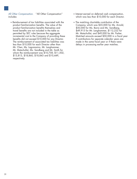*All Other Compensation.* ''All Other Compensation'' • Interest earned on deferred cash compensation, includes: which was less than \$10,000 for each Director.

- Reimbursement of tax liabilities associated with the The matching charitable contribution of the product familiarization benefits. The value of the Company, which was \$35,000 for Ms. Ari product familiarization benefits themselves and travel benefits are not included in the table as \$49,915 for Mr. Langhammer, \$112,222 for<br>permitted by SEC rules because the aggregate Mr. Matschullat, and \$49,000 for Mr. Parker. permitted by SEC rules because the aggregate benefits did not exceed \$10,000 for any Director. if contributions for separate calendar years are<br>The reimbursement of associated tax liabilities was made in the same fiscal year or if there were The reimbursement of associated tax liabilities was less than \$10,000 for each Director other than delays in processing earlier year matches. Mr. Chen, Ms. Lagomasino, Mr. Langhammer, Mr. Matschullat, Ms. Sandberg and Mr. Smith for whom the reimbursement was \$10,758, \$11,502, \$13,813, \$18,860, \$18,843 and \$10,449, respectively.
- 
- Company, which was \$35,000 for Ms. Arnold,<br>\$50,000 for Ms. Barra and Ms. Sandberg, incremental cost to the Company of providing these Matched amounts exceed \$50,000 in a fiscal year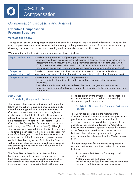## Compensation Discussion and Analysis

### **Executive Compensation Program Structure**

#### Objectives and Methods

We design our executive compensation program to drive the creation of long-term shareholder value. We do this by tying compensation to the achievement of performance goals that promote the creation of shareholder value and by designing compensation to attract and retain high-caliber executives in a competitive market for talent.

We have adopted the following approach to achieve these objectives:

| Pay for Performance                       | Provide a strong relationship of pay to performance through:<br>• A performance-based bonus tied to the achievement of financial performance factors and an<br>assessment of each executive's individual performance against other performance factors<br>• Equity awards that deliver value based on stock price performance and, in the case of<br>performance-based stock units, whose vesting depends on meeting performance targets |
|-------------------------------------------|------------------------------------------------------------------------------------------------------------------------------------------------------------------------------------------------------------------------------------------------------------------------------------------------------------------------------------------------------------------------------------------------------------------------------------------|
| Competitive<br><b>Compensation Levels</b> | Provide compensation opportunities that take into account compensation levels and<br>practices of our peers, but without targeting any specific percentile of relative compensation                                                                                                                                                                                                                                                      |
| <b>Compensation Mix</b>                   | Provide a mix of variable and fixed compensation that:<br>• Is heavily weighted toward variable performance-based compensation for senior<br>executives<br>• Uses short-term (annual performance-based bonus) and longer-term performance<br>measures (equity awards) to balance appropriately incentives for both short and long-term<br>performance                                                                                    |

#### *Peer Groups*

The Compensation Committee believes that the pool of<br>
talent with the set of creative and organizational skills Establishing Compensation Structure, Policies and<br>
Practice Practice needed to run a global creative organizat Company is quite limited and that, accordingly, the<br>
market for executive talent to lead the Company is best<br>
reflected by the five other major media companies who<br>
reflected by the five other major media companies who<br>
ha well as greater revenue, more diverse business segments<br>and greater operating income than all but one of the structure, policies and practices consists of companies<br>Media Industry Peers.<br>that have:

The Committee believes that executives with the • A consumer orientation and/or strong brand background needed to manage companies such as ours recognition; have career options with compensation opportunities • A global presence and operations;<br>
that normally exceed those available in most other • Annual revenue no less than 40% and no more than that normally exceed those available in most other • Annual revenue no less than 40% and no more industries and that compensation levels within the peer two and a half times our annual revenue; and industries and that compensation levels within the peer

group are driven by the dynamics of compensation in Establishing Compensation Levels the entertainment industry and not the ownership structure of a particular company.

21DEC201818175231

- 
- 
-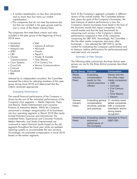- 
- but that are included in the peer groups used by one or more of the Media Industry Peers.

The companies that meet these criteria and were measuring such success is the Company's relative<br>included in the peer group at the beginning of fiscal performance compared to that of the companies included in the peer group at the beginning of fiscal performance compared to that of the companies

- 
- 
- 
- 
- 
- Charter Procter & Gamble Summary of Peer Groups<br>
Communications Time Warner
	-
- 
- 
- Facebook
- 
- 
- 
- 
- 
- PepsiCo<br>• Procter & Gamble
- 
- 
- 
- 
- 
- 

#### **Evaluating Performance**

The overall financial performance of the Company is driven by the sum of the individual performances of the driven by the sum of the individual performances of the<br>
Company's four segments — Media Networks, Parks<br>
and Resorts, Studio Entertainment and Consumer<br>
Products & Interactive Media. While the Company<br>
announced a strateg reporting systems to accommodate the new structure. Accordingly, we evaluated compensation in fiscal 2018 based on the earlier segments.

• A market capitalization no less than one-quarter Each of the Company's segments competes in different and no more than four times our market sectors of the overall market. The Committee believes capitalization; that, given the span of the Company's businesses, the • Plus companies that do not meet the revenue test, best measure of relative performance is how the the economic trends that impact companies in the overall market and that the best benchmark for comprising the S&P 500. Accordingly, the Committee — • Accenture • Intel<br>• Alphabet • Johnson & Johnson<br>• Almazon.com • Microsoft • Oracle<br>• AT&T • Oracle<br>• AT&T • Oracle • AT&T • Oracle restricted stock unit awards.

Communications • Time Warner<br>
• Cisco Systems • 21st Century Fox<br>
• Coca-Cola • Verizon Communications • Viacom<br>
• Coca-Cola • Viacom<br>
• Viacom<br>
• Viacom

| • Facebook                                                                                                                                                                                                                                                                                                                                                                                                                                                                                                                                                                                                                                             | Peer Group                        | <b>Purpose</b>                                                              | <b>Composition</b>                                                                                                                              |
|--------------------------------------------------------------------------------------------------------------------------------------------------------------------------------------------------------------------------------------------------------------------------------------------------------------------------------------------------------------------------------------------------------------------------------------------------------------------------------------------------------------------------------------------------------------------------------------------------------------------------------------------------------|-----------------------------------|-----------------------------------------------------------------------------|-------------------------------------------------------------------------------------------------------------------------------------------------|
| $\bullet$ IBM<br>Advised by its independent consultant, the Committee<br>reviewed the criteria for selecting members of this peer<br>group during fiscal 2018 and determined that the<br>criteria remained appropriate.<br><b>Evaluating Performance</b><br>The overall financial performance of the Company is<br>driven by the sum of the individual performances of the<br>Company's four segments - Media Networks, Parks<br>and Resorts, Studio Entertainment and Consumer<br>Products & Interactive Media. While the Company<br>announced a strategic reorganization of its businesses<br>into four operating segments in March 2018 (the newly- | Media<br><b>Industry</b><br>Peers | Evaluating<br>compensation<br>levels for the<br>named executive<br>officers | Disney and the<br>five other major<br>media companies:<br>$\cdot$ CBS<br>• Comcast<br>• 21st Century<br><b>Fox</b><br>• Time Warner<br>• Viacom |
|                                                                                                                                                                                                                                                                                                                                                                                                                                                                                                                                                                                                                                                        | General<br>Industry<br>Peers      | Evaluating general<br>compensation<br>structure, policies<br>and practices  | 21 similarly-sized<br>global companies<br>with a consumer<br>orientation and/or<br>strong brand<br>recognition                                  |
| formed Direct-to-Consumer and International; the<br>combined Parks, Experiences and Consumer Products;<br>Media Networks; and Studio Entertainment) we<br>continued to report financial results based on the old<br>seaments throughout the fiscal year while we undated                                                                                                                                                                                                                                                                                                                                                                               | Performance<br><b>Peers</b>       | <b>Evaluating relative</b><br>economic<br>performance of<br>the Company     | Standard & Poor's<br>(S&P) 500                                                                                                                  |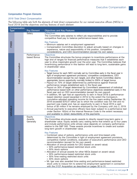### Compensation Program Elements

#### *2018 Total Direct Compensation*

The following table sets forth the elements of total direct compensation for our named executive officers (NEOs) in fiscal 2018 and the objectives and key features of each element:

| <b>Type</b>     | Compensation             | <b>Pay Element</b>            | <b>Objectives and Key Features</b>                                                                                                                                                                                                                                                                                                                                                                                                                                                                                                                                                                                                                                                                                                                                                                                                                                                                                                                                                                                                                                                                                                                                                                                                                                                                                                                                                                                                    |
|-----------------|--------------------------|-------------------------------|---------------------------------------------------------------------------------------------------------------------------------------------------------------------------------------------------------------------------------------------------------------------------------------------------------------------------------------------------------------------------------------------------------------------------------------------------------------------------------------------------------------------------------------------------------------------------------------------------------------------------------------------------------------------------------------------------------------------------------------------------------------------------------------------------------------------------------------------------------------------------------------------------------------------------------------------------------------------------------------------------------------------------------------------------------------------------------------------------------------------------------------------------------------------------------------------------------------------------------------------------------------------------------------------------------------------------------------------------------------------------------------------------------------------------------------|
|                 |                          | Salary                        | <b>Objectives</b><br>The Committee sets salaries to reflect job responsibilities and to provide<br>competitive fixed pay to balance performance-based risks.                                                                                                                                                                                                                                                                                                                                                                                                                                                                                                                                                                                                                                                                                                                                                                                                                                                                                                                                                                                                                                                                                                                                                                                                                                                                          |
| <b>FIXED</b>    |                          |                               | <b>Key Features</b><br>• Minimum salaries set in employment agreement<br>• Compensation Committee discretion to adjust annually based on changes in<br>experience, nature and responsibility of the position, competitive<br>considerations, and CEO recommendation (except his own salary)                                                                                                                                                                                                                                                                                                                                                                                                                                                                                                                                                                                                                                                                                                                                                                                                                                                                                                                                                                                                                                                                                                                                           |
|                 |                          | Performance-<br>based Bonus   | <b>Objectives</b><br>The Committee structures the bonus program to incentivize performance at the<br>high end of ranges for financial performance measures that it establishes each<br>year to drive meaningful growth over the prior year. The Committee believes that<br>incentivizing performance in this fashion will lead to long-term, sustainable gains<br>in shareholder value.                                                                                                                                                                                                                                                                                                                                                                                                                                                                                                                                                                                                                                                                                                                                                                                                                                                                                                                                                                                                                                               |
| <b>VARIABLE</b> | <b>Cash Compensation</b> |                               | <b>Key Features</b><br>• Target bonus for each NEO normally set by Committee early in the fiscal year in<br>light of employment agreement provisions, competitive considerations, CEO<br>recommendation (except his own target), and other factors Committee deems<br>appropriate; bonus opportunity normally limited to 200% of target bonus<br>• Payout on 70% of target determined by performance against financial<br>performance ranges established early in the fiscal year<br>• Payout on 30% of target determined by Committee's assessment of individual<br>performance based both on other performance objectives established early in the<br>fiscal year and on CEO recommendation (except his own payout)<br>• In addition, Mr. Iger had an opportunity to earn in fiscal 2018 a performance-<br>based retention award (awarded in 2014) to the extent the Company's<br>cumulative adjusted operating income for the five years ending September 29,<br>2018 exceeded \$76.01 billion (as to which the condition was not met and no<br>payment was made) and, has an opportunity to earn in fiscal 2019 a cash<br>bonus of \$5 million if he remains employed by the Company until July 2, 2019.<br>• Annual payments to executive officers have been subject to a performance test<br>under Section 162(m) of the Internal Revenue Code to the extent necessary<br>and available to obtain deductibility of the payments |
|                 |                          | Equity<br>Awards<br>Generally | <b>Objectives</b><br>The Committee structures equity awards to directly reward long-term gains in<br>shareholder value. Equity awards carry vesting terms that extend up to four years<br>and include performance units whose value depends on company performance<br>relative to the S&P 500. These awards provide incentives to create and sustain<br>long-term growth in shareholder value.<br><b>Key Features</b><br>• Combined value of options, performance units and time-based units<br>determined by the Committee in light of employment agreement provisions,                                                                                                                                                                                                                                                                                                                                                                                                                                                                                                                                                                                                                                                                                                                                                                                                                                                              |
|                 | Equity Compensation      |                               | competitive market conditions, evaluation of executive's performance and CEO<br>recommendation (except for his own award)<br>• Allocation of annual awards for CEO (based on award value):<br>• 50% performance-based restricted stock units<br>• 50% stock options<br>• Allocation of annual awards for other NEOs (based on award value):<br>• 30% performance-based restricted stock units<br>• 30% time-vesting restricted stock units<br>• 40% stock options<br>• Mr. Iger was also awarded time-vesting and performance-based restricted<br>stock units to induce him to extend his employment agreement in connection<br>with the 21CF Acquisition as described on pages 30 to 31.                                                                                                                                                                                                                                                                                                                                                                                                                                                                                                                                                                                                                                                                                                                                             |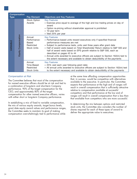|                 | Compensation        | Pay Element                                                         | <b>Objectives and Key Features</b>                                                                                                                                                                                                                                                                                                                                                                                                                                                                                                                                      |
|-----------------|---------------------|---------------------------------------------------------------------|-------------------------------------------------------------------------------------------------------------------------------------------------------------------------------------------------------------------------------------------------------------------------------------------------------------------------------------------------------------------------------------------------------------------------------------------------------------------------------------------------------------------------------------------------------------------------|
| <b>Type</b>     |                     | Stock Option<br>Awards                                              | <b>Key Features</b><br>• Exercise price equal to average of the high and low trading prices on day of<br>award<br>• Option re-pricing without shareholder approval is prohibited<br>• 10-year term<br>• Vest 25% per year                                                                                                                                                                                                                                                                                                                                               |
| <b>VARIABLE</b> | Equity Compensation | Annual<br>Performance-<br>Based<br>Restricted<br><b>Stock Units</b> | <b>Key Features</b><br>• Performance-based units reward executives only if specified financial<br>performance measures are met<br>• Subject to performance tests, units vest three years after grant date<br>• Half of award vests based on Total Shareholder Return relative to S&P 500 and<br>half of award vests based on EPS growth relative to S&P 500, each as<br>described on pages 43 to 44<br>• Annual units awarded to executive officers are subject to Section 162(m) test to<br>the extent necessary and available to obtain deductibility of the payments |
|                 |                     | Annual<br>Time-Based<br>Restricted<br><b>Stock Units</b>            | <b>Key Features</b><br>• 25% vest each year following grant date<br>• All annual units awarded to executive officers are subject to Section 162(m) test<br>to the extent necessary and available to obtain deductibility of the payments                                                                                                                                                                                                                                                                                                                                |

#### *Compensation at Risk*

In establishing a mix of tixed to variable compensation,<br>the mix of various equity awards, target bonus levels,<br>grant date equity award values and performance ranges,<br>the Committee seeks to maintain its goal of making<br>comp

at the same time affording compensation opportunities The Committee believes that most of the compensation<br>for named executive officers should be at risk and tied to<br>a combination of long-term and short-term Company<br>performance. 90% of the target compensation for the<br>CEO, and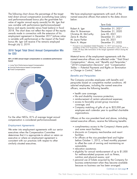The following chart shows the percentage of the target We have employment agreements with each of the<br>total direct annual compensation (constituting base salary named executive officers that extend to the dates shown total direct annual compensation (constituting base salary and performance-based bonus plus the grant-date fair below: value of regular annual equity awards) for Mr. Iger that was variable with performance (performance-based bonus and equity awards) versus fixed (salary) in fiscal<br>2018. The chart does not reflect the impact of the equity 2018. The chart does not reflect the impact of the equity Alan N. Braverman and December 31, 2020<br>
employment agreement in December 2017 (whose value is variable with performance) or the impact of the fixed<br>
bonus Mr. Iger

### 2018 Target Total Direct Annual Compensation Mix for CEO

- **Long Term Performance-based Compensation**
- Annual Performance-based Compensation
- Fixed Compensation



#### *Employment Agreements*

We enter into employment agreements with our senior and some resort facilities;<br>executives when the Compensation Committee **and some of the solution of the Compensation** Committee executives when the Compensation Committee determines that it is appropriate to attract or retain an facilities;<br>executive or where an employment agreement is **executive** for officers at the vice president level and higher executive or where an employment agreement is **•** for officers at the vice president level and higher<br>
consistent with our practices with respect to other **before October 1, 2012, a fixed monthly payment** consistent with our practices with respect to other similarly situated executives. the costs of owning and maintaining and maintaining and maintaining and maintaining and  $\frac{1}{2}$ 

|                                                                                                                     | ierm Ends                                                                                                                       |
|---------------------------------------------------------------------------------------------------------------------|---------------------------------------------------------------------------------------------------------------------------------|
| Robert A. Iger<br>Alan N. Braverman<br>Christine M. McCarthy<br>Zenia B. Mucha<br>M. Jayne Parker<br>Kevin A. Mayer | December 31, 2021 <sup>*</sup><br>December 31, 2020<br>June 30, 2021<br>December 31, 2021<br>June 30, 2021<br>December 31, 2022 |
|                                                                                                                     |                                                                                                                                 |

completion of the 21CF Acquisition. Otherwise, termination is July 2, 2019 or, if later, 90 days after termination of the merger agreement without closing the transaction.

Material terms of the employment agreements with the **90% of CEO annual target compensation is considered performance-** named executive officers are reflected under ''*Total Direct* **based** *Compensation,*'' above, and ''*Benefits and Perquisites,*'' ''*2018 Compensation Decisions*'' and ''*Compensation Tables — Potential Payments and Rights on Termination or Change in Control*,'' below.

#### *Benefits and Perquisites*

The Company provides employees with benefits and perquisites based on competitive market conditions. All salaried employees, including the named executive officers, receive the following benefits:

- health care coverage;
- life and disability insurance protection;
- reimbursement of certain educational expenses;
- access to favorably priced group insurance coverage; and
- Company matching of gifts of up to \$25,000 per employee each calendar year to qualified charitable organizations.

For the other NEOs, 81% of average target annual Officers at the vice president level and above, including compensation is considered performance-based. The named executive officers, receive the following benefits:

- complimentary access to the Company's theme parks
- 
- automobile;
- relocation assistance;
- eligibility for annual reimbursement of up to \$1,000 for wellness-related purposes such as fitness, nutrition and physical exams; and
- personal use of tickets acquired by the Company for business entertainment when they become available because no business use has been arranged.

*Continues on next page*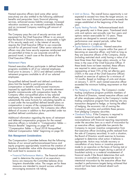Named executive officers (and some other senior **•** Limit on Bonus. The overall bonus opportunity is not executives) are also entitled to the following additional expected to exceed two times the target amount, no<br>benefits and perquisites: basic financial planning matter how much financial performance exceeds the services, enhanced excess liability coverage, increased ranges established at the beginning of the fiscal relocation assistance, an increased automobile benefit, year.<br>and an increased Company matching gift amount of  $\bullet$  Equit and an increased Company matching gift amount of **•** Equity Vesting Periods. Performance-based stock

The Company pays the cost of security services and<br>equipment for the Chief Executive Officer in an amount<br>that the Board of Directors believes is reasonable in light<br>of his security needs and, in the interest of security,<br> personal travel, in each case at the discretion of the the state of the versultive officers of the Company, shares<br>Chief Executive Officer.

#### *Retirement Plans*

hired prior to January 1, 2012 and defined contribution representing at least 75% of the net after-tax gain<br>retirement programs available to all of our salaried (100% in the case of the Chief Executive Officer) employees.  $\sim$ 

Tax-qualified defined benefit and defined contribution<br>plans limit the benefit to participants whose<br>compensation or benefits would exceed maximums<br>imposed by applicable tax laws. To provide retirement<br>and the No Hedging o imposed by applicable tax laws. To provide retirement<br>
benefits commensurate with compensation levels, the<br>
Company offers non-qualified plans to key salaried<br>
company offers non-qualified plans to key salaried<br>
employees,

and deferred compensation programs for the named<br>executive officers is included in "Compensation Tables — under the securities laws as a result of misconduct by executive officers is included in ''*Compensation Tables* — under the securities laws as a result of misconding<br>Pension Benefits'' beginning on page 49 and **and a resecutive officer, applicable law** permits the Pension Benefits'' beginning on page 49 and and an executive officer, applicable law permits the<br>''Compensation Tables — Fiscal 2018 Nongualified Company to recover incentive compensation from ''*Compensation Tables — Fiscal 2018 Nonqualified* Company to recover incentive compensation from *Deferred Compensation Table*" beginning on page 50.

#### Risk Management Considerations

• Financial Performance Metrics. The financial metrics hinancial results if the Board determines that such used to determine the amount of an executive's recovery or cancellation is appropriate due to long-term shareholder value. The ranges set for these resulted in performance targets being achieved<br>measures are intended to reward success without resulted that have been achieved absent such measures are intended to reward success without would not have achieved absorber to the beat such a<br>have been accessive risk taking encouraging excessive risk taking.

- matter how much financial performance exceeds the
- \$50,000.<br>The contract of constructions and the stock whits generally vest in three years. Time-based stock<br>units and options vest annually over four years and
- least three times their base salary amounts, or five times in the case of the Chief Executive Officer. If Named executive officers participate in defined benefit these levels have not been reached, these officers programs available to all of our salaried employees are required to retain ownership of shares 12 months. Based on holdings of units and shares • Equity Retention Guidelines. Named executive
	- No Hedging or Pledging. The Company's insider
- Additional information regarding the terms of retirement restate its financial results due to material<br>and deferred compensation programs for the named noncompliance with financial reporting requirements the sale of Company securities). In such a situation, the Board of Directors would exercise its business The Compensation Committee believes that the following<br>
features of our annual performance-based bonus and<br>
equity programs appropriately incentivize the creation of<br>
long-term shareholder value while discouraging behavior bonus are measures the Committee believes drive intentional misconduct by the executive officer that<br>long-term shareholder value. The ranges set for these in the resulted in performance targets being achieved that • Clawback Policy. If the Company is required to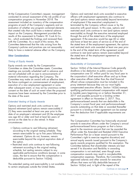At the Compensation Committee's request, management Options and restricted stock units awarded to executive conducted its annual assessment of the risk profile of our officers with employment agreements also continue to assessment included an inventory of the compensation of employment if the executive's employment is programs at each of the Company's segments and an terminated by the Company without cause or by the evaluation of whether any program contained elements executive with good reason. In this case, options and evaluation of whether any program contained elements impact on the Company. Management provided the exercisable) as though the executive remained employed results of this assessment to Frederic W. Cook & Co., through the end of the stated term of the employment Inc., which evaluated the findings and reviewed them agreement. If the executive would be age 60 or older<br>with the Committee. As a result of this review, the and have at least ten years of service as of the end of likely to have a material adverse effect on the Company. to the end of the stated term of the agreement would

#### Other Considerations

#### *Timing of Equity Awards*

Equity awards are made by the Compensation Committee on dates the Committee meets. Committee Section 162(m) of the Internal Revenue Code generally<br>meetings are normally scheduled well in advance and disallows a tax deduction to public corporations for meetings are normally scheduled well in advance and are not scheduled with an eye to announcements of compensation over \$1 million paid for any fiscal year to<br>material information regarding the Company. The the corporation's chief executive officer and up to three material information regarding the Company. The the corporation's chief executive officer and up to three<br>Committee may make an award with an effective date in the executive officers (other than the chief financial Committee may make an award with an effective date in other executive officers (other than the chief financial the future contingent on commencement of employment, officer) whose compensation must be included in this execution of a new employment agreement or some execution of a new employment agreement or some proxy statement because they are our most highly<br>other subsequent event, or may act by unanimous written compensated executive officers. Section 162(m) exempts other subsequent event, or may act by unanimous written compensated executive officers. Section 162(m) exempts consent on the date of such an event when the proposed qualifying performance-based compensation with respeen<br>In the Committee prior to that above years beginning on or before December 31, issuances have been reviewed by the Committee prior to the date of the event. 2017 and payable pursuant to a binding written

#### *Extended Vesting of Equity Awards*

Options and restricted stock units continue to vest<br>beyond retirement (and options remain exercisable) if<br>(1) they were awarded at least one year prior to the<br>date of an employee's retirement and (2) the employee<br>was age 6

- 
- 

The extended vesting and exercisability is not available officers that were not fully deductible because of to certain employees outside the United States.

compensation programs in November 2018. The vest (and options remain exercisable) beyond termination that created risks that could have a material adverse restricted stock units continue to vest (and options remain and have at least ten years of service as of the end of Committee determined that the risks arising from the the stated term of the employment agreement, the options Company's policies and practices are not reasonably and restricted stock units awarded at least one year prior continue to vest (and options remain exercisable) beyond the stated term of the employment agreement as described above.

#### *Deductibility of Compensation*

agreement in effect on November 2, 2017. Thus, performance-based awards that are deductible in the

service on the date he or she retired. In these The Compensation Committee has historically structured<br>circumstances:<br> $\alpha$ • Options continue to vest following retirement<br>
according to the original vesting schedule. They<br>
equal to the maximum amount that can be available for up to five years following<br>
equal to the maximum amount that can be

*Continues on next page*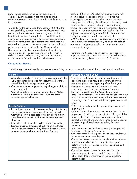performance-based compensation exception to Section 162(m) test. Adjusted net income means net Section 162(m), expects in the future to approve income adjusted, as appropriate, to exclude the additional compensation that is not deductible for income following items or variances: change in accounting additional compensation that is not deductible for income tax purposes. principles; acquisitions; dispositions of a business; asset

To qualify for the exemption from Section 162(m) to the unusual or infrequent items; and extraordinary litigate<br>extent available, awards to executive officers under the costs and insurance recoveries. For fiscal 2018, the extent available, awards to executive officers under the annual performance based bonus program and the long-term incentive program that are available for the Company achieved adjusted net income of subject to achievement of a performance test based on adjusted net income. If this test is satisfied, the additional real estate and property rights, and restructuring and performance tests described in this Compensation impairment charges. Discussion and Analysis are applied to determine the actual payout of such bonuses and awards, which in Therefore, the Section 162(m) test was satisfied with order to remain deductible may not be more than the respect to bonuses earned in fiscal 2018 and restriction order to remain deductible may not be more than the respect to bonuses earned in fiscal 2018 and restricted maximum level funded based on achievement of the stock units vesting based on fiscal 2018 results.

impairments; restructuring charges; extraordinary, adjusted net income target was \$5.9 billion, and the \$10.7 billion. Net income was adjusted by gains due to<br>non-recurring tax reform benefits, gains on the sale of

stock units vesting based on fiscal 2018 results.

#### Compensation Process

The following table outlines the process for determining annual compensation awards for named executive officers:

| <b>Salaries</b>                                                                                                                                                                                                                                                                                                                                                                                                                                               | <b>Performance-Based Bonus</b>                                                                                                                                                                                                                                                                                                                                                                                                                                                                                                                                                                                                                                                                                                                                                                                                                                                            |
|---------------------------------------------------------------------------------------------------------------------------------------------------------------------------------------------------------------------------------------------------------------------------------------------------------------------------------------------------------------------------------------------------------------------------------------------------------------|-------------------------------------------------------------------------------------------------------------------------------------------------------------------------------------------------------------------------------------------------------------------------------------------------------------------------------------------------------------------------------------------------------------------------------------------------------------------------------------------------------------------------------------------------------------------------------------------------------------------------------------------------------------------------------------------------------------------------------------------------------------------------------------------------------------------------------------------------------------------------------------------|
| • Annually, normally at the end of the calendar year, the<br>CEO recommends salaries for executives other than<br>himself for the following calendar year<br>• Committee reviews proposed salary changes with input<br>from consultant<br>• Committee determines annual salaries for all NEOs<br>• Committee reviews determinations with the other<br>non-management directors                                                                                | • Committee participates in regular Board review of<br>operating plans and results and review of annual<br>operating plan at the beginning of the fiscal year<br>• Management recommends financial and other<br>performance measures, weightings and ranges<br>• Early in the fiscal year, the Committee reviews<br>proposed performance measures and ranges with input<br>from consultant and determines performance measures<br>and ranges that it believes establish appropriate stretch<br>goals                                                                                                                                                                                                                                                                                                                                                                                      |
| <b>Equity Awards</b>                                                                                                                                                                                                                                                                                                                                                                                                                                          | • CEO recommends bonus targets for executives other                                                                                                                                                                                                                                                                                                                                                                                                                                                                                                                                                                                                                                                                                                                                                                                                                                       |
| • In first fiscal quarter, CEO recommends grant date fair<br>value of awards for executives other than himself<br>• Committee reviews proposed awards with input from<br>consultant and reviews with other non-management<br>directors<br>• Committee determines the dollar values of awards<br>• Exercise price and number of options and restricted<br>stock units are determined by formula based on market<br>price of common shares on the date of award | than himself<br>• Early in the fiscal year, the Committee reviews bonus<br>targets with input from its consultant and in light of the<br>targets established by employment agreements and<br>competitive conditions and determines bonus targets as<br>a percentage of fiscal year-end salary for each<br>executive<br>• After the end of the fiscal year, management presents<br>financial results to the Committee<br>• CEO recommends other performance factor multipliers<br>for executives other than himself<br>• Committee reviews the results and determines whether<br>to make any adjustments to financial results and<br>determines other performance factor multipliers and<br>establishes bonus<br>• Committee reviews determinations with the other<br>non-management directors and, in the case of the<br>CEO, seeks their concurrence in the Committee's<br>determination |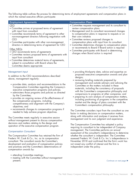The following table outlines the process for determining terms of employment agreements and compensation plans in which the named executive officers participate:

| <b>Employment Agreements</b>                                                                                                                                                                                                                                                                                                                                                                                                                                                                                                                                                                                          | <b>Compensation Plans</b>                                                                                                                                                                                                                                                                                                                                                                                                                                                                                                           |
|-----------------------------------------------------------------------------------------------------------------------------------------------------------------------------------------------------------------------------------------------------------------------------------------------------------------------------------------------------------------------------------------------------------------------------------------------------------------------------------------------------------------------------------------------------------------------------------------------------------------------|-------------------------------------------------------------------------------------------------------------------------------------------------------------------------------------------------------------------------------------------------------------------------------------------------------------------------------------------------------------------------------------------------------------------------------------------------------------------------------------------------------------------------------------|
| <b>CEO</b><br>• Committee arrives at proposed terms of agreement<br>with input from consultant<br>• Committee recommends terms of agreement to other<br>non-management directors following negotiation with<br><b>CEO</b><br>• Committee participates with other non-management<br>directors in determining terms of agreement for CEO<br>Other NEOs<br>• CEO recommends terms of agreements<br>• Committee reviews proposed terms of agreements with<br>input from consultant<br>• Committee determines material terms of agreements,<br>subject to consultation with Board where the<br>Committee deems appropriate | • Committee requests management and its consultant to<br>review compensation plans<br>• Management and its consultant recommend changes<br>to compensation plans in response to requests or on<br>their own initiative<br>• Committee reviews proposed changes to<br>compensation plans with input from its consultant<br>• Committee determines changes to compensation plans<br>or recommends to Board if Board action is required<br>• Committee participates with Board in determining<br>changes when Board action is required |

#### *Management Input*

- 
- 
- 
- 

#### *Compensation Consultant*

development and evaluation of compensation policies not raised any conflict of interest and the firm is and practices and the Committee's determinations of independent under the policy. compensation awards by:

- attending Committee meetings;
- meeting with the Committee without management present;
- providing third-party data, advice and expertise on In addition to the CEO recommendations described proposed executive compensation awards and plan designs;<br>above, management regularly: • reviewing briefing materials prepared by
	- provides data, analysis and recommendations to the<br>
	Compensation Committee regarding the Company's<br>
	executive compensation programs and policies;<br>
	 administers those programs and policies as directed<br>
	by the Committee',
		-

• recommends changes to compensation programs if The Committee considers input from the consultant as one needed to help achieve program objectives. factor in making decisions on compensation matters, along with information and analyses it receives from The Committee meets regularly in executive session management and its own judgment and experience. without management present to discuss compensation

decisions and matters relating to the design and The Compensation Committee has adopted a policy<br>operation of the executive compensation program. The Compensation Committee has adopted a policy<br>requiring its consultant to management. The Committee performs an annual assessment of the consultant's independence to determine The Compensation Committee has retained the firm of whether the consultant is independent. The Committee Frederic W. Cook & Co., Inc. as its compensation assessed Frederic W. Cook & Co. Inc.'s independence in consultant. The consultant assists the Committee's November 2018 and confirmed that the firm's work has

*Continues on next page*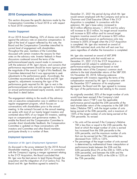### **2018 Compensation Decisions**

This section discusses the specific decisions made by the Chairman and Chief Executive Officer if the 21C<br>Compensation Committee in fiscal 2018 or with respect Acquisition is completed. In connection with this Compensation Committee in fiscal 2018 or with respect Acquisition is completed. In connection with the fiscal 2018 or with respect extension, Mr. Iger's base salary increased to

#### Investor Engagement

At our 2018 Annual Meeting, 52% of shares cast voted<br>against the advisory vote on executive compensation. In<br>light of the level of support reflected by this vote, the<br>Board and the Compensation Committee intensified its<br>no discussed with certain investors the reasons for their<br>discussion the devisory volet. Investor feelocak in these<br>discussions coalesced around the terms of the<br>performance-based equity award made in connection<br>performance-b

The engagement relating to the results of the advisory<br>vould have been earned if the Company's total<br>vote on executive compensation was in addition to our<br>regular engagement program, which focuses on<br>conversations with sha enable the Board and the Compensation Committee to<br>
consider direct shareholder feedback, the Compensation<br>
Committee is updated on these conversations with<br>
investors and Committee and other Board members<br>
participate dir

#### Employment Agreements

#### *Extension of Mr. Iger's Employment Agreement*

As discussed in the proxy statement for the 2018 Annual Shareholder meeting, in December 2017, in connection 65th percentile (from 0% at the 25th to 100% at the with the Company's signing a merger agreement relating 65th percentile), and between the 65th and the with the Company's signing a merger agreement relating<br>to the 21CF Acquisition, the Board concluded that Mr. Iger was the best person to lead Disney through the the 75th percentile). acquisition and the integration of 21st Century Fox. The Board and Mr. Iger therefore agreed to extend to

December 31, 2021 the period during which Mr. Iger would remain employed with the Company and serve as<br>Chairman and Chief Executive Officer if the 21CF extension, Mr. Iger's base salary increased to to fiscal 2018 compensation. \$3.0 million effective January 1, 2018 and his salary will increase to \$3.5 million, his target annual incentive will increase to \$20 million and his annual target

described in detail below. As originally awarded, 50% of the target number of units

- that can be earned (at the 75th percentile) has decreased from 150% to 125%.
- The percentage of the target number of units earned is determined by mathematical linear interpolation at<br>performance levels between the 25th and the 75th percentile (from 100% at the 65th to 125% at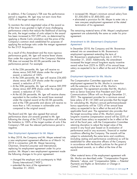In addition, if the Company's TSR over the performance • increased Mr. Mayer's minimum annual salary from period is negative, Mr. Iger may not earn more than \$1,500,000 to \$1,800,000; and 100% of the target number of units. • eliminated a provision for Mr. Mayer to enter into a

To maintain the initial negotiated value of the award as termination of his agreement. of the time it was granted in light of more challenging performance criteria that reduce the likelihood of earning The remaining material terms of Mr. Mayer's employment the units, the target number of units subject to the award agreement are substantially the same as under his prior has been increased to 937,599 units, as determined by agreement. applying a Monte Carlo simulation and the price of the Company's common stock established for purposes of applying the exchange ratio under the merger agreement for the 21CF Acquisition. In December 2018, the Company and Mr. Braverman

- award, a reduction of 100%.
- At the 35th percentile, Mr. Iger will receive 234,400 shares versus 481,529 shares under the original The Compensation Committee approved a new<br>award, a reduction of 51%. employment agreement for Ms. Mucha in conne
- At the 50th percentile, Mr. Iger will receive 585,999 with the extension of the term of Ms. Mucha's
- At the 60.5th percentile, Mr. Iger will receive shares Communications Officer will run through December 31, more than a 14% increase in achievable units bonus opportunity will be 125% of her annual base compared to the original award.  $\blacksquare$  salary as expected to be in effect at the end of the

The Board and Mr. Iger also agreed that annual the target accounting value of Ms. Mucha's annual<br>performance share unit awards granted to Mr. Iger long-term incentive compensation award will be 22 following the closing of the 21CF Acquisition will include her annual base salary as expected to be in effect at the the limitation to 100% of the target number of units if the end of the fiscal year, with the Compensation Committee Company's TSR over the relevant performance period is retaining discretion to adjust the target value of the negative. The award in any fiscal year based on its evaluation of

#### *New Employment Agreement for Mr. Mayer*

In May 2018, the Company and Mr. Mayer entered into<br>
a new employment agreement effective as of March 14,<br>
2018 in connection with Mr. Mayer becoming<br>
Chairman, Direct-to-Consumer and International,<br>
replacing his employme

- 
- 
- 
- new one-year employment agreement at the stated

#### *Amendment to Mr. Braverman's Employment Agreement*

As a result of this Amendment and the more rigorous<br>
performance goals, Mr. Iger will receive fewer shares<br>
than under the original award if the Company's Relative<br>
TSR does not exceed the 60.5th percentile over the<br>
perfo • At the 25th percentile, Mr. Iger will receive no salary as expected to be in effect at the end of the fiscal shares versus 343,949 shares under the original

#### *Employment Agreement for Ms. Mucha*

employment agreement for Ms. Mucha in connection shares versus 687,898 shares under the original employment. The agreement provides that Ms. Mucha's emax Senior Executive Vice President and Chief term as Senior Executive Vice President and Chief equivalent to the number he would have received 2021. The agreement provides for a minimum annual under the original award at the 60.5th percentile, base salary of \$1,161,840 and provides that the target and at the 75th percentile and above will receive no for calculating Ms. Mucha's annual performance-based applicable fiscal year. The agreement also provides that long-term incentive compensation award will be 225% of performance and/or any economic, financial or market conditions affecting the Company. The awards will be

the following changes to his prior agreement:<br>Cher material terms of the employment agreement with<br>Ms. Mucha are described under "Compensation Program" • changed the employer and counterparty to Walt<br>
Disney International ("WDI");<br>
• extended the term of the agreement to<br>
December 31, 2022;<br>
December 31, 2022;

*Continues on next page*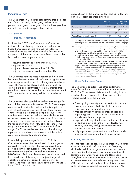# Performance Goals

The Compensation Committee sets performance goals for each fiscal year early in that year, and evaluates performance against those goals after the fiscal year has<br>ended to arrive at its compensation decisions.

# *Setting Goals*

### Financial Performance

In November 2017, the Compensation Committee<br>
reviewed the functioning of the annual performance-<br>
based bonus program and retained the following<br>
based bonus program and retained the following<br>
based bonus program and ret based bonus program and retained the following free cash flow'' takes into account the adjustments described on page<br>Sinancial measures and relative weights for calculating and was defined as cash provided by operations pl financial measures and relative weights for calculating<br>the portion of the named executive officers' bonuses that properties, all on an equity basis (i.e., including Hong Kong Disneyland is based on financial performance: and Shanghai Disney Resort as if they were equity investments rather than

- adjusted segment operating income (25.0%)
- 
- 
- adjusted return on invested capital (25.0%)

The Committee retained these measures and weightings. because it believes successful performance against these<br>measures promotes the creation of long-term shareholder Other Performance Factors value. The Committee places slightly more weight on<br>adjusted EPS and slightly less weight on after-tax free The Committee also established other performance<br>cash flow because, between the two, it believes adjusted factors

The Committee also established performance ranges for<br>
each of the measures in Nowember 2017. These ranges<br>
are used to determine the multiplier that is applied to<br>
70% of each named executive officer's target bonus. The<br>

In establishing these ranges for fiscal 2018, the Committee increased the overall level of the ranges for After the fiscal year ended, the Compensation Committee adjusted after-tax free cash flow to reviewed the overall performance of the Company adjusted EPS and adjusted after-tax free cash flow to<br>provide incentives for overall growth. The Committee which reflected financial growth in a number of areas.<br>recognized the significant capital investments in These incl recognized the significant capital investments in These included higher guest volume and spending at<br>BAMTech and Parks and Resorts, and therefore reduced domestic parks. Disneyland Paris and Hong Kong

ranges chosen by the Committee for fiscal 2018 (dollars in millions except per share amounts):

|                                        | Fiscal 2017<br>Actual | Fiscal 2018<br><b>Target Range</b> |
|----------------------------------------|-----------------------|------------------------------------|
| Adjusted Segment Operating Income*     | \$14,900              | \$12,650-\$17,112                  |
| Adjusted EPS*                          | \$5.67                | \$4.80-\$6.96                      |
| Adjusted After-tax free cash flow**    | \$9,044               | \$4,366-\$11,510                   |
| Adjusted Return on Invested Capital*** | 13.1%                 | 10.6%-13.8%                        |

- For purposes of the annual performance-based bonuses, "adjusted segment operating income" adjusted EPS reflect the adjustments described on page
- on a consolidated basis).
- \*\*\* For purposes of the annual performance-based bonuses, ''adjusted return • adjusted EPS (28.6%)<br>• adjusted after tax free each flow (21.4%) page 33 and was defined as the aggregate adjusted segment operating adjusted after-tax free cash flow (21.4%) income less corporate and unallocated shared expenses (both on an • adjusted after-tax free cash flow (21.4%) and ther-tax basis), divided by average net assets (including net goo Disneyland and Shanghai Disney Resort as if they were equity investments

- 
- 
- 
- 
- 

### *Evaluating Performance*

BAMTech and Parks and Resorts, and therefore reduced<br>the overall level of the ranges for adjusted segment<br>operating income and adjusted return on invested<br>capital. The following table shows actual performance in<br>fiscal 201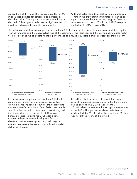in each case adjusted for compensation purposes as set forth in the proxy statement summary beginning on described below. The adjusted return on invested capital page 1. Based on these results, the weighted financial declined 10 basis points, reflecting the significant capital performance factor was 139% in fiscal 2018 compared investments designed to promote future growth. to a factor of 100% in fiscal 2017.

adjusted EPS of 14% and after-tax free cash flow of 3%, Additional detail regarding fiscal 2018 performance is

The following chart shows actual performance in fiscal 2018 with respect to each of these measures relative to prior year performance and the ranges established at the beginning of the fiscal year and the resulting performance factor used in calculating the aggregate financial performance goal multiple. (Dollars in millions except per share amounts)



In comparing actual performance for fiscal 2018 to the In addition, the Committee determined that, because performance ranges, the Compensation Committee cumulative adjusted operating income for the five years<br>adjusted for the impacts of: recurring and non-recurring ending September 29, 2018 was less than adjusted for the impacts of: recurring and non-recurring tax-reform benefits recorded in fiscal 2018, gains on the \$76.01 billion, the condition for Mr. Iger to receive any sale of real estate and property rights, restructuring and of the \$60 million performance-based retention award impairment charges, a one-time \$1,000 employee made in October 2014 had not been met, and Mr. Iger bonus, expenses related to the 21CF Acquisition, was not entitled to any of that award. expenses related to content development for direct-to-consumer streaming services, and foregone revenue from content licensing attributable to the revised distribution strategy.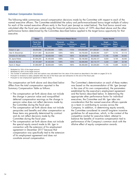### Individual Compensation Decisions

The following table summarizes annual compensation decisions made by the Committee with respect to each of the named executive officers. The Committee established the salary and performance-based bonus target multiple of salary for each of the named executive officers early in the fiscal year (except as noted below). The final bonus award was calculated after the fiscal year ended using the financial performance factor of 139% described above and the other performance factors determined by the Committee described below applied to the target bonus opportunity for that executive.

|                       | Salary                                                        |               |                                                                                       | Performance-Based Bonus | <b>Equity Awards</b> |              |                                           |                                    |                      |  |
|-----------------------|---------------------------------------------------------------|---------------|---------------------------------------------------------------------------------------|-------------------------|----------------------|--------------|-------------------------------------------|------------------------------------|----------------------|--|
|                       | <b>Fiscal Year</b><br><b>End 2018</b><br><b>Annual Salary</b> | <b>Target</b> | Financial<br>Performance<br>Performance<br>Factor <sup>2</sup><br>Factor <sup>1</sup> |                         | Award<br>Amount      | Value        | <b>Target</b><br>Performance<br>Units $3$ | Time-<br><b>Based</b><br>Units $3$ | Options <sup>3</sup> |  |
| Robert A. Iger        | \$3,000,000                                                   | \$12,000,000  | 139%                                                                                  | 175%                    | \$18,000,000         | \$17,282,621 | 74,126                                    |                                    | 295,237              |  |
| Alan N. Braverman     | \$1,611,950                                                   | \$3,223,900   | 139%                                                                                  | 166%                    | \$4,750,000          | \$4,000.084  | 9,871                                     | 10.755                             | 57,113               |  |
| Christine M. McCarthy | \$1.800.000 <sup>4</sup>                                      | \$3,600,000   | 139%                                                                                  | 166%                    | \$5,300,000          | \$4,500,064  | 11.105                                    | 12,099                             | 64,252               |  |
| M. Jayne Parker       | \$1,004,250                                                   | \$1,405,950   | 139%                                                                                  | 173%                    | \$2,100,000          | \$3,250,127  | 8,020                                     | 8,739                              | 46,405               |  |
| Zenia B. Mucha        | \$1,161,840 <sup>4</sup>                                      | \$1,452,300   | 139%                                                                                  | 133%                    | \$2,000,000          | \$2,115,177  | 5,220                                     | 5,687                              | 30,199               |  |
| Kevin A. Mayer        | \$1,800,000 <sup>5</sup>                                      | \$3,600,000   | 139%                                                                                  | 166%                    | \$5,300,000          | \$4,500,064  | 11.105                                    | 12,099                             | 64,252               |  |

Multiplied by 70% of the target amount.

<sup>2</sup> Multiplied by 30% of the target amount.

<sup>3</sup> The number of restricted stock units and options was calculated from the value of the award as described in the table on pages 23 to 24.

Pursuant to revisions to salary adopted after the end of the fiscal year and retroactive to the end of the fiscal year.

<sup>5</sup> Pursuant to new employment agreement in March 2018.

The compensation set forth above and described below The Committee's determination on each of these matters differs from the total compensation reported in the was based on the recommendation of Mr. Iger (except<br>Summary Compensation Table as follows: in the case of his own compensation), the parameters

- The compensation set forth above does not include and the factors described below. In determining the the change in pension value and nongualified appropriate other performance factor for individual deferred compensation earnings as the change in
- The compensation set forth above does not include Company. In addition, in determining equity awards, and do not reflect decisions made by the competitive market for executive talent, attempt to
- the special equity award made to Mr. Iger in dilutive effect of equity compensation awards. connection with the extension of his employment agreement in December 2017 because that compensation was specifically tied to the extension of his employment agreement and does not constitute annual compensation.

in the case of his own compensation), the parameters established by the executive's employment agreement appropriate other performance factor for individual<br>executives, the Committee and Mr. Iger take into pension value does not reflect decisions made by consideration that the named executive officers operate<br>the Committee during the fiscal year.<br>as a team in contributing to success across the as a team in contributing to success across the perquisites and benefits and other compensation as the Committee considered its overall long-term incentive<br>these items are generally determined by contract quidelines for all executives, which, in the context of the quidelines for all executives, which, in the context of the Committee during the fiscal year. balance the benefits of incentive compensation tied to The compensation set forth above does not include performance of the Company's common stock with the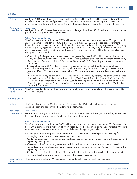# *Mr. Iger*

| Salary                       | Mr. Iger's 2018 annual salary rate increased from \$2.5 million to \$3.0 million in connection with the<br>extension of his employment agreement in December 2017 to reflect the challenges the Committee<br>expected Mr. Iger to navigate in connection with the completion and integration of the 21CF Acquisition.                                                                                                                                                                                                                                                                        |
|------------------------------|----------------------------------------------------------------------------------------------------------------------------------------------------------------------------------------------------------------------------------------------------------------------------------------------------------------------------------------------------------------------------------------------------------------------------------------------------------------------------------------------------------------------------------------------------------------------------------------------|
| Performance-<br>based Bonus  | <b>Target Bonus</b><br>Mr. Iger's fiscal 2018 target bonus amount was unchanged from fiscal 2017 and is equal to the amount<br>provided for in his employment agreement.                                                                                                                                                                                                                                                                                                                                                                                                                     |
|                              | Other Performance Factor<br>The Committee applied a factor of 175% with respect to other performance factors for Mr. Iger in fiscal<br>2018 compared to a factor of 189% in fiscal 2017. In fiscal 2018, Mr. Iger provided outstanding<br>leadership in achieving improvements in financial performance while continuing to position the Company<br>for future growth, highlighted by the pending acquisition of 21st Century Fox, the development of a<br>direct to consumer strategy and the related reorganization of the Company. Other key accomplishments<br>during the year included: |
|                              | • Outstanding Studio performance with seven films generating over \$500 million in global box office<br>sales, including four films over \$1 billion in sales. The successful slate included Avengers: Infinity War,<br>Black Panther, Coco, Incredibles 2, Star Wars: The Last Jedi, Solo, Thor: Ragnarok, and Ant-Man and<br>The Wasp.                                                                                                                                                                                                                                                     |
|                              | • Successful launch of ESPN+, the first product in support of our critical direct-to-consumer strategy.<br>• Record operating results at Parks & Resorts, while opening Toy Story Land at Shanghai Disney Resort<br>and Walt Disney World, and construction of Star Wars: Galaxy's Edge at Disneyland and Walt Disney<br>World.                                                                                                                                                                                                                                                              |
|                              | • The naming of Disney as one of the "Most Reputable Companies" by Forbes, one of the world's "Most<br>Admired Companies" by Fortune and one of the "World's Most Respected Companies" by Barron's.<br>Disney was also recognized as one of the "World's Best Employers" by Forbes and one of the "Best<br>Places to Launch a Career" by BusinessWeek. Forbes ranked Disney as first among the "World's Best<br>Regarded Companies".                                                                                                                                                         |
| <b>Equity Award</b><br>Value | The Committee left the value of Mr. Iger's annual equity award approximately equal to the value of his<br>fiscal 2017 award.                                                                                                                                                                                                                                                                                                                                                                                                                                                                 |

# *Mr. Braverman*

| Salary                       | The Committee increased Mr. Braverman's 2018 salary by 3% to reflect changes in the market for<br>executive talent and his continued outstanding performance.                                                                                                                                                                                                                                                                                                                                                                                                                                                                                                                                                                             |
|------------------------------|-------------------------------------------------------------------------------------------------------------------------------------------------------------------------------------------------------------------------------------------------------------------------------------------------------------------------------------------------------------------------------------------------------------------------------------------------------------------------------------------------------------------------------------------------------------------------------------------------------------------------------------------------------------------------------------------------------------------------------------------|
| Performance-<br>based Bonus  | <b>Target Bonus</b><br>Mr. Braverman's target bonus for fiscal 2018 is equal to two times his fiscal year end salary, as set forth<br>in his employment agreement as in effect at the time of the award.                                                                                                                                                                                                                                                                                                                                                                                                                                                                                                                                  |
|                              | Other Performance Factor<br>The Committee applied a factor of 166% with respect to other performance factors for Mr. Braverman in<br>fiscal 2018 compared to a factor of 150% in fiscal 2017. The determination this year reflected Mr. Iger's<br>recommendation and Mr. Braverman's accomplishments during the year, which included:                                                                                                                                                                                                                                                                                                                                                                                                     |
|                              | • Oversight of legal strategy of the acquisition of 21st Century Fox, including the responsibility for<br>managing the antitrust and other regulatory clearances.<br>• Continued leadership of the Company's legal positions on significant litigation matters, transactions and<br>regulatory developments.<br>• Oversight of the Company's governmental affairs and public policy positions on both a domestic and<br>global level, which included providing leadership in developing the Company's position with regard to<br>regulatory matters.<br>• Continued promotion of diversity of hiring in the legal department and promotion of the department's<br>pro bono legal program, each of which resulted in industry recognition. |
| <b>Equity Award</b><br>Value | The equity award value for Mr. Braverman is equal to 2.5 times his fiscal year end salary.                                                                                                                                                                                                                                                                                                                                                                                                                                                                                                                                                                                                                                                |

*Continues on next page*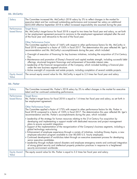# *Ms. McCarthy*

| Salary                       | The Committee increased Ms. McCarthy's 2018 salary by 3% to reflect changes in the market for<br>executive talent and her continued outstanding performance and increased her salary an additional<br>\$255,000 effective September 2018 to reflect increased responsibility she assumed during the year.                                                                                                                                                                                                                                                                                                                                            |
|------------------------------|------------------------------------------------------------------------------------------------------------------------------------------------------------------------------------------------------------------------------------------------------------------------------------------------------------------------------------------------------------------------------------------------------------------------------------------------------------------------------------------------------------------------------------------------------------------------------------------------------------------------------------------------------|
| Performance-<br>based Bonus  | <b>Target Bonus</b><br>Ms. McCarthy's target bonus for fiscal 2018 is equal to two times her fiscal year end salary, as set forth<br>in her employment agreement pursuant to revisions to the employment agreement adopted after the end<br>of the fiscal year and retroactive to the end of the fiscal year.<br>Other Performance Factor<br>The Committee applied a factor of 166% with respect to other performance factors for Ms. McCarthy in<br>fiscal 2018 compared to a factor of 150% in fiscal 2017. The determination this year reflected Mr. Iger's<br>recommendation and Ms. McCarthy's accomplishments during the year, which included: |
|                              | • Oversight of execution of financing for key business initiatives, including the acquisition of 21st Century<br>Fox.<br>• Maintenance and promotion of Disney's financial and capital markets strength, including successful debt<br>offerings, structured long-term financings and achievement of favorable interest rates.<br>. Leadership of the financial reorganization of the Company, which included building a financial plan                                                                                                                                                                                                               |
|                              | under the new business segment structure.<br>• Active oversight of corporate real estate projects, including completion of several notable projects.                                                                                                                                                                                                                                                                                                                                                                                                                                                                                                 |
| <b>Equity Award</b><br>Value | The annual equity award value for Ms. McCarthy is equal to 2.5 times her fiscal year end salary.                                                                                                                                                                                                                                                                                                                                                                                                                                                                                                                                                     |

# *Ms. Parker*

| Salary                       | The Committee increased Ms. Parker's 2018 salary by 3% to reflect changes in the market for executive<br>talent and her continued outstanding performance.                                                                                                                                                                                                                                                                                                                                                                                                                                                                                                                                                                                                                                                                                                                                                                                                                   |
|------------------------------|------------------------------------------------------------------------------------------------------------------------------------------------------------------------------------------------------------------------------------------------------------------------------------------------------------------------------------------------------------------------------------------------------------------------------------------------------------------------------------------------------------------------------------------------------------------------------------------------------------------------------------------------------------------------------------------------------------------------------------------------------------------------------------------------------------------------------------------------------------------------------------------------------------------------------------------------------------------------------|
| Performance-<br>based Bonus  | <b>Target Bonus</b><br>Ms. Parker's target bonus for fiscal 2018 is equal to 1.4 times her fiscal year end salary, as set forth in<br>her employment agreement.                                                                                                                                                                                                                                                                                                                                                                                                                                                                                                                                                                                                                                                                                                                                                                                                              |
|                              | Other Performance Factor<br>The Committee applied a factor of 173% with respect to other performance factors for Ms. Parker in<br>fiscal 2018 compared to a factor of 150% in fiscal 2017. The determination this year reflected Mr. Iger's<br>recommendation and Ms. Parker's accomplishments during the year, which included:                                                                                                                                                                                                                                                                                                                                                                                                                                                                                                                                                                                                                                              |
|                              | • Leadership of the strategy for human resources relating to the 21st Century Fox acquisition by<br>developing and implementing a support model with dedicated resources and project management<br>plans to ensure successful integration.<br>. Support of the implementation of the reorganization of the Company's business segments, including a<br>global technology restructuring.<br>• Enhancement of employee experience through a variety of initiatives, including Disney Aspire, a new<br>employee education program available to over 80,000 U.S. hourly employees.<br>• Continued development of world-class talent through an executive assessment process for developing<br>senior executive candidates.<br>• Leadership through multiple natural disasters and employee emergency events and continued integration<br>of strong global security and intellectual property protection practices in response to a heightened<br>security environment worldwide. |
| <b>Equity Award</b><br>Value | The equity award value for Ms. Parker is equal to 3.2 times her fiscal year end salary.                                                                                                                                                                                                                                                                                                                                                                                                                                                                                                                                                                                                                                                                                                                                                                                                                                                                                      |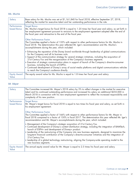### *Ms. Mucha*

| Salary                       | Base salary for Ms. Mucha was set at \$1,161,840 for fiscal 2018, effective September 27, 2018,<br>reflecting the market for executive talent and her outstanding performance in the role.                                                                                                                                                                                                                                                             |
|------------------------------|--------------------------------------------------------------------------------------------------------------------------------------------------------------------------------------------------------------------------------------------------------------------------------------------------------------------------------------------------------------------------------------------------------------------------------------------------------|
| Performance-<br>based Bonus  | <b>Target Bonus</b><br>Ms. Mucha's target bonus for fiscal 2018 is equal to 1.25 times her fiscal year end salary, as set forth in<br>her employment agreement pursuant to revisions to the employment agreement adopted after the end of<br>the fiscal year and retroactive to the end of the fiscal year.<br>Other Performance Factor<br>The Committee applied a factor of 133% with respect to other performance factors for Ms. Mucha in           |
|                              | fiscal 2018. The determination this year reflected Mr. Iger's recommendation and Ms. Mucha's<br>accomplishments during the year, which included:                                                                                                                                                                                                                                                                                                       |
|                              | • Enhancing the reputation of the Disney brand worldwide through leadership of global communications<br>for the Company and all its business units.<br>• Support of the communication strategy for several strategic initiatives, including the acquisition of<br>21st Century Fox and the reorganization of the Company's business segments.<br>• Execution of strategic communication plans in support of launch of the Company's direct-to-consumer |
|                              | business, including the launch of ESPN+.<br>• Continued development of Disney's array of social media platforms and digital communications vehicles<br>to reach the Company's audience directly.                                                                                                                                                                                                                                                       |
| <b>Equity Award</b><br>Value | The equity award value for Ms. Mucha is equal to 1.8 times her fiscal year end salary.                                                                                                                                                                                                                                                                                                                                                                 |

# *Mr. Mayer*

| Salary                       | The Committee increased Mr. Mayer's 2018 salary by 3% to reflect changes in the market for executive<br>talent and his continued outstanding performance and increased his salary an additional \$255,000 in<br>March 2018 in connection with his new employment agreement to reflect the increased responsibility and<br>complexity of his new position.                                                                                                                                                                                                                                                                                                                                                                                                                                                                                                                                                                                                                               |
|------------------------------|-----------------------------------------------------------------------------------------------------------------------------------------------------------------------------------------------------------------------------------------------------------------------------------------------------------------------------------------------------------------------------------------------------------------------------------------------------------------------------------------------------------------------------------------------------------------------------------------------------------------------------------------------------------------------------------------------------------------------------------------------------------------------------------------------------------------------------------------------------------------------------------------------------------------------------------------------------------------------------------------|
| Performance-<br>based Bonus  | <b>Target Bonus</b><br>Mr. Mayer's target bonus for fiscal 2018 is equal to two times his fiscal year end salary, as set forth in<br>his employment agreement.<br>Other Performance Factor<br>The Committee applied a factor of 166% with respect to other performance factors for Mr. Mayer in<br>fiscal 2018 compared to a factor of 150% in fiscal 2017. The determination this year reflected Mr. Iger's<br>recommendation and Mr. Mayer's accomplishments during the year, which included:<br>• Management of the Company's strategic acquisition of 21st Century Fox.<br>• Continued development of Disney's content distribution strategy, including the integration of BAMTech,<br>launch of ESPN+ and development of Disney+ product.<br>• Leadership of the restructuring of the Company into new business segments, designed to maximize the<br>long-term financial contribution of the Company's direct-to-consumer initiatives and the integration of<br>21st Century Fox. |
|                              | • Leadership of a global technology restructuring, aligning the Company-wide operating model to the<br>new business segments.                                                                                                                                                                                                                                                                                                                                                                                                                                                                                                                                                                                                                                                                                                                                                                                                                                                           |
| <b>Equity Award</b><br>Value | The annual equity award value for Mr. Mayer is equal to 2.5 times his fiscal year end salary.                                                                                                                                                                                                                                                                                                                                                                                                                                                                                                                                                                                                                                                                                                                                                                                                                                                                                           |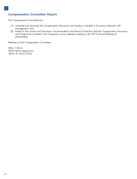# **Compensation Committee Report**

The Compensation Committee has:

- (1) reviewed and discussed the Compensation Discussion and Analysis included in this proxy statement with management; and
- (2) based on this review and discussion, recommended to the Board of Directors that the Compensation Discussion and Analysis be included in the Company's proxy statement relating to the 2019 Annual Meeting of shareholders.

Members of the Compensation Committee

*Mary T. Barra Maria Elena Lagomasino Aylwin B. Lewis (Chair)*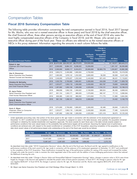# Compensation Tables

# **Fiscal 2018 Summary Compensation Table**

The following table provides information concerning the total compensation earned in fiscal 2016, fiscal 2017 (except for Ms. Mucha, who was not a named executive officer in those years) and fiscal 2018 by the chief executive officer, the chief financial officer, three other persons serving as executive officers at the end of fiscal 2018 who were the most highly compensated executive officers of the Company in fiscal 2018, and Mr. Mayer, who served as an executive officer during part of the fiscal year. These six officers are referred to as the named executive officers or NEOs in this proxy statement. Information regarding the amounts in each column follows the table.

|                                                                            |                       |           |                                     |             | <b>Non-Equity</b><br>Incentive | Change in<br><b>Pension Value</b><br>and<br>Nonqualified<br><b>Deferred</b> |                                                        |              |
|----------------------------------------------------------------------------|-----------------------|-----------|-------------------------------------|-------------|--------------------------------|-----------------------------------------------------------------------------|--------------------------------------------------------|--------------|
| Name and Principal Position                                                | <b>Fiscal</b><br>Year | Salary    | <b>Stock</b><br>Awards <sup>1</sup> | Option      | <b>Awards Compensation</b>     | Plan Compensation                                                           | <b>All Other</b><br>Earnings <sup>2</sup> Compensation | <b>Total</b> |
|                                                                            | 2018                  |           | \$2,875,000 \$35,352,327            | \$8,270,976 | \$18,000,000                   |                                                                             | \$1,146,911                                            | \$65,645,214 |
| Robert A. Iger<br><b>Chairman and Chief Executive</b>                      | 2017                  | 2,500,000 | 8,984,191                           | 8,298,322   | 15,200,000                     |                                                                             | 1,301,167                                              | 36,283,680   |
| Officer                                                                    | 2016                  | 2,500,000 | 8,828,117                           | 8,454,674   | 20,000,000                     | \$2,893,778                                                                 | 1,205,827                                              | 43,882,396   |
| Alan N. Braverman                                                          | 2018                  | 1,600,213 | 2,400,080                           | 1,600,004   | 4,750,000                      |                                                                             | 69,233                                                 | 10,419,530   |
| Senior Executive Vice President,                                           | 2017                  | 1,565,000 | 1,878,142                           | 1,252,020   | 3,600,000                      | 56,359                                                                      | 95,938                                                 | 8,447,459    |
| General Counsel and Secretary                                              | 2016                  | 1,549,000 | 1,878,037                           | 1,252,040   | 5,440,000                      | 931,443                                                                     | 68,431                                                 | 11,118,951   |
| Christine M. McCarthy                                                      | 2018                  | 1,533,750 | 2,700,063                           | 1,800,001   | 5,300,000                      | 434,539                                                                     | 71,397                                                 | 11,839,750   |
| Senior Executive Vice President                                            | 2017                  | 1,323,077 | 1,950,118                           | 1,300,000   | 3,450,000                      | 852,787                                                                     | 70,600                                                 | 8,946,582    |
| and Chief Financial Officer                                                | 2016                  | 1,287,692 | 1,950,106                           | 1,300,058   | 4,520,000                      | 1,104,131                                                                   | 36,523                                                 | 10,198,510   |
| M. Jayne Parker                                                            | 2018                  | 996,938   | 1,950,105                           | 1,300,022   | 2,100,000                      | 380,524                                                                     | 80,456                                                 | 6,808,045    |
| Senior Executive Vice President and                                        | 2017                  | 851,154   | 1,320,171                           | 880,020     | 1,570,000                      | 392,107                                                                     | 77,112                                                 | 5,090,564    |
| Chief Human Resources Officer                                              | 2016                  | 826,385   | 1,320,122                           | 880,052     | 1,815,000                      | 711,775                                                                     | 51,060                                                 | 5,604,394    |
| Zenia B. Mucha                                                             | 2018                  | 961,150   | 1,269,161                           | 846,016     | 2,000,000                      |                                                                             | 24,452                                                 | 5,100,779    |
| Senior Executive Vice President and<br><b>Chief Communications Officer</b> |                       |           |                                     |             |                                |                                                                             |                                                        |              |
| Kevin A. Mayer                                                             | 2018                  | 1,674,000 | 2,700,063                           | 1,800,001   | 5,300,000                      | 62,466                                                                      | 83,846                                                 | 11,620,376   |
| Chairman. Direct to Consumer                                               | 2017                  | 1,323,077 | 1,950,118                           | 1,300,000   | 3,450,000                      | 333,928                                                                     | 77,495                                                 | 8,434,618    |
| and International <sup>13</sup>                                            | 2016                  | 1,287,692 | 1,950,106                           | 1,300,058   | 4,520,000                      | 1,031,418                                                                   | 36,075                                                 | 10,125,349   |

<sup>1</sup> Under applicable accounting rules, that portion of the stock award to Mr. Iger made in connection with the extension of his employment agreement on December 13, 2017 conditioned on the completion of the 21CF Acquisition is assigned no value in the table because, when granted, the acquisition remained contingent on obtaining the needed shareholder and regulatory approvals. The stock awards for each fiscal year in the table include awards subject to performance conditions that were valued based on the probability that performance targets will be achieved. Assuming the highest level of performance conditions are achieved and, with respect to the award conditioned on completion of the 21CF Acquisition, assuming completion of the acquisition, the grant date stock award values of all performance-based units outstanding at the end of the fiscal year would be as follows:

| <b>Fiscal Year</b> | Mr. laer      | Mr. Braverman | Ms. McCarthy | Ms. Parker  | Ms. Mucha   | Mr. Mayer   |
|--------------------|---------------|---------------|--------------|-------------|-------------|-------------|
| 2018               | \$149,639,748 | \$2,852,152   | \$3,208,650  | \$2,317,405 | \$1,508,227 | \$3,208,650 |
| 2017               | 12.447.500    | 2.240.131     | 2.325.983    | 1.574.625   |             | 2.325.983   |
| 2016               | 12.681.647    | 2.287.925     | 2.375.735    | 1.608.262   |             | 2.375.735   |

As described more fully under ''*2018 Compensation Decisions*'' above, after the end of the fiscal year, the Board and Mr. Iger agreed to modifications to the performance conditions of the stock award to Mr. Iger made in connection with the extension of his employment agreement on December 13, 2017 and conditioned on the completion of the 21CF Acquisition. These modifications increased the rigor of the performance condition for vesting of this award and increased the number of target units under the award in order to maintain the initial negotiated value of the award with the addition of more challenging performance criteria that reduced the likelihood of earning the units.

- As described more fully under "Change in Pension Value and Nonqualified Deferred Compensation Earnings" below, changes in pension value in 2016 were driven largely by changes in the discount rate applied to calculate the present value of future pension payments. In fiscal 2017, the change in pension value for Mr. Iger was negative \$428,437. In fiscal 2018, the changes in pension value for Mr. Iger, Mr. Braverman and Ms. Mucha were negative \$833,295, \$167,536 and \$524,820.
- <sup>3</sup> Mr. Mayer was Senior Executive Vice President and Chief Strategy Officer through March 14, 2018.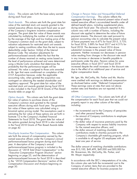This column sets forth the base salary earned *Salary. Change in Pension Value and Nonqualified Deferred* during each fiscal year. This column reflects the *Compensation Earnings.*

value of the restricted stock unit awards granted to the defined benefit plans, including supplemental plans, value of tiscal vear as part during each fiscal year. The amounts reported in this named executive officers during each fiscal year as part. of the Company's long-term incentive compensation column vary with a number of factors, including the program. The grant date fair value of these awards was discount rate applied to determine the value of future calculated by multiplying the number of units awarded payment streams. The discount rate used pursuant to by the average of the high and low trading price of the pension accounting rules to calculate the present value<br>Company's common stock on the grant date, subject to of future payments was 4.47% for fiscal 2015, 3.73% Company's common stock on the grant date, subject to valuation adjustments for restricted stock unit awards for fiscal 2016, 3.88% for fiscal 2017 and 4.31% for subject to vesting conditions other than the test to assure fiscal 2018. The decrease in fiscal 2016 drove deductibility under Section 162(m) of the Internal substantial increases in the present value of future Revenue Code. The valuation adjustments for payments. Neither increases nor decreases in pension<br>performance-based awards reflect the fact that the value resulting from changes in the discount rate result number of shares received on vesting varies based on in any increase or decrease in benefits payable to<br>the level of performance achieved and were determined participants under the plan. Pension values for some the level of performance achieved and were determined participants under the plan. Pension values for sc<br>using a Monte Carlo simulation that determines the executive officers in fiscal 2017 and fiscal 2018 using a Monte Carlo simulation that determines the probability that the performance targets will be increased despite the small increases in the discount rate<br>achieved. No value is assigned to those units awarded due to the effect of an additional year of service and achieved. No value is assigned to those units awarded to Mr. Iger that were conditioned on completion of the higher compensation levels. 21CF Acquisition because, under the applicable accounting rules, when granted the acquisition was Mr. Iger, Ms. McCarthy, Ms. Parker and Ms. Mucha<br>contingent on obtaining the needed shareholder and were credited with earnings on deferred compensation contingent on obtaining the needed shareholder and requlatory approval. The grant date fair value of the restricted stock unit awards granted during fiscal 2018 These earnings were at rates that were not above is also included in the Fiscal 2018 Grants of Plan Based market rates and therefore are not reported in the no<br>Awards table on page  $42$ Awards table on page 42. *Stock Awards.*

tair value of options to purchase shares of the the compensation for each fiscal year that we could not<br>Company's common stock aranted to the named properly report in any other column of the table, Company's common stock granted to the named properly reportly reportly in any other column of the table of the table, and the table of the table of the table,  $\frac{1}{\sqrt{2}}$  including: executive officers during each fiscal year. The grant-date fair value of these options was calculated using a binomial option pricing model. The assumptions used in • the incremental cost to the Company of perquisites estimating the fair value of these options are set forth in and other personal benefits; estimating the fair value of these options are set forth in footnote 12 to the Company's Audited Financial<br>Statements for fiscal 2018. The arant date fair value of savings plans; Statements for fiscal 2018. The grant date fair value of savings plans;<br>the options aranted during fiscal 2018 is also included • the dollar value of insurance premiums paid by the the options granted during fiscal 2018 is also included • the dollar value of insurance premiums paid by the<br>in the Fiscal 2018 Grants of Plan Based Awards table Company with respect to excess liability i in the Fiscal 2018 Grants of Plan Based Awards table on page 42. for the named executive officers; and *Option Awards.* This column sets forth the grant date

sets forth the amount of compensation earned by the Company's charitable gift matching program, which may be company's charitable gift matching program, which may be company's annual named executive officers under the Company's annual is available to all regular<br>
nerformance-based bonus program during each fiscal least one year of service. performance-based bonus program during each fiscal year. A description of the Company's annual performance-based bonus program is included in the The dollar amount of matching charitable contributions<br>discussion of "2018 Total Direct Compensation" in the was \$15,100, \$49,499, \$49,000 and \$50,000 for discussion of ''2018 Total Direct Compensation'' in the was \$15,100, \$49,499, \$49,000 and \$50,00<br>Fxecutive Compensation Program Structure'' section Mr. Braverman, Ms. McCarthy, Ms. Parker, and *''Executive Compensation Program Structure''* section Mr. Braverman, Ms. Mc<br>beginning on page 23, and the determination of Mr. Mayer respectively. beginning on page 23, and the determination of performance-based bonuses for fiscal 2018 is described<br>
in the *''2018 Compensation Decisions''* section of the In accordance with the SEC's interpretations of its rules,<br> *Compensation Discussion and Anglysis* beginning o *Non-Equity Incentive Plan Compensation.*

aggregate change in the actuarial present value of each named executive officer's accumulated benefits under all value resulting from changes in the discount rate result

as disclosed below under "*Deferred Compensation*".<br>These earnings were at rates that were not above

All Other Compensation. This column sets forth all of

- 
- 
- 
- the dollar amount of matching charitable contributions made to charities pursuant to the<br>Company's charitable gift matching program, which

*Compensation Discussion and Analysis* beginning on this column also sets forth the incremental cost to the page 30.<br>Company of certain items that are provided to the page 30.<br>named executive officers for business purposes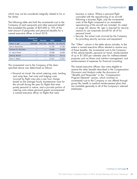which may not be considered integrally related to his or business in nature. Where a personal flight her duties. coincided with the repositioning of an aircraft

The following table sets forth the incremental cost to the costs of the flight compared to an immediate<br>Company of each perquisite and other personal benefit repositioning of the aircraft are included. As noted Company of each perquisite and other personal benefit repositioning of the aircraft are included. As noted<br>that exceeded the greater of \$25,000 or 10% of the compage 26, above, Mr. Iger is required for security that exceeded the greater of \$25,000 or 10% of the total amount of perquisites and personal benefits for a reasons to use corporate aircraft for all of his<br>named executive officer in fiscal 2018. named executive officer in fiscal 2018.

|                       | <b>Personal Air</b><br><b>Travel</b> | <b>Security</b> | Other    | Total.      |
|-----------------------|--------------------------------------|-----------------|----------|-------------|
| Robert A. Iger        | \$328,980                            | \$787,568       | \$24.025 | \$1,140,573 |
| Alan N. Braverman     |                                      |                 | 47.783   | 47,783      |
| Christine M. McCarthy |                                      |                 | 15.400   | 15,400      |
| M. Jayne Parker       |                                      |                 | 25.068   | 25,068      |
| Zenia B. Mucha        |                                      |                 | 18,114   | 18,114      |
| Kevin A. Mayer        |                                      |                 | 27.527   | 27.527      |

• Personal air travel: the actual catering costs, landing<br>
and ramp fees, fuel costs and lodging costs<br>
incurred by flight crew plus a per hour charge<br>
based on the average hourly maintenance costs for<br>
the aircraft during a named executive officer on flights that were

following a business flight, only the incremental

• Security: the actual costs incurred by the Company for providing security services and equipment.

The "Other" column in the table above includes, to the extent a named executive officer elected to receive any of these benefits, the incremental cost to the Company of the vehicle benefit, personal air travel, reimbursement of up to \$1,000 per calendar year for wellness-related purposes such as fitness and nutrition management, and reimbursement of expenses for financial consulting.

The incremental cost to the Company of the items The named executive officers also were eligible to specified above was determined as follows: receive the other benefits described in the *Compensation*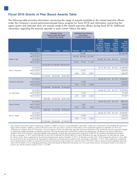# **Fiscal 2018 Grants of Plan Based Awards Table**

The following table provides information concerning the range of awards available to the named executive officers under the Company's annual performance-based bonus program for fiscal 2018 and information concerning the option grants and restricted stock unit awards made to the named executive officers during fiscal 2018. Additional information regarding the amounts reported in each column follows the table.

|                       |               |                  | <b>Estimated Future</b><br><b>Payouts Under Non-Equity</b><br><b>Incentive Plan Awards</b> |                |                  | <b>Estimated Future Payouts</b><br><b>Under Equity</b><br><b>Incentive Plan Awards</b> |                           |                                                                                     |                                                             |                                                                                                     |                                                                 |
|-----------------------|---------------|------------------|--------------------------------------------------------------------------------------------|----------------|------------------|----------------------------------------------------------------------------------------|---------------------------|-------------------------------------------------------------------------------------|-------------------------------------------------------------|-----------------------------------------------------------------------------------------------------|-----------------------------------------------------------------|
|                       | Grant<br>Date | <b>Threshold</b> | <b>Target</b>                                                                              | <b>Maximum</b> | <b>Threshold</b> |                                                                                        | Target Maximum            | <b>All Other</b><br>Option<br>Number of<br>Securities Price of<br><b>Underlying</b> | <b>Awards: Exercise</b><br>or Base<br><b>Options</b> Awards | Grant<br><b>Date</b><br>Closing<br>Price of<br><b>Shares</b><br>Option Underlying<br><b>Options</b> | Grant<br>Date Fair<br>Value of<br>Stock and<br>Option<br>Awards |
|                       | (A)12/13/2017 |                  |                                                                                            |                |                  | 245,098                                                                                |                           |                                                                                     |                                                             |                                                                                                     | \$26,340,682                                                    |
|                       | (B)12/13/2017 |                  |                                                                                            |                |                  |                                                                                        | 343,949 687,898 1,031,847 |                                                                                     |                                                             |                                                                                                     |                                                                 |
| Robert A. Iger        | 12/19/2017    |                  |                                                                                            |                |                  |                                                                                        |                           |                                                                                     | 295,237 \$111.58                                            | \$111.81                                                                                            | 8,270,976                                                       |
|                       | (B)12/19/2017 |                  |                                                                                            |                | 37,063           | 74,126                                                                                 | 111.189                   |                                                                                     |                                                             |                                                                                                     | 9,011,645                                                       |
|                       |               |                  | \$4,200,000 \$12,000,000 \$24,000,000                                                      |                |                  |                                                                                        |                           |                                                                                     |                                                             |                                                                                                     |                                                                 |
|                       | 12/19/2017    |                  |                                                                                            |                |                  |                                                                                        |                           |                                                                                     | 57,113 \$111.58                                             | \$111.81                                                                                            | \$1,600,004                                                     |
| Alan N. Braverman     | (A)12/19/2017 |                  |                                                                                            |                |                  | 10,755                                                                                 |                           |                                                                                     |                                                             |                                                                                                     | 1,200,043                                                       |
|                       | (B)12/19/2017 |                  |                                                                                            |                | 4,936            | 9,871                                                                                  | 14,807                    |                                                                                     |                                                             |                                                                                                     | 1,200,0371                                                      |
|                       |               | \$1,128,365      | \$3,223,900                                                                                | \$6,447,800    |                  |                                                                                        |                           |                                                                                     |                                                             |                                                                                                     |                                                                 |
|                       | 12/19/2017    |                  |                                                                                            |                |                  |                                                                                        |                           |                                                                                     | 64,252 \$111.58                                             | \$111.81                                                                                            | \$1,800,001                                                     |
| Christine M. McCarthy | (A)12/19/2017 |                  |                                                                                            |                |                  | 12,099                                                                                 |                           |                                                                                     |                                                             |                                                                                                     | 1,350,006                                                       |
|                       | (B)12/19/2017 |                  |                                                                                            |                | 5,553            | 11,105                                                                                 | 16,658                    |                                                                                     |                                                             |                                                                                                     | 1,350,0571                                                      |
|                       |               | \$1,260,000      | \$3,600,000                                                                                | \$7,200,000    |                  |                                                                                        |                           |                                                                                     |                                                             |                                                                                                     |                                                                 |
|                       | 12/19/2017    |                  |                                                                                            |                |                  |                                                                                        |                           |                                                                                     | 46,405 \$111.58                                             | \$111.81                                                                                            | \$1,300,022                                                     |
| M. Jayne Parker       | (A)12/19/2017 |                  |                                                                                            |                |                  | 8,739                                                                                  |                           |                                                                                     |                                                             |                                                                                                     | 975,098                                                         |
|                       | (B)12/19/2017 |                  |                                                                                            |                | 4,010            | 8,020                                                                                  | 12,030                    |                                                                                     |                                                             |                                                                                                     | 975,0071                                                        |
|                       |               | \$492,083        | \$1,405,950                                                                                | \$2,811,900    |                  |                                                                                        |                           |                                                                                     |                                                             |                                                                                                     |                                                                 |
|                       | 12/19/2017    |                  |                                                                                            |                |                  |                                                                                        |                           |                                                                                     | 30,199 \$111.58                                             | \$111.81                                                                                            | \$846,016                                                       |
| Zenia B. Mucha        | (A)12/19/2017 |                  |                                                                                            |                |                  | 5,687                                                                                  |                           |                                                                                     |                                                             |                                                                                                     | 634,555                                                         |
|                       | (B)12/19/2017 |                  |                                                                                            |                | 2,610            | 5,220                                                                                  | 7,830                     |                                                                                     |                                                             |                                                                                                     | 634,606                                                         |
|                       |               | \$508,305        | \$1,452,300                                                                                | \$2,904,600    |                  |                                                                                        |                           |                                                                                     |                                                             |                                                                                                     |                                                                 |
|                       | 12/19/2017    |                  |                                                                                            |                |                  |                                                                                        |                           |                                                                                     | 64,252 \$111.58                                             | \$111.81                                                                                            | \$1,800,001                                                     |
| Kevin A. Mayer        | (A)12/19/2017 |                  |                                                                                            |                |                  | 12,099                                                                                 |                           |                                                                                     |                                                             |                                                                                                     | 1,350,006                                                       |
|                       | (B)12/19/2017 |                  |                                                                                            |                | 5,553            | 11,105                                                                                 | 16,658                    |                                                                                     |                                                             |                                                                                                     | 1,350,057                                                       |
|                       |               | \$1,260,000      | \$3,600,000                                                                                | \$7,200,000    |                  |                                                                                        |                           |                                                                                     |                                                             |                                                                                                     |                                                                 |

Stock awards for fiscal 2018 subject to performance conditions in addition to the test to assure deductibility under Section 162(m) were valued based on the probability that performance targets will be achieved. In addition, a portion of the stock award to Mr. Iger made in connection with the extension of his employment agreement on December 13, 2017 was conditioned on completion of the 21CF Acquisition, and was assigned no value in the table under applicable accounting rules because when granted the acquisition remained contingent on obtaining the needed shareholder and regulatory approvals. Assuming the highest level of performance conditions are achieved and, with respect to the award conditioned on completion of the 21CF Acquisition, assuming completion of the acquisition, the grant date stock award values would be \$110,892,597 for the performance-based award made to Mr. Iger on December 13, 2017, and \$12,406,469, \$1,652,109, \$1,858,644, \$1,342,307,\$873,671 and \$1,858,644 for Mr. Iger, Mr. Braverman, Ms. McCarthy, Ms. Parker, Ms. Mucha and Mr. Mayer, respectively, for the performance-based awards made on December 19, 2017. As described more fully under *''2018 Compensation Decisions*'' above, after the end of the fiscal year, the Board and Mr. Iger agreed to modifications to the performance conditions of the award made on December 13, 2017. These modifications increased the rigor of the performance condition for vesting of this award and increased the number of target units under the award to 937,599 in order to maintain the initial negotiated value of the award with the addition of more challenging performance criteria that reduced the likelihood of earning the units. As a result of these revisions, the threshold number of units under this award is zero and the maximum number of units is 1,171,999.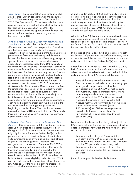Mr. Iger stock units in connection with the execution of are subject to this test as well as the performance tests<br>the 21CF Acquisition agreement on December 13, described below. The vesting dates for all of the the 21CF Acquisition agreement on December 13, 2017. The Compensation Committee made the annual outstanding restricted stock unit awards held by the grant of stock options and restricted stock unit awards named executive officers as of the end of fiscal 201 grant of stock options and restricted stock unit awards named executive officers as of the end of fiscal 2018<br>
for fiscal 2018 on December 19, 2017. The same set forth in the Fiscal 2018 Outstanding Equity Compensation Committee approved awards under the Awards at Fiscal Year-End table below. annual performance-based bonus program on *Grant date.*

*Discussion and Analysis*, the Compensation Committee the test is applicable and is not met. sets the target bonus opportunity for the named executive officers at the beginning of the fiscal year as a In the case of units in Row B, which are subject to both percentage of fiscal year end salary, and the actual the Section 162(m) test and the performance tests, n percentage of fiscal-year end salary, and the actual the Section 162(m) test and the performance tests, none<br>bonuses for the named executive officers may, except in of the units vest if the Section 162(m) test is not met a bonuses for the named executive officers may, except in of the units vest if the Section 162(m) test is not met and special circumstances such as unusual challenges or units vest as follows if the Section 162(m) test is me extraordinary successes, range from 35% to 200% of the target level based on the Compensation Committee's Other than the December 13, 2017 award to Mr. Iger, evaluation of financial and other performance factors for half of the units subject to the performance test are evaluation of financial and other performance factors for the fiscal year. The bonus amount may be zero, if actual subject to a total shareholder return test and half of the<br>performance is below the specified threshold levels, or units are subject to an EPS growth test. For each performance is below the specified threshold levels, or less than the calculated amounts if the Compensation Committee otherwise decides to reduce the bonus. As • None of the units related to a measure vest if the addressed in the discussion of 2018 Compensation addressed in the discussion of 2018 Compensation *Decisions* in the *Compensation Discussion and Analysis*, share growth, respectively, is below the the employment agreements of each executive officer  $25<sup>th</sup>$  percentile of the S&P 500 for that measure. require that the target used to calculate the bonus • If the Company's total shareholder return or EPS opportunity (but not the actual bonus awarded) be at growth, respectively, is at or above the least the amount specified in each agreement. This  $25<sup>th</sup>$  percentile of the S&P 500 for the related least the amount specified in each agreement. This column shows the range of potential bonus payments for measure, the number of units related to that each named executive officer from the threshold to the measure that vest will vary from 50% of the target maximum based on the target range set at the number related to that measure (at the beginning of the fiscal year. The actual bonus amounts 25<sup>th</sup> percentile) to 150% of the target number received for fiscal 2018 are set forth in the ''Non-Equity related to that measure (at or above the Incentive Plan Compensation" column of the Summary 75<sup>th</sup> percentile) (in each case, plus dividend Compensation Table. **Example 20** and the compensation Table. *Estimated Possible Payouts Under Non-equity Incentive Plan Awards.*

*Estimated Future Payouts Under Equity Incentive Plan*

during fiscal 2018 that are subject to the test to assure vesting would equal: eligibility for deduction under Section 162(m) and/or to performance tests as described below. These include • the number in the "threshold" column if the units awarded to each of the named executive officers Company is at the 25<sup>th</sup> percentile for each test; units awarded to each of the named executive officers as part of the annual grant in December 2017.<br> **•** the number in the ''target'' column if the Company<br>
Mr. Iger's award in row A on December 13, 2017 is<br>
is at the 50<sup>th</sup> percentile for each test; and Mr. Iger's award in row A on December 13, 2017 is is at the 50<sup>th</sup> percentile for each test; and not subject to any performance test and his award in **e** the number in the "maximum" column if the not subject to any performance test and his award in • the number in the "maximum" column if the<br>Row B on December 13, 2017 is subject to the Company is at or exceeds the 75<sup>th</sup> percentile for Row B on December 13, 2017 is subject to the performance test described below. Mr. Iger's annual each test awards made on December 19, 2017 are subject to both the test to assure eligibility under Section 162(m) (in each case, plus dividend equivalent units). and the performance tests described below. The units in row A for each of the named executive officers (other than Ms. Mucha) are subject to the test to assure *Awards.* This column sets forth the number of restricted

eligibility under Section 162(m) and the units in row B are set forth in the Fiscal 2018 Outstanding Equity

All units in Row A (plus any shares received as dividend equivalents prior to vesting) vest if the Section 162(m) test is met or is not applicable. This amount is shown in the "target" column for Row A. None of the units vest if

units vest as follows if the Section 162(m) test is met.

- 
- 

For example, for the one-half of the grant subject to an Awards. This column sets forth the number of restricted EPS growth test, and the other half separately subject to stock units awarded to the named executive officers a total shareholder return test, the total number of sha a total shareholder return test, the total number of shares

- 
- 
- 

*Continues on next page*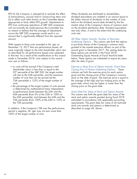EPS for the Company is adjusted (i) to exclude the effect When dividends are distributed to shareholders, of extraordinary, unusual and/or nonrecurring items and dividend equivalents are credited in an amount equal to (ii) to reflect such other factors as the Committee deems appropriate to fairly reflect EPS growth. Adjustments to held on the dividend record date divided by the fair<br>EPS from continuing operations of S&P 500 companies market value of the Company's shares of common ste will not normally be made because the Committee has no reason to believe that the average of adjustments. across the S&P 500 companies would result in an units vest. amount that is significantly different from the reported amount.

With respect to those units awarded to Mr. Iger on to purchase shares of the Company's common stock<br>December 13, 2017 that are performance based, all a rearented to the named executive officers as part of th were originally subject to the total shareholder return test annual grant in December 2017. The vesting as described for all performance based units subjected these options are set forth in the Fiscal 2018 as described for all performance based units subjected to that test. As a result of the modifications to this award Outstanding Equity Awards at Fiscal Year-End table made in November 2018, units subject to this award below. These options are scheduled to expire ten years<br>
on the date of arant

- no units will be earned if the Company's total 25<sup>th</sup> percentile of the S&P 500, the target number columns set forth the exercise price for each option will vest at the 65th percentile, and the maximum arant and the closing price of the Company's comm 75th percentile) is 125% of the target number of
- the percentage of the target number of units earned closing price on the grant date. is determined by mathematical linear interpolation at performance levels between the 25th and the<br>65th percentile (from 0% at the 25th to 100% at

In addition, if the Company's TSR over the performance described on page 40, above. period is negative, Mr. Iger may not earn more than 100% of the target number of units.

market value of the Company's shares of common stock<br>on the dividend distribution date. Dividend equivalents vest only when, if and to the extent that the underlying

*All Other Option Awards: Number of Securities*

Underlying Options. This column sets forth the options granted to the named executive officers as part of the<br>annual grant in December 2017. The vesting dates for after the date of grant.

shareholder return is less than or equal to the *Closing Price of Shares Underlying Options.* These *Exercise or Base Price of Option Awards; Grant Date*

grant and the closing price of the Company's common number of units that can be earned (at the stock on the date of grant. The exercise price is equal to<br>75th percentile) is 125% of the target number of the average of the high and low trading price on the units; grant date, which may be higher or lower than the

*Grant Date Fair Value of Stock and Option Awards.*

65th percentile (from 0% at the 25th to 100% at This column sets forth the grant date fair value of the the 65th percentile), and between the 65th and the stock and option awards granted during fiscal 2018<br>75th percentile (from 100% at the 65th to 125% at calculated in accordance with applicable accounting calculated in accordance with applicable accounting the 75th percentile). The grant date fair value of all restricted stock unit awards and options is determined as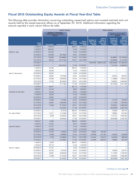# **Fiscal 2018 Outstanding Equity Awards at Fiscal Year-End Table**

The following table provides information concerning outstanding unexercised options and unvested restricted stock unit awards held by the named executive officers as of September 29, 2018. Additional information regarding the amounts reported in each column follows the table.

|                       |                      | <b>Option Awards</b>                                                           |               |                                    | <b>Stock Awards</b>                        |                                                                    |                                                                                    |                                                                                |                                                                                                |
|-----------------------|----------------------|--------------------------------------------------------------------------------|---------------|------------------------------------|--------------------------------------------|--------------------------------------------------------------------|------------------------------------------------------------------------------------|--------------------------------------------------------------------------------|------------------------------------------------------------------------------------------------|
|                       |                      | <b>Number of Securities</b><br><b>Underlying Unexercised</b><br><b>Options</b> |               |                                    |                                            |                                                                    |                                                                                    | <b>Equity Incentive Plan</b><br>Awards                                         |                                                                                                |
|                       | Grant<br><b>Date</b> | <b>Exercisable</b>                                                             | Unexercisable | Option<br><b>Exercise</b><br>Price | Option<br><b>Expiration</b><br><b>Date</b> | Number of<br><b>Units That</b><br><b>Have Not</b><br><b>Vested</b> | <b>Market</b><br>Value of<br><b>Units That</b><br><b>Have Not</b><br><b>Vested</b> | Number of<br>Unearned<br><b>Units That</b><br><b>Have Not</b><br><b>Vested</b> | <b>Market</b><br>Value of<br>Unearned<br><b>Units That</b><br><b>Have Not</b><br><b>Vested</b> |
|                       | 1/18/2012            | 732,079                                                                        |               | \$38.75                            | 1/18/2022                                  |                                                                    | $\overline{\phantom{0}}$                                                           |                                                                                |                                                                                                |
|                       | 1/16/2013            | 685,550                                                                        |               | 51.29                              | 1/16/2023                                  |                                                                    |                                                                                    |                                                                                |                                                                                                |
| Robert A. Iger        | 12/19/2013           | 435,220                                                                        |               | 72.59                              | 12/19/2023                                 |                                                                    |                                                                                    |                                                                                |                                                                                                |
|                       | 12/18/2014           | 279,309                                                                        | 93,103(A)     | 92.24                              | 12/18/2024                                 |                                                                    |                                                                                    |                                                                                |                                                                                                |
|                       | 12/17/2015           | 135,665                                                                        | 135,666(B)    | 113.23                             | 12/17/2025                                 |                                                                    |                                                                                    | 65,896(C)                                                                      | \$7,705,836                                                                                    |
|                       | 12/21/2016           | 80,423                                                                         | 241,271(D)    | 105.21                             | 12/21/2026                                 |                                                                    | $\overline{\phantom{0}}$                                                           | 120,959(E)                                                                     | 14, 144, 934                                                                                   |
|                       | 12/13/2017           |                                                                                |               |                                    |                                            |                                                                    | 246,918(F) \$28,874,593                                                            | 1,039,509(G)                                                                   | 121,560,202                                                                                    |
|                       | 12/19/2017           | $\qquad \qquad -$                                                              | 295,237(H)    | 111.58                             | 12/19/2027                                 |                                                                    |                                                                                    | 112,015(l)                                                                     | 13,098,994                                                                                     |
|                       | 1/18/2012            | 94,462                                                                         |               | \$38.75                            | 1/18/2022                                  | $\overline{\phantom{0}}$                                           | -                                                                                  |                                                                                |                                                                                                |
|                       | 1/16/2013            | 84,095                                                                         |               | 51.29                              | 1/16/2023                                  |                                                                    |                                                                                    |                                                                                |                                                                                                |
| Alan N. Braverman     | 12/19/2013           | 62,627                                                                         |               | 72.59                              | 12/19/2023                                 | —                                                                  | -                                                                                  | -                                                                              |                                                                                                |
|                       | 12/18/2014           | 39,807                                                                         | 13,270(A)     | 92.24                              | 12/18/2024                                 |                                                                    | -                                                                                  | 2,597(J)                                                                       | 303,672                                                                                        |
|                       | 12/17/2015           | 20,090                                                                         | 20,091(B)     | 113.23                             | 12/17/2025                                 |                                                                    |                                                                                    | 11,338(K)                                                                      | 1,325,813                                                                                      |
|                       | 12/21/2016           | 12,134                                                                         | 36,402(D)     | 105.21                             | 12/21/2026                                 |                                                                    | $\overline{\phantom{0}}$                                                           | 19,505(L)                                                                      | 2,280,892                                                                                      |
|                       | 12/19/2017           |                                                                                | 57,113(H)     | 111.58                             | 12/19/2027                                 |                                                                    |                                                                                    | 25,751(M)                                                                      | 3,011,358                                                                                      |
|                       | 1/13/2010            | 39,617                                                                         |               | \$31.12                            | 1/13/2020                                  |                                                                    |                                                                                    |                                                                                |                                                                                                |
|                       | 1/26/2011            | 34,139                                                                         |               | 39.65                              | 1/26/2021                                  |                                                                    |                                                                                    |                                                                                |                                                                                                |
| Christine M. McCarthy | 1/18/2012            | 45,342                                                                         |               | 38.75                              | 1/18/2022                                  |                                                                    |                                                                                    |                                                                                |                                                                                                |
|                       | 1/16/2013            | 42,533                                                                         |               | 51.29                              | 1/16/2023                                  |                                                                    |                                                                                    |                                                                                |                                                                                                |
|                       | 12/19/2013           | 30,687                                                                         |               | 72.59                              | 12/19/2023                                 |                                                                    |                                                                                    |                                                                                |                                                                                                |
|                       | 12/18/2014           | 21,629                                                                         | 7,210(A)      | 92.24                              | 12/18/2024                                 |                                                                    | -                                                                                  | 1,411(J)                                                                       | 165,052                                                                                        |
|                       | 12/17/2015           | 20,861                                                                         | 20,861(B)     | 113.23                             | 12/17/2025                                 |                                                                    |                                                                                    | 11,772(K)                                                                      | 1,376,594                                                                                      |
|                       | 12/21/2016           | 12,599                                                                         | 37,797(D)     | 105.21                             | 12/21/2026                                 |                                                                    |                                                                                    | 20,252(L)                                                                      | 2,368,266                                                                                      |
|                       | 12/19/2017           |                                                                                | 64,252(H)     | 111.58                             | 12/19/2027                                 |                                                                    |                                                                                    | 28,970(M)                                                                      | 3,387,756                                                                                      |
|                       | 12/18/2014           |                                                                                | 9,731(A)      | \$92.24                            | 12/18/2024                                 |                                                                    | -                                                                                  | 1,904(J)                                                                       | 222,701                                                                                        |
| M. Jayne Parker       | 12/17/2015           | 14,121                                                                         | 14,122(B)     | 113.23                             | 12/17/2025                                 |                                                                    |                                                                                    | 7,969(K)                                                                       | 931,864                                                                                        |
|                       | 12/21/2016           | 8,528                                                                          | 25,587(D)     | 105.21                             | 12/21/2026                                 |                                                                    |                                                                                    | 13,711(L)                                                                      | 1,603,332                                                                                      |
|                       | 12/19/2017           |                                                                                | 46,405(H)     | 111.58                             | 12/19/2027                                 | —                                                                  |                                                                                    | 20,923(M)                                                                      | 2,446,762                                                                                      |
|                       | 1/26/2011            | 13,000                                                                         |               | \$39.65                            | 1/26/2021                                  |                                                                    |                                                                                    |                                                                                |                                                                                                |
|                       | 1/18/2012            | 24,561                                                                         |               | 38.75                              | 1/18/2022                                  |                                                                    |                                                                                    |                                                                                |                                                                                                |
| Zenia B. Mucha        | 1/16/2013            | 51,751                                                                         |               | 51.29                              | 1/16/2023                                  |                                                                    |                                                                                    |                                                                                |                                                                                                |
|                       | 12/19/2013           | 35,906                                                                         |               | 72.59                              | 12/19/2023                                 |                                                                    |                                                                                    |                                                                                |                                                                                                |
|                       | 12/18/2014           | 25,476                                                                         | 8,493(A)      | 92.24                              | 12/18/2024                                 | 1,585(J)                                                           | 185,384                                                                            |                                                                                |                                                                                                |
|                       | 12/17/2015           | 12,998                                                                         | 12,998(B)     | 113.23                             | 12/17/2025                                 | 2,670(N)                                                           | 312,185                                                                            | 4,535(C)                                                                       | 530,366                                                                                        |
|                       | 12/21/2016           | 8,199                                                                          | 24,598(D)     | 105.21                             | 12/21/2026                                 | 4,421(0)                                                           | 516,974                                                                            | 8,544(Q)                                                                       | 999,080                                                                                        |
|                       | 12/19/2017           | $\qquad \qquad -$                                                              | 30,199(H)     | 111.58                             | 12/19/2027                                 | 5,729(P)                                                           | 669,976                                                                            | 7,888(R)                                                                       | 922,439                                                                                        |
|                       | 1/18/2012            | 14,264                                                                         |               | \$38.75                            | 1/18/2022                                  | —                                                                  | —                                                                                  | $\qquad \qquad -$                                                              |                                                                                                |
|                       | 1/16/2013            | 29,110                                                                         |               | 51.29                              | 1/16/2023                                  |                                                                    | —                                                                                  |                                                                                | —                                                                                              |
| Kevin A. Mayer        | 12/19/2013           | 41,751                                                                         |               | 72.59                              | 12/19/2023                                 | —                                                                  |                                                                                    |                                                                                |                                                                                                |
|                       | 12/18/2014           | 29,192                                                                         | 9,731(A)      | 92.24                              | 12/18/2024                                 | $\qquad \qquad -$                                                  |                                                                                    | 1,904(J)                                                                       | 222,701                                                                                        |
|                       | 12/17/2015           | 20,861                                                                         | 20,861(B)     | 113.23                             | 12/17/2025                                 | $\qquad \qquad -$                                                  |                                                                                    | 11,772(K)                                                                      | 1,376,594                                                                                      |
|                       | 12/21/2016           | 12,599                                                                         | 37,797(D)     | 105.21                             | 12/21/2026                                 |                                                                    | —                                                                                  | 20,252(L)                                                                      | 2,368,266                                                                                      |
|                       | 12/19/2017           | $\overline{\phantom{m}}$                                                       | 64,252(H)     | 111.58                             | 12/19/2027                                 | $\qquad \qquad -$                                                  |                                                                                    | 28,970(M)                                                                      | 3,387,756                                                                                      |

*Continues on next page*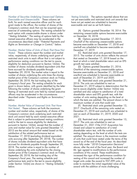## *Number of Securities Underlying Unexercised Options:*

forth, for each named executive officer and for each have not yet vested are scheduled to become grant made to the officer, the number of shares of the exercisable and vest as set forth below. Company's common stock that can be acquired upon exercise of outstanding options. The vesting schedule for [A] Options granted December 18, 2014. The each option with unexercisable shares is shown under remaining unexercisable options became exercisable ''*Vesting Schedule.*'' The vesting of options held by the on December 18, 2018. named executive officers may be accelerated in the (B) Options granted December 17, 2015. circumstances described under ''*Potential Payments and* One-half of the remaining unexercisable options *Rights on Termination or Change in Control*,'' below. became exercisable on December 17, 2018 and *Exercisable and Unexercisable.*

*Number; Market Value of Units of Stock That Have Not*

value, respectively, of shares underlying each grant of 2015. The number of units shown reflects the amount restricted stock units to each officer that is not subject to that vested on December 17, 2018 based on the restricted stock units to each officer that *is not* subject to performance vesting conditions nor the test to assure level at which a total shareholder return and an EPS eligibility for deduction pursuant to Section 162(m). The growth test were satisfied.<br>
number of shares includes dividend equivalent units that (D) Options granted December 21, 2016. number of shares includes dividend equivalent units that have accrued for dividends payable through **One-third** of the remaining unexercisable options September 29, 2018. The market value is equal to the became exercisable on December 21, 2018 and number of shares underlying the units times the closing one-third are scheduled to become exercisable on market price of the Company's common stock on Friday, each of December 21, 2019 and 2020. September 28, 2018, the last trading day of the (E) Restricted stock units granted December 21, Company's fiscal year. The vesting schedule for each 2016. The units are scheduled to vest on grant is shown below, with grants identified by the letter December 21, 2019 subject to determination that the following the number of shares underlying the grant. The test to assure eligibility under Section 162(m) was Vesting of restricted stock units held by named executive satisfied and also subject to satisfaction of a total officers may be accelerated in the circumstances shareholder return and EPS growth test, with the described under ''*Payments and Rights on Termination*,'' number of units vesting depending on the level at below. which the tests are satisfied. The amount shown is the Vested. These columns report the number and market

*Number; Market Value of Unearned Units That Have*

number and market value, respectively, of shares of the December 31, 2018 and one-fourth are scheduled to Company's common stock underlying each restricted vest on each of December 31, 2019, 2020 and stock unit award held by each named executive officer 2021. that is subject to performance-based vesting conditions (G) Restricted stock units granted December 13, and/or the test to assure eligibility for deduction 2017. The units are scheduled to vest on pursuant to Section 162(m), except that the number of December 31, 2021 if the 21CF Acquisition has units and market value for units granted December 17, closed and subject to satisfaction of a total 2015 are the actual amount that vested based on the shareholder return test, with the number of units satisfaction of the related performance test on vesting depending on the level at which the tests are November 17, 2018 (excluding dividend equivalent satisfied. The amount shown is the maximum number units accruing after September 29, 2018). The number of units that could have vested under the terms of the of shares includes dividend equivalent units that have award as of the end of the fiscal year. As described accrued for dividends payable through September 29, more fully under ''*2018 Compensation Decisions*'' 2018. The market value is equal to the number of above, after the end of the fiscal year, the Board and shares underlying the units multiplied by the closing Mr. Iger agreed to modifications to the performance market price of the Company's common stock on Friday, conditions of this award. These modifications September 28, 2018, the last trading day of the increased the rigor of the performance condition for Company's fiscal year. The vesting schedule and vesting of this award and increased the number of performance tests and/or the test to assure eligibility target units under the award to 937,599 units in under Section 162(m) are shown in "*Vesting Schedule*," order to maintain the initial negotiated value of the below. award with the addition of more challenging *Not Vested.*

Vesting Schedule. The options reported above that are not yet exercisable and restricted stock unit awards that

one-half are scheduled to become exercisable on December 17, 2019.

(C) Restricted stock units granted December 17,

maximum number of units that could vest.

(F) Restricted stock units granted December 13, 2017. One-fourth of the remaining units vested on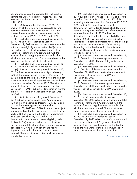maximum number of units that could vest is now vested on December 19, 2018 and 11% of the

(H) Options granted December 19, 2017. 2020 and 2021, in each case subject to One-fourth of the remaining unexercisable options determination that the test to assure eligibility under one-fourth are scheduled to become exercisable on units vest December 19, 2020 subject to each of December 19, 2019, 2020 and 2021. determination that the test to assure eligibility under

(I) Restricted stock units granted December  $19$ , Section  $162(m)$  was satisfied and also subject to 2017. The units are scheduled to vest on statisfaction of a total shareholder return and earnings December 19, 2020 subject to determination that the per share test, with the number of units vesting test to assure eligibility under Section 162(m) was depending on the level at which the tests were satisfied and also subject to satisfaction of a total satisfied. The amount shown is the maximum number shareholder return and EPS growth test, with the of units that could vest. number of units vesting depending on the level at (N) Restricted stock units granted December 17, which the tests are satisfied. The amount shown is the 2015. One-half of the remaining units vested on maximum number of units that could vest. **December 17, 2018**. The remaining units vest on

(J) Restricted stock units granted December 18, December 17, 2019. 2014. The units vested on December 18, 2018. (O) Restricted stock units granted December 21,

(K) Restricted stock units granted December 17, 2016. One-third of the remaining units vested on 2015 subject to performance tests. Approximately December 21, 2018 and one-third are scheduled to 62% of the remaining units vested on December 17, vest on each of December 21, 2019 and 2018 based on the level at which a total shareholder December 21, 2020. return and an EPS growth test were satisfied and 19% (P) Restricted stock units granted December 19, of the units vested on December 17, 2018 without 2017. One-fourth of the remaining units vested on regard to those tests. The remaining units vest on December 19, 2018 and one-fourth are scheduled to December 17, 2019, subject to determination that the vest on each of December 19, 2019, 2020 and test to assure eligibility under Section 162(m) was 2021. satisfied. (Q) Restricted stock units granted December 21,

(L) Restricted stock units granted December 21, 2016. The units are scheduled to vest on 2016 subject to performance tests. Approximately December 21, 2019 subject to satisfaction of a total 12% of the units vested on December 21, 2018 and shareholder return and EPS growth test, with the 12% of the remaining units vest on each of number of units vesting depending on the level at December 21, 2019 and 2020, in each case subject which the tests were satisfied. The amount shown is to determination that the test to assure eligibility under the maximum number of units that could vest. Section 162(m) was satisfied. 65% of the remaining (R) Restricted stock units granted December 19, units vest December 21, 2019 subject to 2017. The units are scheduled to vest on determination that the test to assure eligibility under December 19, 2020 subject to satisfaction of a total Section 162(m) was satisfied and also subject to shareholder return and EPS growth test, with the satisfaction of a total shareholder return and earnings number of units vesting depending on the level at per share test, with the number of units vesting which the tests were satisfied. The amount shown is depending on the level at which the tests were the maximum number of units that could vest. satisfied. The amount shown is the maximum number of units that could vest.

performance criteria that reduced the likelihood of (M) Restricted stock units granted December 19, earning the units. As a result of these revisions, the 2017 subject to performance tests. 11% of the units 1,171,999. remaining units vest on each of December 19, 2019, became exercisable on December 19, 2018 and Section 162(m) was satisfied. 58% of the remaining

*Continues on next page*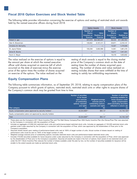# **Fiscal 2018 Option Exercises and Stock Vested Table**

The following table provides information concerning the exercise of options and vesting of restricted stock unit awards held by the named executive officers during fiscal 2018.

|                       | <b>Option Awards</b>                                  |                                         | <b>Stock Awards</b>                                  |                                 |
|-----------------------|-------------------------------------------------------|-----------------------------------------|------------------------------------------------------|---------------------------------|
|                       | Number of<br><b>Shares</b><br>Acquired on<br>Exercise | Value<br>Realized on<br><b>Exercise</b> | Number of<br><b>Shares</b><br>Acquired on<br>Vesting | Value<br>Realized on<br>Vesting |
| Robert A. Iger        | 437.679                                               | \$32,980,207                            | 99,540                                               | \$11,062,955                    |
| Alan N. Braverman     | 130.652                                               | 9,167,411                               | 20,871                                               | 2,319,147                       |
| Christine M. McCarthy |                                                       |                                         | 13,327                                               | 1,479,928                       |
| M. Jayne Parker       | 100,258                                               | 5,662,980                               | 14,951                                               | 1,661,276                       |
| Zenia B. Mucha        |                                                       | –                                       | 13,217                                               | 1,941,551                       |
| Kevin A. Mayer        |                                                       |                                         | 16,418                                               | 1,823,652                       |

The value realized on the exercise of options is equal to vesting of stock awards is equal to the closing market the amount per share at which the named executive price of the Company's common stock on the date of officer sold shares acquired on exercise (all of which vesting times the number of shares acquired upon officer sold shares acquired on exercise (all of which occurred on the date of exercise) minus the exercise occurred on the date of exercise) minus the exercise vesting. The number of shares and value realized on price of the option times the number of shares acquired vesting includes shares that were withheld at the time on exercise of the options. The value realized on the vesting to satisfy tax withholding requirements.

vesting includes shares that were withheld at the time of

# **Equity Compensation Plans**

The following table summarizes information, as of September 29, 2018, relating to equity compensation plans of the Company pursuant to which grants of options, restricted stock, restricted stock units or other rights to acquire shares of the Company's common stock may be granted from time to time.

| Plan category                                                       | Number of securities<br>to be issued<br>upon exercise<br>of outstanding<br>options, warrants<br>and rights<br>(a) | Weighted-average<br>exercise price of<br>outstanding options,<br>warrants and rights<br>(b) | Number of securities<br>remaining available for<br>future issuance under<br>equity compensation<br>plans (excluding securities<br>reflected in column (a))<br>$\left( \text{c} \right)$ |
|---------------------------------------------------------------------|-------------------------------------------------------------------------------------------------------------------|---------------------------------------------------------------------------------------------|-----------------------------------------------------------------------------------------------------------------------------------------------------------------------------------------|
| Equity compensation plans approved by security holders <sup>1</sup> | 33, 334, 808 <sup>2, 3</sup>                                                                                      | \$84.144                                                                                    | 54,749,1263,5                                                                                                                                                                           |
| Equity compensation plans not approved by security holders          |                                                                                                                   |                                                                                             |                                                                                                                                                                                         |
| Total                                                               | 33, 334, 808 <sup>2, 3</sup>                                                                                      | \$84.14 <sup>4</sup>                                                                        | 54,749,1263,5                                                                                                                                                                           |

These plans are the Company's 2011 Stock Incentive Plan and The Walt Disney Company/Pixar 2004 Equity Incentive Plan (the Disney/Pixar Plan was assumed by the Company in connection with the acquisition of Pixar).

<sup>2</sup> Includes an aggregate of 9,592,344 restricted stock units and performance-based restricted stock units. Includes an aggregate of 103,328 restricted stock units granted under a plan assumed by the Company in connection with the acquisition of Pixar, which was approved by the shareholders of Pixar prior to the Company's acquisition.

<sup>3</sup> Assumes shares issued upon vesting of performance-based units vest at 100% of target number of units. Actual number of shares issued on vesting of performance units could be zero to 150% of the target number of units.

Weighted average exercise price of outstanding options; excludes restricted stock units and performance-based restricted stock units.

<sup>5</sup> Includes 419,503 securities available for future issuance under a plan assumed by the Company in connection with the acquisition of Pixar, which was approved by the shareholders of Pixar prior to the Company's acquisition. Assumes all awards are made in the form of options. Each award of one restricted stock unit under the 2011 Stock Incentive Plan reduces the number of shares available under the plan by two, so the number of securities available for issuance will be smaller to the extent awards are made as restricted stock units.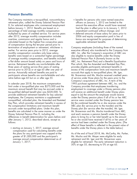# **Pension Benefits**

The Company maintains a tax-qualified, noncontributory • benefits for persons who were named executive retirement plan, called the Disney Salaried Pension Plan retirement plan, called the Disney Salaried Pension Plan D, for salaried employees who commenced employment amount the executive officer would have received before January 1, 2012. Benefits are based on a had the plan in effect prior to its January 1, 2012 percentage of total average monthly compensation amendment continued without change; and multiplied by years of credited service. For service years • deferred amounts of base salary for years prior to after 2012, average monthly compensation includes 2006 and equity compensation paid in lieu of overtime, commission and regular bonus and is bonus are recognized for purposes of determining calculated based on the highest five consecutive years applicable retirement benefits. of compensation during the ten-year period prior to termination of employment or retirement, whichever is Company employees (including three of the named earlier. For service years prior to 2012, average executive officers) who transferred to the Company from monthly compensation considers only base salary, ABC, Inc. after the Company's acquisition of ABC are benefits were based on a somewhat higher percentage also eligible to receive benefits under the Disney of average monthly compensation, and benefits included Salaried Pension Plan A (formerly known as the a flat dollar amount based solely on years and hours of ABC, Inc. Retirement Plan) and a Benefits Equalization service. Retirement benefits are non-forfeitable after Plan which, like the Amended and Restated Key Plan, three years of vesting service (five years of vesting provides eligible participants retirement benefits in service prior to 2012) or at age 65 after one year of excess of the compensation limits and maximum benefit service. Actuarially reduced benefits are paid to accruals that apply to tax-qualified plans. Mr. Iger, participants whose benefits are non-forfeitable and who Mr. Braverman and Ms. Mucha received credited years retire before age 65 but on or after age 55. of service under those plans for the years prior to the

In calendar year 2018, the maximum compensation 1995 purchase agreement between ABC, Inc. and the limit under a tax-qualified plan was \$275,000 and the Company provides that employees transferring maximum annual benefit that may be accrued under a employment to coverage under a Disney pension plan tax-qualified defined benefit plan was \$220,000. To will receive an additional benefit under Disney plans provide additional retirement benefits for key salaried equal to (a) the amount the employee would receive employees, the Company maintains a supplemental under the Disney pension plans if all of his or her ABC nonqualified, unfunded plan, the Amended and Restated service were counted under the Disney pension less Key Plan, which provides retirement benefits in excess of (b) the combined benefits he or she receives under the the compensation limitations and maximum benefit ABC plan (for service prior to the transfer) and the accruals under tax-qualified plans. Under this plan, Disney plan (for service after the transfer). Mr. Iger, benefits are calculated in the same manner as under the Mr. Braverman and Ms. Mucha transferred from ABC, Disney Salaried Pension Plan D, including the and each receives a pension benefit under the Disney differences in benefit determination for years before and plans to bring his or her total benefit up to the amount after January 1, 2012, described above, except as he or she would have received if all his or her years of follows: service had been credited under the Disney plans. (The

compensation used for calculating benefits under average annual compensation determined as of retirement and Mr. Iger and Mr. Braverman were

- 
- 

Company's acquisitions of ABC, Inc. A term of the effect of these benefits is reflected in the present value of • starting on January 1, 2017, average annual benefits under the Disney plans in the table below.)

the plans for any participant was capped at the As of the end of fiscal 2018, Ms. McCarthy, Ms. Parker, greater of \$1,000,000 and the participant's Ms. Mucha and Mr. Mayer were eligible for early January 1, 2017; eligible for retirement. The early retirement reduction is 50% at age 55, decreasing to 0% at age 65.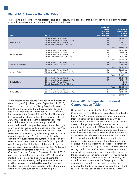# **Fiscal 2018 Pension Benefits Table**

The following table sets forth the present value of the accumulated pension benefits that each named executive officer is eligible to receive under each of the plans described above.

| <b>Name</b>           | <b>Plan Name</b>                                                                                                                                   | Number of<br>Years of<br><b>Credited</b><br>Service at<br><b>Fiscal Year End</b> |       | <b>Present Value of</b><br><b>Accumulated</b><br><b>Benefit at</b><br><b>Fiscal Year End</b> |
|-----------------------|----------------------------------------------------------------------------------------------------------------------------------------------------|----------------------------------------------------------------------------------|-------|----------------------------------------------------------------------------------------------|
| Robert A. Iger        | Disney Salaried Pension Plan D<br>Disney Amended and Restated Key Plan<br>Disney Salaried Pension Plan A<br>Benefit Equalization Plan of ABC, Inc. | 19<br>19<br>25<br>25                                                             |       | \$1,509,599<br>13,120,952<br>881,122<br>6,956,457                                            |
|                       |                                                                                                                                                    |                                                                                  | Total | \$22,468,130                                                                                 |
| Alan N. Braverman     | Disney Salaried Pension Plan D<br>Disney Amended and Restated Key Plan<br>Disney Salaried Pension Plan A<br>Benefit Equalization Plan of ABC, Inc. | 16<br>16<br>9<br>9                                                               |       | \$1,185,548<br>4,687,110<br>231,434<br>1,290,304                                             |
|                       |                                                                                                                                                    |                                                                                  | Total | \$7,394,396                                                                                  |
| Christine M. McCarthy | Disney Salaried Pension Plan D<br>Disney Amended and Restated Key Plan                                                                             | 19<br>19                                                                         |       | \$1,272,598<br>3,468,343                                                                     |
|                       |                                                                                                                                                    |                                                                                  | Total | \$4,740,941                                                                                  |
| M. Jayne Parker       | Disney Salaried Pension Plan D<br>Disney Amended and Restated Key Plan                                                                             | 30<br>30                                                                         |       | \$1,588,159<br>3,344,052                                                                     |
|                       |                                                                                                                                                    |                                                                                  | Total | \$4,932,211                                                                                  |
| Zenia B. Mucha        | Disney Salaried Pension Plan D<br>Disney Amended and Restated Key Plan<br>Disney Salaried Pension Plan A<br>Benefit Equalization Plan of ABC, Inc. | 17<br>17                                                                         |       | \$1,121,172<br>2,724,557<br>43,253<br>67,124                                                 |
|                       |                                                                                                                                                    |                                                                                  | Total | \$3,956,106                                                                                  |
| Kevin A. Mayer        | Disney Salaried Pension Plan D<br>Disney Amended and Restated Key Plan                                                                             | 21<br>21                                                                         |       | \$1,008,795<br>2,764,699                                                                     |
|                       |                                                                                                                                                    |                                                                                  | Total | \$3,773,494                                                                                  |

These present values assume that each named executive<br>
retires at age 65 (or their age on September 29, 2018,<br>
if older) for purposes of the Disney Salaried Pension<br>
Plan D and the Amended and Restated Key Plan and Plan D and the Amended and Restated Key Plan and<br>
oge 62 (or their age on September 29, 2018, if older)<br>
for purposes of the Disney Salaried Pension Plan A, and<br>
the Amended and Restated Benefit Equalization Plan of<br>
ABC, unmarried participant. Participants may elect other of the executive's election, until an earlier date at leas<br>actuarially reduced forms of payment, such as joint and five years following the date the compensation is<br>survi survivor benefits and payment of benefits for a period earned. The Company also has the option to make a<br>certain irrespective of the death of the participant. The contribution into an executive's deferred compensation certain irrespective of the death of the participant. The contribution into an executive's deferred compensation present values were calculated using the 4.31% discount rate assumption set forth in footnote 10 to the vesting conditions) the Company chooses. Amounts in<br>Company's Audited Financial Statements for fiscal 2018 an executive's deferred account earn a return based on Company's Audited Financial Statements for fiscal 2018 an executive's deferred account earn a return based on and using actuarial factors including RP2014 annuitant the executive's election among a series of mutual fund<br>mortality table, projected back to 2006 using the state of designated by the Company, which are generally the mortality table, projected back to 2006 using the designated by the Company, which are generally the<br>MP-2014 projection scale, and generationally with a same funds available under the Company's qualified MP-2014 projection scale, and generationally with a same funds available under the Company's qualifie<br>modified version of the MP-2016 scale for males and aleferred compensation plans. Returns on the funds modified version of the MP-2016 scale for males and females. The present values reported in the table are not available for the deferred account ranged from  $-1.2\%$ available as lump sum payment under the plans. to 25.9% for the year ended September 29, 2018.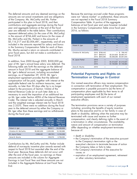The deferred amounts and any deemed earnings on the Because the earnings accrued under these programs amounts are not actual investments and are obligations were not ''above market'' or preferential, these amounts of the Company. Ms. McCarthy and Ms. Parker participated in this plan in fiscal 2018, and their Compensation Table. A portion of the aggregate contributions and aggregate earnings during the fiscal balances at last fiscal year end were however included year are reflected in the table below. Their contributions 2016, as follows: represent deferred salary (in the case of Ms. McCarthy) in the amount of \$766,442 and bonus (in the cases of Ms. McCarthy and Ms. Parker) in the amounts of \$5,116,217 and \$2,006,481, respectively, and all are included in the amounts reported for salary and bonus in the Summary Compensation Table for each of them. Ms. Mucha earned a return on amounts contributed in prior fiscal years, but did not make a contribution in

In addition, from 2000 through 2005, \$500,000 per year of Mr. Iger's annual base salary was deferred. The following table sets forth the earnings on the deferred amount in fiscal 2018 and the aggregate balance of Mr. Iger's deferral account, including accumulated **Potential Payments and Rights on** earnings, as of September 29, 2018. Mr. Iger's employment agreement provides that the deferred **Termination or Change in Control** compensation will be paid, together with interest at the annually, no later than 30 days after he is no longer in connection with termination of their employment. This<br>subject to the provisions of Section 162(m) of the compensation is payable pursuant to (a) the terms of subject to the provisions of Section 162(m) of the Internal Revenue Code (or at such later date as is compensation plans applicable by their terms to all necessary to avoid the imposition of an additional tax participating employees and (b) the terms of necessary to avoid the imposition of an additional tax participating employees and (b) the terms of<br>The terms of the Internal Revenue amployment agreements with each of our named on Mr. Iger under Section 409A of the Internal Revenue employment agreement agreement agreements with each of o<br>Codel The interest rate is adjusted annually in March executive officers. Code). The interest rate is adjusted annually in March and the weighted average interest rate for fiscal 2018 was 2.353%. There were no additions during the fiscal The termination provisions serve a variety of purposes vear to the deferred amount by either the Company or including: providing the benefits of equity incentive year to the deferred amount by either the Company or including: providing the benefits of equity incentive<br>Mr. laer other than these earnings and no withdrawals blans to the executive and his or her family in case of Mr. Iger other than these earnings and no withdrawals during the fiscal year. The state of the state of death or disability; defining when the executive may be

|                       | <b>Executive</b><br>Contributions<br>in Last<br><b>Fiscal Year</b> | Aggregate<br>Earnings<br>in Last<br><b>Fiscal Year</b> | Aggregate<br><b>Balance</b> at<br><b>Last Fiscal</b><br><b>Year End</b> |
|-----------------------|--------------------------------------------------------------------|--------------------------------------------------------|-------------------------------------------------------------------------|
| Robert A. Iger        |                                                                    | \$98.611                                               | \$4,288,899                                                             |
| Christine M. McCarthy | \$5,882,659                                                        | 2,329,306                                              | 18,160,986                                                              |
| M. Jayne Parker       | 2,006,481                                                          | (69, 761)                                              | 5,104,269                                                               |
| Zenia B. Mucha        |                                                                    | 239,576                                                | 3,706,595                                                               |

Contributions by Ms. McCarthy and Ms. Parker include executive's decision to terminate because of action deferral of non-equity incentive plan awards earned with the Company takes or fails to take; deferral of non-equity incentive plan awards earned with respect to fiscal 2018 but awarded after the end of the fiscal year. Because these deferrals did not occur until cause; or<br>after the end of the fiscal year, no earnings on these expiration after the end of the fiscal year, no earnings on these **•** expiration of an employment agreement, retirement amounts are included in the column for Aggregate **•** or other voluntary termination. amounts are included in the column for Aggregate or other voluntary termination.<br>Earnings in Last Fiscal Year and these amounts are not included in the Aggregate Balance at Last Fiscal Year End.

in the Summary Compensation Table since fiscal year

| represent deterred suidily this me case of tws. IvicCuritity<br>in the amount of \$766,442 and bonus (in the cases of<br>Ms. McCarthy and Ms. Parker) in the amounts of |                       |                       |                                                    | <b>Amount Included in Summary</b><br><b>Compensation Table</b> |                |
|-------------------------------------------------------------------------------------------------------------------------------------------------------------------------|-----------------------|-----------------------|----------------------------------------------------|----------------------------------------------------------------|----------------|
| \$5,116,217 and \$2,006,481, respectively, and all are                                                                                                                  |                       | <b>Fiscal</b><br>Year |                                                    | Non-Equity<br>Salary Incentive Plan                            | <b>Total</b>   |
| included in the amounts reported for salary and bonus<br>in the Summary Compensation Table for each of them.<br>Ms. Mucha earned a return on amounts contributed in     | Robert A. Iger        | 2018<br>2017<br>2016  |                                                    |                                                                |                |
| prior fiscal years, but did not make a contribution in<br>fiscal 2018.                                                                                                  | Christine M. McCarthy |                       | 2018 \$766.442<br>2017 \$659,615<br>2016 \$643,365 | \$3,324,826 \$3,984,441<br>\$4,308,280 \$4,951,645             | $-$ \$ 766,442 |
| In addition, from 2000 through 2005, \$500,000 per<br>year of Mr. Iger's annual base salary was deferred. The                                                           | M. Jayne Parker       | 2018<br>2017<br>2016  |                                                    | \$1,513,037 \$1,513,037<br>\$1,729,984 \$1,729,984             |                |
| following table sets forth the earnings on the deferred                                                                                                                 | Zenia B. Mucha        | 2018                  |                                                    |                                                                |                |

Our named executive officers may receive compensation<br>in connection with termination of their employment. This

terminated with cause and receive no further compensation; and clearly defining rights in the event of a termination in other circumstances. The availability, nature and amount of compensation on termination differ depending on whether employment terminates<br>because of:

- 
- death or disability;<br>• the Company's termination of the executive pursuant to the Company's termination right or the
- the Company's termination of the executive for
- 

*Continues on next page*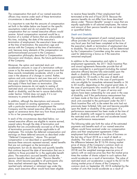The compensation that each of our named executive the receive these benefits if their employment had officers may receive under each of these termination terminated at the end of fiscal 2018. Because the circumstances is described below.

It is important to note that the amounts of compensation<br>set forth in the tables below are based on the specific<br>assumptions noted and do not predict the actual<br>compensation that our named executive officers would<br>compensa receive. Actual compensation received would be a Function of a number of factors that are unknowable at<br>this time, including: the date of the executive's<br>termination of employment; the executive's base salary<br>at the time of termination; the executive's base salary<br>at the of the Company. In addition to the compensation and rights in

In addition, although the descriptions and amounts stock units awarded to the participant under the 2011 below are based on existing agreements, in connection with a particular termination of employment the agree on severance terms that vary from those provided in his or her pre-existing agreement.

In each of the circumstances described below, our on the performance measurement. named executive officers are eligible to receive earned, unpaid salary through the date of termination and The following table sets forth the value of the estimated<br>benefits that are unconditionally accrued as of the date payments and benefits each of our named executive benefits that are unconditionally accrued as of the date payments and benefits each of our named executive of termination pursuant to policies applicable to all officers would have received under our compen<br>employees. This includes the deferred compensation and plans and their employment agreements if their employees. This includes the deferred compensation and plans and their employment agreements if their earnings on these deferred amounts as described under employment had terminated at the close of busine<br>"Deferred Compensation," above. This earned the last day of fiscal 2018 as a result of death or "Deferred Compensation," above. This earned compensation is not described or quantified below disability. The value of option acceleration is equal to because these amounts represent earned, vested benefits the difference between the \$116.94 closing market because these amounts represent earned, vested benefits the difference between the \$116.94 closing market<br>that are not contingent on the termination of the company's common stock on that are not contingent on the termination of price of shares of the Company's common stock on<br>
employment, but we do describe and quantify benefits September 28, 2018 (the last trading day in fiscal employment, but we do describe and quantify benefits that continue beyond the date of termination that are in addition to those provided for in the applicable benefit options with an exercise price less than the market price pension benefits described under *''Pension Benefits*," have reached retirement age. Because they have closing market price of shares of the Company's plans, each executive officer would have been eligible

pension benefits do not differ from those described<br>above under "Pension Benefits" except in ways that are

### *Death and Disability*

Moreover, the option and restricted stock unit<br>acceleration amounts in case of a termination without<br>acceleration amounts in case of a termination without<br>cause or by the executive for good reason assume that<br>cause or by t previously been forfeited, fully vest and become payable<br>upon the death or disability of the participant. If a Company and the named executive officer may mutually upon the death or disability of the participant. If a death or disability with respect to restricted stock units, the restricted stock units will vest and accelerate based

2018) and the weighted average exercise price of plans. The executive's accrued benefits include the times the number of shares subject to such options that<br>pension benefits described under "Pension Benefits." would accelerate as a result of termination. The value of above, which become payable to all participants who restricted stock unit acceleration is equal to the \$116.94 reached early retirement or retirement age under the common stock on September 28, 2018 multiplied by the plans, each executive officer would have been eligible number of units that would accelerate as a result of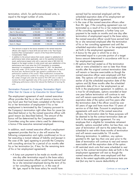termination, which, for performance-based units, is earned had he remained employed until the equal to the target number of units.

|                       | Cash<br>Payment <sup>1</sup> | Option<br>Acceleration | <b>Restricted</b><br><b>Stock Unit</b><br>Acceleration |
|-----------------------|------------------------------|------------------------|--------------------------------------------------------|
| Robert A. Iger        | \$18,000,000                 | \$7,216,010            | \$56,094,3772                                          |
| Alan N. Braverman     | 4,750,000                    | 1,135,494              | 5,991,215                                              |
| Christine M. McCarthy | 5,300,000                    | 1.043.267              | 6,281,089                                              |
| M. Jayne Parker       | 2,100,000                    | 841,663                | 4,486,874                                              |
| Zenia B. Mucha        | 2,000,000                    | 708,443                | 3,588,904                                              |
| Kevin A. Mayer        | 5,300,000                    | 1,105,548              | 6,338,739                                              |

- officers with respect to fiscal 2018 and set forth in the "Non-Equity Incentive Plan Compensation" column of the Fiscal 2018 Summary • A bonus for the year in which he or she is<br>Compensation Table.
- event, performance-based units with a year-end value of \$81,040,135 (based on the target number of units) would vest upon satisfaction of the (based on the target number of units) would vest upon satisfaction of the **•** All options that had vested as of the termination performance test if and when the 21CF Acquisition is completed,<br>performance test if and when assuming it is completed prior to December 31, 2021. As described more fully under "2018 Compensation Decisions" above, after the end of months after the original contract termination date<br>the fiscal year, the Board and Mr. Iger agreed to modifications to the will remain or become oversi the tiscal year, the Board and Mr. Iger agreed to modifications to the<br>
performance conditions of this award. These modifications increased the<br>
rigor of the performance condition for vesting of this award and increased<br>
t the number of target units under the award to 937,599 units in order to maintain the initial negotiated value of the award with the addition of more maintain the initial negotiated value of the award with the addition of more<br>challenging performance criteria that reduced the likelihood of earning the units. Challenging performance criteria mar reduced the likelihood or earning the control options and (b) three months after the scheduled

### *Termination Pursuant to Company Termination Right Other than for Cause or by Executive for Good Reason*

In addition, each named executive officer's employment<br>
agreement provides that he or she will receive the<br>
following compensation and rights conditioned on his or<br>
the case of Mr. Iger) agreeing to provide the Company<br>
wi

• A lump sum payment to be made six months and<br>one day after termination equal to the base salary<br>the named executive officer would have earned had<br>he or she remained employed during the term of his<br>he or she remained empl or her consulting agreement or, in the case of Mr. Iger, equal to the base salary he would have

scheduled expiration date of his employment set forth in the employment agreement.

- In the case of the named executive officers other than Mr. Iger, if the consulting agreement was not terminated as a result of his or her material breach of the consulting agreement, a further lump sum payment to be made six months and one day after<br>termination of employment equal to the base salary<br>the named executive officer would have earned had he or she remained employed after the termination of his or her consulting agreement and until the <sup>1</sup> This amount is equal to the bonus awarded to the named executive<br>officers with respect to fiscal 2018 and set forth in the "Non-Equity set forth in the employment agreement.
- Compensation Table. terminated equal to a pro-rata portion of a target <sup>2</sup> In addition to the amount above that would, subject to satisfaction of performance tests where applicable, vest on the specified termination bonus amount determined in accordance with his or event, performance-based units with a year-end value of \$81,040,135
- expiration date of his or her employment as set forth in the employment agreement. In addition, as is true for all employees, options awarded at least The employment agreement of each named executive<br>
officer provides that he or she will receive a bonus for<br>
any fiscal year that had been completed at the time of<br>
the termination defect of the option and in the earlier of
	-

*Continues on next page*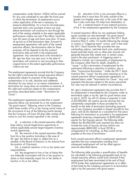for any units scheduled to vest after the fiscal year location that is more than 50 miles outside of the unless application of the test is necessary to that is also more than 50 miles from Manhattan; or preserve deductibility). As is true for all employees, before termination will continue to vest through the

The employment agreements provide that the Company<br>has the right to terminate the named executive officer's<br>employment subject to payment of the foregoing<br>compensation in its sole, absolute and unfettered<br>discretion for an

(ii) the removal of the named executive officer payable at the time of termination. from his or her position (including in the case of Mr. Iger, the failure to elect or reelect him as a Each named executive officer's employment agreement member of the Board of Directors or his removal from specifies that any compensation resulting from

(iii) a material reduction in his or her duties and responsibilities;

compensation under Section 162(m) will be waived (v) relocation of his or her principal office to a in which the termination of employment occurs greater Los Angeles area and, in the case of Mr. Iger,

restricted stock units awarded at least one year of his or her employment agreement by the Company.

end of the vesting schedule to the extent applicable A named executive officer (or any employee holding<br>
performance criteria are met if the officer would be equity awards) can also terminate "for good reason" performance criteria are met if the officer would be equity awards) can also terminate "tor good reason"<br>Over 60 vears of age and have more than 10 vears after a change in control (as defined in the 2011 Stock over 60 years of age and have more than 10 years after a change in control (as defined in the 2011 Stock<br>of service as of the termination date. Pursuant to a lincentive Plan) if, within 12 months following the change of service as of the termination date. Pursuant to local incentive Plan) it, within 12 months tollowing the change<br>
in control, a "triggering event" occurs, and in that case employment agreements with each of the named<br>executive officers, the termination date for these<br>purposes will be deemed to be the contract<br>termination date set forth in the employment<br>agreement. Any restricted stock units agreement. Any restricted stock units awarded to generally become tully vested and, in certain cases,<br>Mr. Iger less than one year prior to the date of paid to the plan participant. A triggering event is<br>termination will co termination will continue to vest according to their<br>original terms to the extent applicable performance<br>original terms to the extent applicable performance<br>original terms to the extent applicable performance<br>original term

this right and would be subject to the compensation<br>provisions described below under "Termination for<br>Cause."<br>cause."<br>to July 2, 2019, he will (1) receive a payment in cash The employment agreements provide that a named<br>executive officer can terminate his or her employment<br>"for good reason" following notice to the Company<br>within three months of his or her having actual notice of<br>the occurrenc (i) a reduction in the named executive officer's<br>base salary, annual target bonus opportunity or<br>(where applicable) annual target long-term incentive<br>award opportunity;<br>award opportunity;<br>award opportunity; compensation for consulting, as they would not be

the position of Chairman); subsequent employment will not be offset against

(iv) the assignment to him or her of duties that The following table provides a quantification of benefits are materially inconsistent with his or her position or (as calculated in the following paragraph) each of our<br>duties or that materially impair his or her ability to a named executive officers would have received if their duties or that materially impair his or her ability to named executive officers would have received if their employment had been terminated at the end of fiscal function in his or her office; 2018 (under their employment agreements as in effect at that time) by the Company pursuant to its termination right or by the executive with good reason.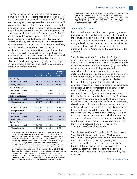The "option valuation" amount is (a) the difference<br>between the \$116.94 closing market price of shares of<br>the Company's common stock on September 28, 2018<br>order to maintain the initial negotiated value of the award with th the Company's common stock on September 28, 2018 order to maintain the initial negotiated value of the award with the<br>addition of more challenging performance criteria that reduced the<br>likelihood of earning the units. an exercise price less than the market price times (b) the number of options with in-the-money exercise prices that would become exercisable despite the termination. The<br>
"restricted stock unit valuation" amount is the \$116.94<br>
closing market price on September 28, 2018 times the<br>
target number of units that could vest. However, as<br>
the

|                       | Cash<br>Payment <sup>1</sup> | Option<br><b>Valuation</b> | <b>Restricted</b><br><b>Stock Unit</b><br><b>Valuation</b> |
|-----------------------|------------------------------|----------------------------|------------------------------------------------------------|
| Robert A. Iger        |                              |                            |                                                            |
| No change in control  | \$32,807,692                 | \$7,216,010                | \$56,094,3772                                              |
| Change in control     | 32,807,692                   | 7,216,010                  | 56,094,377                                                 |
| Alan N. Braverman     |                              |                            |                                                            |
| No change in control  | 5,971,362                    | 1,135,494                  | 5,991,215                                                  |
| Change in control     | 5,971,362                    | 1,135,494                  | 5.991.215                                                  |
| Christine M. McCarthy |                              |                            |                                                            |
| No change in control  | 9,566,577                    | 1,043,267                  | 6,281,089                                                  |
| Change in control     | 9,566,577                    | 1,043,267                  | 6,281,089                                                  |
| M. Jayne Parker       |                              |                            |                                                            |
| No change in control  | 4,873,275                    | 841,663                    | 4,486,874                                                  |
| Change in control     | 4,873,275                    | 841,663                    | 4.486.874                                                  |
| Zenia B. Mucha        |                              |                            |                                                            |
| No change in control  | 2,331,422                    | 708.443                    | 3.588.904                                                  |
| Change in control     | 2,331,422                    | 708,443                    | 3,588,904                                                  |
| Kevin A. Mayer        |                              |                            |                                                            |
| No change in control  | 12.984.615                   | 1,105,548                  | 6.338.739                                                  |
| Change in control     | 12,984,615                   | 1,105,548                  | 6,338,739                                                  |

the employment term as described above plus, in the case of Mr. Iger,

event, performance-based units with a year-end value of \$81,040,135 Company determines that the conduct or cause is<br>(based on the target number of units) would vest upon satisfaction of the extended such conduct or cause i (based on the target number of units) would vest upon satisfaction of the curable, such conduct or cause is timely cured by the performance test if and when the 21CF Acquisition is completed,<br>assuming it is completed prior more fully under "2018 Compensation Decisions" above, after the end of the fiscal year, the Board and Mr. Iger agreed to modifications to the

### *Termination for Cause*

exercise of the options and the vesting of restricted stock<br>units may therefore be more or less than the amount<br>shown below depending on changes in the market price<br>of the Company's common stock and the satisfaction of<br>app connection with his employment which has had a material adverse effect on the business of the Company, unless he reasonably believed in good faith that such act or non-act was in, or not opposed to, the best interests of the Company; (iii) his substantial and continual refusal to perform his duties, responsibilities or obligations under the agreement that continues after receipt of written notice identifying the duties, responsibilities or obligations not being performed; **Christine M. McCarthy** (iv) a violation that is not timely cured of any Company policy that is generally applicable to all employees or all officers of the Company that he knows or reasonably should know could reasonably be expected to result in a material adverse effect on the Company; (v) any failure (that is not timely cured) to cooperate, if requested by the Board, with any investigation or inquiry into his or the Company's business practices, whether internal or external; or (vi) any material breach that is not timely<br>cured of covenants relating to non-competition during the term of employment and protection of the<br>Company's confidential information.

<sup>1</sup> This amount is equal to the bonus awarded to the named executive ''Termination for Cause'' is defined in Mr. Braverman's, officers with respect to fiscal 2018 and set forth in the "Non-Equity" Ms. McCarthy's, Ms. Parker's, Ms. Mucha's and<br>
Incentive Plan Compensation" column of the Summary Compensation<br>
Table, plus the lump sum payments based the \$5,000,000 payment he would receive as described above.<br><sup>2</sup> In addition to the amount above that would, subject to satisfaction of **the agreement by the executive unless, if the**<br>performance tests where applicable, ves

*Continues on next page*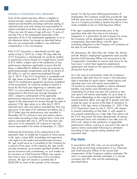### *Expiration of Employment Term; Retirement*

Each of the named executive officers is eligible to<br>receive earned, unpaid salary and unconditionally<br>vested accrued benefits (including continued vesting of<br>restricted stock units and vesting and exercisability of<br>restric

If the 21CF Acquisition is abandoned and Mr. Iger<br>
retires at July 2, 2019 (or, if later, 90 days after the<br>
21CF Acquisition is abandoned), he would be entitled<br>
to receive (a) a bonus based on a target bonus award<br>
of \$1

Following the termination of his employment at the according to their original vesting schedule and expiration date, to enable the Company to have access to Mr. Iger's unique skills, knowledge and experience with regard to the media and entertainment business, **Pay Ratio** Mr. Iger would serve as a consultant to the Company for<br>
a period of five years. In this capacity, Mr. Iger would<br>
provide assistance, up to certain specified monthly and<br>
annual maximum time commitments, on such matters a \$500,000 for each of the quarters of this five-year described below.

period. For the five years following termination of

options awarded more than one year prior to retirement<br>
if they are over 60 years of age with over 15 years of<br>
service) if his or her employment terminates at the<br>
expiration of his or her employment agreement or he or<br>
s

\$5 million in cash for remaining employed through the papilop and the same of a termination under the Company's<br>
Suly 2, 2019. If the 21CF Acquisition is completed and<br>
duly 2, 2019. If the 21CF Acquisition is completed an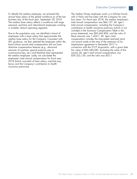To identify the median employee, we reviewed the The median Disney employee works in a full-time hourly annual base salary of the global workforce as of the last role in Parks and has been with the Company for over<br>business day of the fiscal year, September 28, 2018. Four years. For fiscal year 2018, the median employee The median base salary reflects a workforce with large total annual compensation was \$46,127. Mr. Iger's seasonal, part-time and international employees working total annual compensation, including the Company's in multiple, distinct operating segments. The contribution to health insurance premiums (which is not

Due to the population size, we identified a band of proxy statement), was \$65,662,806, and the ratio of employees with a base salary that approximates the these amounts was 1,424:1. Mr. Iger's total median base salary for the Company. Consistent with compensation includes the time-vested restricted stock<br>SEC quidance, we then selected the employee within the unit award made at the time of the extension of his SEC guidance, we then selected the employee within the band whose annual total compensation did not have employment agreement in December 2017 in distortive compensation features (e.g., abnormal connection with the 21CF Acquisition, with a grant date amounts of overtime, special premium pay or fair value of \$26,340,682. Excluding the value of this commissions/tips, etc.) and therefore best represented award, Mr. Iger's total annual compensation was the median employee. Lastly, we calculated the \$39,322,124, and the ratio was 852:1. employee's total annual compensation for fiscal year 2018 (which consisted of base salary, overtime pay, bonus and the Company's contribution to health insurance premiums).

four years. For fiscal year 2018, the median employee's included in the Summary Compensation Table in this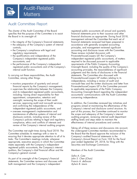# Audit Committee Report

The charter of the Audit Committee of the Board registered public accountants all annual and quarterly specifies that the purpose of the Committee is to assist financial statements prior to their issuance and other

- the integrity of the Company's financial statements; financial statements reviewed had been prepared in
- the adequacy of the Company's system of internal accordance with generally accepted accounting controls; principles, and management reviewed significant
- regulatory requirements; These reviews included discussion with
- the qualifications and independence of the PricewaterhouseCoopers LLP, the Company's
- the performance of the Company's independent requirements of the Public Company Accounting

In carrying out these responsibilities, the Audit statements. The Committee also discussed with

- 
- supervises the relationship between the Company to applicable requirements of the Public Company appointment, compensation, retention and concerning independence. oversight; reviewing the scope of their audit
- maintenance of effective systems of internal and the scope and adequacy of the Company's internal Company's policies relating to legal and regulatory staffing levels and steps taken to maintain the compliance, ethics and conflicts of interests and effectiveness of internal procedures and controls. review of the Company's internal auditing program.

The Committee met eight times during fiscal 2018. The the undersigned Committee members recommended to Committee schedules its meetings with a view to the Board that the Board approve the inclusion of the ensuring that it devotes appropriate attention to all of its Company's audited financial statements in the tasks. The Committee's meetings include, whenever Company's Annual Report on Form 10-K for the fiscal appropriate, executive sessions in which the Committee year ended September 29, 2018, for filing with the meets separately with the Company's independent Securities and Exchange Commission. registered public accountants, the Company's internal auditors, the Company's chief financial officer and the Members of the Audit Committee Company's general counsel.

As part of its oversight of the Company's financial *John S. Chen (Chair)* statements, the Committee reviews and discusses with *Francis A. deSouza* both management and the Company's independent *Aylwin B. Lewis*

the Board in its oversight of: financial disclosures as appropriate. During fiscal 2018, management advised the Committee that each set of • the Company's compliance with legal and accounting and disclosure issues with the Committee. Company's independent registered public independent registered public accountants, of matters accountants; and required to be discussed pursuant to applicable registered public accountants and of the Company's Oversight Board, including the quality of the Company's internal audit function. accounting principles, the reasonableness of significant judgments and the clarity of disclosures in the financial Committee, among other things: PricewaterhouseCoopers LLP matters relating to its independence, including a review of audit and • monitors preparation of quarterly and annual non-audit fees and the written disclosures and letter from financial reports by the Company's management; PricewaterhouseCoopers LLP to the Committee pursuant and its independent registered public accountants, Accounting Oversight Board regarding the independent including: having direct responsibility for their accountants' communications with the Audit Committee

21DEC201818174709

services; approving audit and non-audit services; In addition, the Committee reviewed key initiatives and and confirming the independence of the programs aimed at maintaining the effectiveness of the independent registered public accountants; and Company's internal and disclosure control structure. As • oversees management's implementation and part of this process, the Committee continued to monitor disclosure controls, including review of the auditing program, reviewing internal audit department

Taking all of these reviews and discussions into account,

*Safra A. Catz*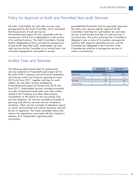# Policy for Approval of Audit and Permitted Non-audit Services

All audit, audit-related, tax and other services were pre-established thresholds must be separately approved.<br>
pre-approved by the Audit Committee, which concluded The policy also requires specific approval by the pre-approved by the Audit Committee, which concluded that the provision of such services by Committee if total fees for audit-related, tax and other PricewaterhouseCoopers LLP was compatible with the services would exceed total fees for audit services in maintenance of that firm's independence in the conduct any fiscal year. The policy authorizes the Committee to maintenance of that firm's independence in the conduct of its auditing functions. The Audit Committee's Outside delegate to one or more of its members pre-approval<br>Auditor Independence Policy provides for pre-approval authority with respect to permitted services, and the of specifically described audit, audit-related, tax and Committee has delegated to the Chairman of the other services by the Committee on an annual basis, but Committee the authority to pre-approve services in individual engagements anticipated to exceed certain circumstances.

authority with respect to permitted services, and the

# Auditor Fees and Services

The following table presents fees for professional services rendered by PricewaterhouseCoopers LLP for the audit of the Company's annual financial statements and internal control over financial reporting for fiscal 2018 and fiscal 2017, together with fees for auditrelated, tax and other services rendered by PricewaterhouseCoopers LLP during fiscal 2018 and fiscal 2017. Audit-related services consisted principally of audits of employee benefit plans and other entities related to the Company and other attest projects, consultations on the impact of new accounting rules, and due diligence. Tax services consisted principally of planning and advisory services and tax compliance assistance. Other services consisted of attestation reports on social, environmental and cultural disclosure required by law or regulation. The Audit Committee directs and reviews the negotiations associated with the Company's retention of its independent registered public accountants.

| Fiscal 2018   | Fiscal 2017 |  |  |
|---------------|-------------|--|--|
| (in millions) |             |  |  |
| \$19.9        | \$19.6      |  |  |
| 3.5           | 3.4         |  |  |
| 3.5           | 3.9         |  |  |
| 0.1           | 0.1         |  |  |
|               |             |  |  |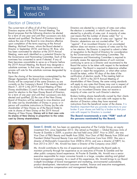

# Election of Directors

The current term of office of all of the Company's Directors are elected by a majority of votes cast unless Directors expires at the 2019 Annual Meeting. The the election is contested, in which case Directors are<br>Board proposes that the following directors be elected elected by a plurality of votes cast. A majority of vote for a term of one year and until their successors are duly cast means that the number of shares voted ''for'' a elected and qualified. The Board of Directors intends to Director exceeds the number of votes cast "against" the<br>reduce the size of the Board to nine directors effective Director: abstentions are not counted either "for" o reduce the size of the Board to nine directors effective Director; abstentions are not counted either "for" or<br>upon completion of the terms expiring at the Annual "against". If an incumbent Director in an unconteste upon completion of the terms expiring at the Annual "'against''. If an incumbent Director in an uncontested<br>Meeting. Michael Froman, whom the Board elected a election does not receive a majority of votes cast for h Meeting. Michael Froman, whom the Board elected a election does not receive a majority of votes cast for his<br>Director in September 2018, and Derica W. Rice, who create for election, the Director is required to submit a let

Upon the closing of the transactions contemplated by the certification of election results. If the meeting held on<br>March 7, 2019 is the 2019 Annual Meeting of Merger Agreement, the Board of Directors of New March 7, 2019 is the 2019 Annual Meeting of<br>Disney will be comprised of the same Directors as are shareholders of New Disney, the same voting standards currently on the Company's Board. If the meeting held on will apply to any votes that Disney may cast in respect of<br>March 7, 2019 is the 2019 Annual Meeting of New its shares of New Disney and the same procedures will March 7, 2019 is the 2019 Annual Meeting of New Disney stockholders (1) each of the nominees will instead apply if an incumbent Director does not receive a stand for election to the New Disney Board of Directors majority of votes cast for such Director's election. stand for election to the New Disney Board of Directors for a term of one year and until their successors are duly For a term of one year and until their successors are duly<br>elected and qualified, (2) the size of the New Disney<br>Board of Directors will be reduced to nine directors and<br>(3) votes cast by shareholders of Disney in proxy or shareholder of New Disney as of the Record Date) to vote its shares of New Disney at the 2019 Annual Meeting of New Disney. **Disney will in that case vote its shares of New Disney in proportion to the votes cast by Disney shareholders.**

elected by a plurality of votes cast. A majority of votes Director in September 2018, and Derica W. Rice, who<br>
has been nominated for election at the 2019 Annual<br>
Meeting, were each identified as a potential Director by<br>
the Governance and Nominating Committee. The<br>
the Governanc Disney will be comprised of the same Directors as are shareholders of New Disney, the same voting standards<br>Currently on the Company's Board. If the meeting held on will apply to any votes that Disney may cast in respect o

21DEC201818175356

instructions from the beneficial owner of the shares. It is therefore important that you provide instructions to your broker if your shares are held by a broker so that your vote with respect to Directors is counted.

**The Board recommends a vote ''FOR'' each of the persons nominated by the Board.**



Susan E. Arnold, 64, has been an operating executive of The Carlyle Group, an equity investment firm, since September 2013. She retired as President — Global Business Units of Procter & Gamble in 2009, a position she had held since 2007. Prior to 2007, she was Vice Chair of P&G Beauty and Health from 2006, Vice Chair of P&G Beauty from 2004 and President Global Personal Beauty Care and Global Feminine Care from 2002. She was a director of McDonald's Corporation from 2008 to 2016, and was a director of NBTY, Inc. from 2013 to 2017. Ms. Arnold has been a Director of the Company since 2007.

Ms. Arnold contributes to the mix of experience and qualifications the Board seeks to maintain primarily through her experience as an executive of Procter & Gamble and her other public company board experience. At Procter & Gamble, Ms. Arnold was a senior executive responsible for major consumer brands in a large, complex retailing and global brand management company. As a result of this experience, Ms. Arnold brings to our Board in-depth knowledge of brand management and marketing, environmental sustainability, product development, international consumer markets, finance and executive management, including executive compensation and management leadership.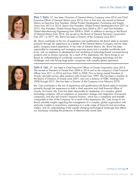

Mary T. Barra, 57, has been Chairman of General Motors Company since 2016 and Chief Executive Officer of General Motors since 2014. Prior to that time, she served at General Motors as Executive Vice President, Global Product Development, Purchasing and Supply Chain from 2013 to 2014, Senior Vice President, Global Product Development from 2011 to 2013, Vice President, Global Human Resources from 2009 to 2011 and Vice President, Global Manufacturing Engineering from 2008 to 2009. In addition to serving on the Board of General Motors from 2014, she served on the Board of General Dynamics Corporation from 2011 to 2017. Ms. Barra has been a Director of the Company since 2017.

Ms. Barra contributes to the mix of experience and qualifications the Board seeks to maintain primarily through her experience as a leader of the General Motors Company and her other public company board experience. In her roles at General Motors, Ms. Barra has been responsible for overseeing and managing executive teams and a sizeable worldwide work force, with an emphasis on development and marketing of technology-based consumer-facing products and on human resources. As a result of this experience, Ms. Barra brings to our Board an understanding of worldwide consumer markets, changing technology and the challenges and risks facing large public companies with complex global operations.



Safra A. Catz, 57, has been a Chief Executive Officer of Oracle Corporation since 2014. She served as President of Oracle from 2004 to 2014 and as the company's Chief Financial Officer from 2011 to 2014 and from 2005 to 2008. Prior to being named President of Oracle, she held various other positions with Oracle from 1999. She has been a member of the Board of Directors of Oracle since 2001, and was a director of HSBC Holdings from 2008 through 2015. She has been a Director of the Company since February 2018.

Ms. Catz contributes to the mix of experience and qualifications the Board seeks to maintain primarily through her experience as both a chief executive and chief financial officer of Oracle. At Oracle, Ms. Catz has been responsible for leadership of a complex, global technology company, with an emphasis on acquisition strategy and integration of acquired companies, and also led Oracle's financial function, which has a complexity and breadth comparable to that of the Company. As a result of this experience, Ms. Catz brings to our Board valuable insights regarding the management of a complex, global organization with particular insights in acquisitions, experience in a wide range of financial and accounting matters, and an understanding of the rapidly changing technological landscape that affects our businesses including the protection of electronically stored data.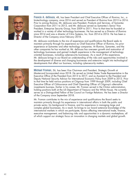

Francis A. deSouza, 48, has been President and Chief Executive Officer of Illumina, Inc., a biotechnology company, since 2016 and served as President of Illumina from 2013 to 2016. Prior to joining Illumina, Mr. deSouza was President, Products and Services, of Symantec Corporation from 2011 to 2013, and Mr. deSouza served as Symantec's Senior Vice President, Enterprise Security Group, from 2009 to 2011. Prior to that time he founded or worked in a variety of other technology businesses. He has served as a Director of Illumina since 2014 and was a director of Citrix Systems, Inc. from 2014 to 2016. He has been a Director of the Company since February 2018.

Mr. deSouza contributes to the mix of experience and qualifications the Board seeks to maintain primarily through his experience as Chief Executive Officer of Illumina, his prior experience at Symantec and other technology companies. At Illumina, Symantec, and the other companies he has worked at, Mr. deSouza has overseen growth and maturation of technology businesses and gained in-depth experience in the management of technology oriented businesses, including cybersecurity businesses. As a result of this experience, Mr. deSouza brings to our Board an understanding of the risks and opportunities involved in the development of diverse and changing businesses and extensive insight into technological developments that affect our business, including cybersecurity matters.



Michael Froman, 56, has been Vice Chairman and President, Strategic Growth at Mastercard Incorporated since 2018. He served as United States Trade Representative in the Executive Office of the President from 2013 to 2017, and as Assistant to the President and Deputy National Security Advisor for International Economic Policy from 2009 to 2013. Prior to that time he held various positions at Citigroup from 1999 through 2009, including Chief Executive Officer of CitiInsurance and Chief Operating Officer of Citigroup's alternative investments business. Earlier in his career, Mr. Froman served in the Clinton administration, holding positions both at the US Department of Treasury and the White House. He currently serves as a Distinguished Fellow of the Council on Foreign Relations. He has been a Director of the Company since September 2018.

Mr. Froman contributes to the mix of experience and qualifications the Board seeks to maintain primarily through his experience in international affairs in both the public and private sector, his background in finance, and his experience in managing large and complex global businesses. As a result, he brings to our board extensive knowledge of the international markets in which we participate, factors affecting international trade, finance, executive management, and balancing risks and opportunities in a dynamic marketplace, all of which support our strategic focus on innovation in changing markets and global growth.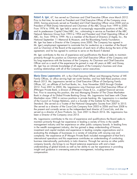

Robert A. Iger, 67, has served as Chairman and Chief Executive Officer since March 2012. Prior to that time, he served as President and Chief Executive Officer of the Company since 2005, having previously served as President and Chief Operating Officer since 2000 and as President of Walt Disney International and Chairman of the ABC Group from 1999 to 2000. From 1974 to 1998, Mr. Iger held a series of increasingly responsible positions at ABC, Inc. and its predecessor Capital Cities/ABC, Inc., culminating in service as President of the ABC Network Television Group from 1993 to 1994 and President and Chief Operating Officer of ABC, Inc. from 1994 to 1999. He is a member of the Board of Directors of Apple, Inc., the National September 11 Memorial & Museum, and the Bloomberg Family Foundation. Mr. Iger has been a Director of the Company since 2000. The Company has agreed in Mr. Iger's employment agreement to nominate him for re-election as a member of the Board and as Chairman of the Board at the expiration of each term of office during the term of the agreement, and he has agreed to continue to serve on the Board if elected.

Mr. Iger contributes to the mix of experience and qualifications the Board seeks to maintain primarily through his position as Chairman and Chief Executive Officer of the Company and his long experience with the business of the Company. As Chairman and Chief Executive Officer and as a result of the experience he gained in over 40 years at ABC and Disney, Mr. Iger has an intimate knowledge of all aspects of the Company's business and close working relationships with all of the Company's senior executives.



Maria Elena Lagomasino, 69, is the Chief Executive Officer and Managing Partner of WE Family Offices, an office serving high net worth families, and has held these positions since March 2013. Ms. Lagomasino served as Chief Executive Officer of GenSpring Family Offices, LLC, an affiliate of SunTrust Banks, Inc., from November 2005 through October 2012. From 2001 to 2005, Ms. Lagomasino was Chairman and Chief Executive Officer of JPMorgan Private Bank, a division of JPMorgan Chase & Co., a global financial services firm. Prior to assuming this position, she was Managing Director of The Chase Manhattan Bank in charge of its Global Private Banking Group. Ms. Lagomasino had been with Chase Manhattan since 1983 in various positions in private banking. Ms. Lagomasino is a member of the Council on Foreign Relations, and is a founder of the Institute for the Fiduciary Standard. She served as a Trustee of the National Geographic Society from 2007 to 2015. She served as a director of the Coca-Cola Company from 2003 to 2006 and from 2008 to the present and currently serves as the independent lead director of Coca-Cola, and she served as a director of Avon Products, Inc. from 2001 to March 2016. Ms. Lagomasino has been a Director of the Company since 2015.

Ms. Lagomasino contributes to the mix of experience and qualifications the Board seeks to maintain primarily through her experience in leading a variety of firms in the wealth management industry and her experience on other public company boards. In leading firms in the wealth management industry, she has gained a deep understanding of finance, investment and capital markets and experience in leading complex organizations and in evaluating the strategies of businesses in a variety of industries with varying size and complexity. Her experience at JP Morgan Private Bank included management of that firm's international operations and this experience contributes an understanding of conducting business internationally, particularly in Latin America. Through her service on other public company boards, she brings to our Board extensive experience with and a keen understanding of global brands as well as her ability to use her experience in providing insight and guidance in overseeing executive management, including executive compensation.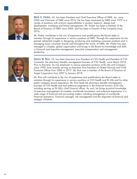

Mark G. Parker, 63, has been President and Chief Executive Officer of NIKE, Inc. since 2006 and Chairman of NIKE since 2016. He has been employed by NIKE since 1979 in a variety of positions with primary responsibilities in product research, design and development, marketing and brand management. Mr. Parker has been a member of the Board of Directors of NIKE since 2006, and has been a Director of the Company since 2016.

Mr. Parker contributes to the mix of experience and qualifications the Board seeks to maintain through his experience in various positions at NIKE. Through this experience he has gained substantial insights in designing, producing and marketing consumer products and in managing major consumer brands sold throughout the world. At NIKE, Mr. Parker has also managed a complex, global organization and brings to the Board his knowledge and skills in financial and executive management, executive compensation and management leadership.



Derica W. Rice, 53, has been Executive Vice President of CVS Health and President of CVS Caremark, the pharmacy benefits management business of CVS Health, since March 2018. Prior to that time, he was employed in various executive positions at Eli Lilly and Company since 1990, most recently serving as Executive Vice President of Global Services and Chief Financial Officer from 2006 to 2017. Mr. Rice was a member of the Board of Directors of Target Corporation from 2007 to January 2018.

Mr. Rice will contribute to the mix of experience and qualifications the Board seeks to maintain through his experience in various positions at CVS Health and Eli Lilly and his other public company board experience. Mr. Rice leads the pharmacy benefits management business of CVS Health and had extensive experience in the financial function at Eli Lilly, including serving as Eli Lilly's chief financial officer. As such, he brings practical knowledge of executive management of complex, worldwide businesses, and extensive experience in a wide range of financial and accounting matters including management of worldwide financial operations, financial oversight, risk management and the alignment of financial and strategic initiatives.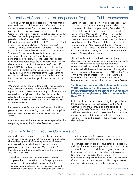# Ratification of Appointment of Independent Registered Public Accountants

The Audit Committee of the Board has concluded that the Disney intends to appoint PricewaterhouseCoopers LLP continued retention of PricewaterhouseCoopers LLP is in as New Disney's independent registered public the best interests of the Company and its shareholders accountants for the fiscal year ending September 28, and appointed PricewaterhouseCoopers LLP as the 2019. If the meeting held on March 7, 2019 is the Company's independent registered public accountants for 2019 Annual Meeting of New Disney stockholders, the fiscal year ending September 28, 2019. Services votes cast by shareholders of Disney in proxy or in provided to the Company and its subsidiaries by person will constitute instructions to Disney (as the sole PricewaterhouseCoopers LLP in fiscal 2018 are described shareholder of New Disney as of the Record Date) to under "Audit-Related Matters — Auditor Fees and *Services,''* above. PricewaterhouseCoopers LLP has been Meeting of New Disney. **Disney will in that case vote** the Company's external auditor continuously since 1938. **its shares of New Disney in proportion to the votes** The Audit Committee evaluates the independent **cast by Disney shareholders.** registered public accountant's qualifications,<br>performance, audit plan, fees and independence each<br>year, and considered these factors in connection with the<br>determination to appoint PricewaterhouseCoopers LLP for<br>fiscal 20 the lead audit partner every five years as required by the vote and will therefore have the effect of a negative<br>SEC rules, one or more members of the Audit Committee vote. If the meeting held on March 7, 2019 is the 2019<br> also meets with candidates for the lead audit partner and<br>the committee discusses the appointment before rotation<br>occurs. Disney may cast in respect of its shares of New Disney.

PricewaterhouseCoopers LLP as our independent<br>registered public accountants. Although ratification is not<br>required by our Bylaws or otherwise, the Board is<br>submitting the selection of PricewaterhouseCoopers LLP<br>submitting

Upon the closing of the transactions contemplated by the Merger Agreement, the Board of Directors of New

vote its shares of New Disney at the 2019 Annual

# We are asking our shareholders to ratify the selection of **The Board recommends that shareholders vote**<br>PricewaterhouseCoopers U.P. as our independent **The W.P. attification of the appointment of**

to our shareholders for ratification as a matter of good<br>
In the event shareholders do not ratify the appointment,<br>
the appointment will be reconsidered by the Audit Representatives of PricewaterhouseCoopers LLP will be<br>
present at the annual meeting to respond to appropriate<br>
questions and to make such statements as they may<br>
desire.<br>
during the year if it determines that such a chang would be in the best interests of the Company and our<br>shareholders.

# Advisory Vote on Executive Compensation

As we do each year, and as required by Section 14A the Compensation Discussion and Analysis, the of the Securities Exchange Act, we are seeking advisory compensation tables, and any related material). shareholder approval of the compensation of named<br>executive officers as disclosed in the section of this<br>proxy statement titled "Executive Compensation." a design that aims to align pay with both the attainment

executive officers, as disclosed pursuant to the compensation disclosure rules of the Securities and Exchange Commission (which disclosure shall include

Shareholders are being asked to vote on the following<br>advisory resolution:<br>advisory resolution:<br>by the following of annual operational and financial goals, which the<br>compensation Committee establishes, and sustained<br>long-t Resolved, that the shareholders advise that they compensation program is detailed in the *Compensation* approve the compensation of the Company's named *Discussion and Analysis* section of this proxy statement,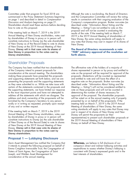Committee under that program for fiscal 2018 are Although the vote is non-binding, the Board of Directors summarized in the *Proxy Statement Summary* beginning and the Compensation Committee will review the voting<br>on page 1 and described in detail in Compensation results in connection with their ongoing evaluation of the *Discussion and Analysis* beginning on page 21. Company's compensation program. Broker non-votes (as<br>Shareholders should read these sections before deciding described under "Information About Voting and the Shareholders should read these sections before deciding how to vote on this proposal.

If the meeting held on March 7, 2019 is the 2019<br>
Annual Meeting of New Disney stockholders, votes cast<br>
by shareholders of Disney in proxy or in person will<br>
constitute instructions to Disney (as the sole shareholder<br>
of Disney. **Disney will in that case vote its shares of New Disney in proportion to the votes cast by Disney shareholders.**

# Shareholder Proposals

The Company has been notified that two shareholders The affirmative vote of the holders of a majority of making these proposals have presented the proposals proposals. Abstentions will be counted as represented and supporting statements set forth below, and we are and entitled to vote and will have the effect of a<br>presenting the proposals and the supporting statements aregative vote on the proposals. Broker non-votes (as presenting the proposals and the supporting statements as they were submitted to us. While we take issue with described under *''Information About Voting and the* certain of the statements contained in the proposals and *Meeting — Voting''*) will not be considered entitled to the supporting statements, we have limited our response vote on these proposals and will not be counted in to the most important points and have not attempted to determining the number of shares necessary for address all the statements with which we disagree. The approval of the proposal. The shareholder proposals address and stock ownership of the proponents will be will be voted on at the annual meeting only if properly furnished by the Company's Secretary to any person, presented by or on behalf of the proponents. If the orally or in writing as requested, promptly upon receipt meeting held on March 7, 2019 is the 2019 Annual of any oral or written request. Meeting of shareholders of New Disney, the same

If the meeting held on March 7, 2019 is the 2019<br>
Annual Meeting of New Disney stockholders, votes cast<br>
by shareholders of Disney in proxy or in person will<br>
constitute instructions to Disney (as the sole shareholder<br>
of Disney. **Disney will in that case vote its shares of New Disney in proportion to the votes cast by Disney shareholders.**

# **Proposal 1 — Lobbying Disclosure**

Zevin Asset Management has notified the Company that **Whereas,** we believe in full disclosure of our it intends to present the following proposal on behalf of company's direct and indirect lobbying activities and<br>Emma Creighton Irrevocable Trust, the Congregation of expenditures to assess whether Disney's lobbying is Sisters of Saint Agnes, the Congregation of Saint consistent with Disney's expressed goals and in the Joseph, and Walden Asset Management for consideration at the annual meeting.

results in connection with their ongoing evaluation of the Meeting — Voting'') are not entitled to vote on this

### **The Board of Directors recommends a vote ''FOR'' advisory approval of the resolution set forth above.**

of the Company intend to present proposals for shares represented in person or by proxy and entitled to consideration at the annual meeting. The shareholders vote on the proposal will be required for approval of the vote on the proposal will be required for approval of the

expenditures to assess whether Disney's lobbying is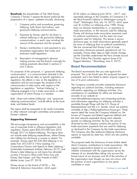**Resolved,** the shareholders of The Walt Disney  $$132$  million on lobbying from 2010 -2017, and Company (''Disney'') request the Board authorize the reportedly belongs to the Chamber of Commerce (''Is

- 
- 
- 
- 4. Description of management's decision (''Paris Pullout Pits Chamber against Some of lts making payments described in sections 2 and 3 above. **Board Recommendation**

For purposes of this proposal, a ''grassroots lobbying The Board recommends that you vote against this regulation, (b) reflects a view on the legislation or any of its prior submissions.

lobbying communications" include efforts at the local, and information regarding our lobbying activities is state, and federal levels. **and the state of the state of the U.S.** House of

use of corporate funds to influence legislation and<br>regulation. Disney spent \$30,235,000 from 2010 as disclosed to the Company by the trade associations.<br>through 2017 on federal lobbying. This figure does The Company also

Disney serves on the board of NCTA - The candidate or issue. Internet & Television Association, which spent

preparation of a report, updated annually, disclosing: the Most Powerful Lobbyist in Washington Losing Its<br>Grip?'' Washington Post, July 14, 2017), which spent 1. Company policy and procedures governing over \$1.4 billion on lobbying since 1998. Disney lobbying, both direct and indirect, and grassroots lobbying communications. trade associations, or the amounts used for lobbying. 2. Payments by Disney used for (a) direct or<br>indirect lobbying or (b) grassroots lobbying<br>communications, in each case including the<br>amount of the payment and the recipient.<br>This leaves a serious<br>for lobbying. This leaves 3. Disney's membership in and payments to any We are concerned that Disney's lack of trade<br>tox-exempt organization that writes and association disclosure presents reputational risk. For tax-exempt organization that writes and<br>endorses model legislation.<br>endorses model legislation.<br>example, Disney takes steps to fight climate change,<br>vet the Chamber undermined the Paris climate accord making process and the Board's oversight for Biggest Members," Bloomberg, June 9, 2017).

communication'' is a communication directed to the proposal. This is the fourth year this proposal has been general public that (a) refers to specific legislation or presented, and it has failed to obtain majority support in

regulation and (c) encourages the recipient of the<br>communication to take action with respect to the<br>legislation or regulation. "Indirect lobbying" is<br>lobbying engaged in by a trade association or other<br>organization of whic Both ''direct and indirect lobbying'' and ''grassroots *www.thewaltdisneycompany.com/citizenship/policies*, The report shall be presented to the Audit Committee Representatives and the U.S. Senate, which are publicly<br>or other relevant oversight committees and posted on a reports detail the issues the Company lobbied on the or other relevant oversight committees and posted on reports detail the issues the Company lobbied on, the Disney's website.<br>Disney's website. houses of Congress and federal agencies lobbied and the total amounts expended during each calendar **Supporting Statement** quarter on lobbying activities. By law, the amount We encourage transparency and accountability in the disclosed by the Company contains the portion of any use of corporate funds to influence legislation and trade association payments that are used for lobbying

example, Disney spent \$3,330,584 lobbying in six<br>states from 2012-2015 ("How Leading U.S. Corporations Govern and Spend on State Lobbying," sustainable Investments Institute, February 2017), and<br>Sustainable Investments Ins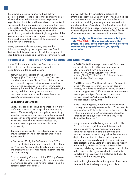For example, as a Company, we have actively political activities by compelling disclosure of promoted practices and policies that address the risks of information about the Company's priorities and methods climate change. We may nevertheless support an to the advantage of our adversaries on policy issues organization that takes a different view on this matter if and without providing meaningful new information to we conclude the organization plays an important role in our shareholders. Accordingly, the Board believes that<br>other matters that we believe support shareholder value. The adoption of the proposal would effectively create other matters that we believe support shareholder value. We believe that focusing on specific views of a unequal playing field, making it more difficult for the particular organization is misleadingly suggestive of the Company to protect the interests of its shareholders. control we exercise over such organizations and distorts the overall benefit that support of the organization may have for our shareholders.

Many companies do not currently disclose the information sought by the proposal and the Board believes that the proposal would put the Company at a disadvantage in advancing shareholder interests through

**Accordingly, the Board recommends that you vote this proposal, and if the ''AGAINST''proposal is presented your proxy will be voted against this proposal unless you specify otherwise.**

#### **Proposal 2 — Report on Cyber Security and Data Privacy**

James McRitchie has notified the Company that he A 2018 White House report estimated, "malicious intends to present the following proposal for example to provide activity cost the U.S. economy between consideration at the annual meeting. \$57 billion and \$109 billion in 2016.''

RESOLVED: Shareholders of The Walt Disney<br>
Company (the "Company" or "Disney") ask our<br>
board of directors (the "Board") to publish a report<br>
ploads/2018/03/The-Cost-of-Malicious-Cyber-<br>
Activity-to-the-U.S.-Economy.pdf) (at reasonable expense, within a reasonable time, A 2018 survey of 9,500 executives in 122 countries and omitting confidential or propriety information) found 44% have no overall information security<br>assessing the feasibility of integrating additional cyber strategy, 48% have no employee security awareness assessing the feasibility of integrating additional cyber security and data privacy metrics into the training program and 54% have no incident response performance measures of senior executives under plan in place. (https://www.pwc.com/us/en/<br>Disney's compensation incentive plans. services/consulting/cybersecurity/library/inf

metrics. Cyber security and data privacy are vitally<br>important issues for Disney and should be integrated<br>as appropriate into senior executive compensation to<br>incentivize leadership to reduce needless risk,<br>incentivize lea enhance financial performance, and increase Many consumers dislike being tracked and profiled. accountability. As a result some regulators have taken action to

Prior to becoming Chairman of the SEC, Jay Clayton security is tied to executive pay. wrote, "cyber-threats are among the most urgent risk<br>to America's economic and national security and the helpertainment industry an image problem.<br>personal safety of its citizens."

services/consulting/cybersecurity/library/inf ormation-security-survey.html) **Supporting Statement:**

Disney links senior executive compensation to various<br>performance metrics, including information security<br>metrics. Cyber security and data privacy are vitally<br>metrics. Cyber security and data privacy are vitally<br>strikes a

Rewarding executives for risk mitigation as well as<br>growth generation will better position Disney as a<br>trusted brand. the depth of information it collects, including about<br>depth of information it collects, including about In September 2017, the Co-Director of the SEC's<br>
Enforcement Division announced creation of a "Cyber<br>
Unit" stating, "Cyber-related threats and misconduct<br>
are among the greatest risks facing investors and the<br>
securities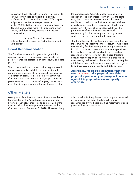Consumers have little faith in the industry's ability to the Compensation Committee believes promote the safeguard their data or respect their privacy creation of long-term shareholder value. At the same preferences. (https://deadline.com/2017/11/pwc- time, the program incorporates a consideration of netflix-1202198988/) Since risks are significant, our awards, which includes an assessment of individual<br>Board should explore more fully integrating cyber executives' fulfillment of direct responsibilities. The Board should explore more fully integrating cyber security and data privacy metrics into executive performance of an individual executive with compensation. responsibility for data security and privacy matters

to address risks to data security and data privacy. The proposal calls for a report addressing additional executives incorporates broad financial measures that

Other Matters

be presented at the Annual Meeting, and Company at the meeting, the proxy holders will vote as meeting unless they were properly presented to the given, in their own discretion. Company prior to December 8, 2018. However, if any

hollywood-cyberattacks-sony-pictures-hbo- non-financial performance factors in setting individual would already be considered in this context. Increase Shareholder Value:

Vote for Proposal 2 Report on Cyber Security and The Board believes this is the correct approach. It allows Data Privacy **the Committee to incentivize those executives with direct** responsibility for data security and data privacy on an **Board Recommendation** individual basis, and does not put undue emphasis on these matters for executives who do not have direct<br>responsibility for these matters. The Board therefore The Board recommends that you vote against this responsibility for these matters. The Board therefore proposal because it is unnecessary and would not promote enhanced protection of data security and data unnecessary, and

use of data security and data privacy metrics in the **Accordingly, the Board recommends that you**<br>performance measures of senior executives under our<br>compensation plans. As described more fully in the **proposal is presente** vote "AGAINST" this proposal, and if the

Management is not aware of any other matters that will other question that requires a vote is properly presented Bylaws do not allow proposals to be presented at the recommended by the Board or, if no recommendation is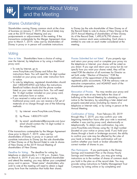## Shares Outstanding

Shareholders owning Disney common stock at the close to Disney (as the sole shareholder of New Disney as of of business on January 7, 2019, (the record date) may the Record Date) to vote its shares of New Disney at the vote at the 2019 Annual Meeting and any 2019 Annual Meeting of shareholders of New Disney.<br>
postponements or adjournments of the meeting. If the As of the Record Date, 1,490,678,790 shares of transactions contemplate by the Merger Agreement close Disney common stock were outstanding. Each share is<br>prior to March 7, 2019, votes cast by shareholders of entitled to one vote on each matter considered at the prior to March 7, 2019, votes cast by shareholders of Disney in proxy or in person will constitute instructions meeting.

As of the Record Date, 1,490,678,790 shares of

21DEC201818175972

# **Voting**

over the Internet, by telephone or by using a traditional and return your proxy card or complete your proxy via<br>the telephone or Internet, your shares will be voted as *How to Vote.* Shareholders have a choice of voting

- 
- 
- materials at no charge through one of the following properly executed proxy (including by means of a
	- 1) by internet: www.ProxyVote.com/Disney
	-
	-

constitute instructions to Disney (as the sole shareholder your bank or broker and the contirmation will not<br>of New Disney as of the Record Datel to yote its shares confirm whether your bank or broker allocated the of New Disney as of the Record Date) to vote its shares confirm whether your bank or bro<br>of New Disney at the 2019 Annual Meeting of correct number of shares to you. of New Disney at the 2019 Annual Meeting of shareholders of New Disney.

Deadline for Voting. The deadline for voting by<br>
telephone or electronically is 11:59 p.m., Eastern Time,<br>
on March 6, 2019. If you are a registered shareholder<br>
and attend the meeting, you may deliver your completed<br>
you and aftend the meeting, you may deliver your completed<br>proxy card in person. "Street name" shareholders who<br>wish to vote at the meeting will need to obtain a legal<br>proxy form from the institution that holds their shares.<br>p *Deadline for Voting.*

Proxies Submitted but not Voted. If you properly sign the telephone or Internet, your shares will be voted as you direct. If you sign and return your proxy but do not • To vote by Internet, go to<br>
www.ProxyVote.com/Disney and follow the<br>
instructions there. You will need the 16 digit number<br>
instructions there. You will need the 16 digit number<br>
included on your proxy card, voter instru

listed on your voter instruction form. You will need<br>the 16 digit number included on your proxy card,<br>voter instruction form or notice.<br>• If you received a notice and wish to vote by<br>traditional proxy card, you can receive methods: the energy interest of the readings of telephone or Internet vote), or by voting in person at the Annual Meeting. *Revocation of Proxies.*

2) by Phone: 1-800-579-1639 through May 7, 2019, you may confirm your vote 3) by email: sendmaterial@proxyvote.com (your beginning twenty-four hours after your vote is received,<br>email should contain the 16 digit number in the subject line).<br>the subject line).<br>www.ProxyVote.com/Disney using the 16 If the transactions contemplate by the Merger Agreement (located on your notice or proxy card). If you hold your<br>close prior to March 7, 2019, votes cast by<br>shareholders of Disney in proxy or in person will<br>confirm your vo *Confirmation of Voting.*

*Plan Participants.* If you participate in the Disney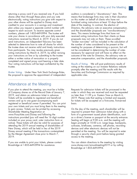returning a proxy card if you received one. If you hold auditors is considered a ''discretionary'' item. This shares other than through these plans and you vote means that brokerage firms may vote in their discretion electronically, voting instructions you give with respect to on this matter on behalf of clients who have not electronically, voting instructions you give with respect to your other shares will be applied to Disney stock furnished voting instructions at least 10 days before the credited to your accounts in a savings and investment date of the meeting. In contrast, the election of<br>plan unless you request a separate control number with Directors, the advisory vote on executive compensation, plan unless you request a separate control number with respect to each account. To receive separate control and the shareholder proposals are "non-discretionary"<br>
numbers, please call 1-855-449-0994. The trustee will items. This means brokerage firms that have not numbers, please call 1-855-449-0994. The trustee will vote your shares in accordance with your duly executed received voting instructions from their clients on these instructions received by March 4, 2019. If you do not proposals may not vote on them. These so-called send instructions, an independent fiduciary has been 'throker non-votes'' will be included in the calculation of selected to determine how to vote all shares for which the number of votes considered to be present at the the trustee does not receive valid and timely instructions meeting for purposes of determining a quorum, but will from participants. You may revoke previously given hot be considered in determining the number of votes<br>voting instructions by March 4, 2019, by either revising ecessary for approval and will have no effect on the voting instructions by March 4, 2019, by either revising your instructions on line or by submitting to the trustee outcome of the vote for Directors, the advisory vote on either a written notice of revocation or a properly executive compensation, and the shareholder proposals. completed and signed proxy card bearing a later date. Your voting instructions will be kept confidential by the trustee. voting at the meeting on our Investor Relations website

the proposal to approve the appointment of independent applicable rules. *Broker Voting.*

promptly after the meeting and file results with the Securities and Exchange Commission as required by *Results of Voting.*

# Attendance at the Meeting

If you plan to attend the meeting, you must be a holder Requests for admission tickets will be processed in the of Company shares as of the Record Date of January 7, order in which they are received and must be requested 2019, and obtain an admission ticket in advance. no later than 11:59 p.m. Eastern Time on March 6, Tickets will be available to registered and beneficial 2019. Please note that seating is limited and requests owners and up to one guest accompanying each for tickets will be accepted on a first-come, first-served registered or beneficial owner if permitted. You can print basis. your own tickets and you must bring them to the meeting to gain access. Tickets can be printed by accessing On the day of the meeting, each shareholder will be Shareholder Meeting Registration at The Registration at required to present their admission ticket along with a www.ProxyVote.com/Disney and following the **form** of a government issued photo identification, such instructions provided (you will need the 16 digit number as a driver's license or passport at the security entrance. included on your proxy card, voter instruction form or Seating will begin at 9:00 a.m. and the meeting will notice). These tickets will also be valid for purposes of begin promptly at 10:00 a.m. Large bags, backpacks, attending the 2019 annual meeting of shareholders of suitcases, briefcases, cameras, cell phones, recording New Disney, which will be held in lieu of the 2019 devices and other electronic devices will not be<br>Disney annual meeting if the transactions contemplated permitted at the meeting. You will be required to enter Disney annual meeting if the transactions contemplated by the Merger Agreement close prior to March 7, through a security check point before being granted 2019.

If you are unable to print your tickets, please contact You can obtain directions to the meeting by visiting Broadridge at 1-855-449-0994 for assistance. www.disney.com/annualmeeting2019 or by calling

Broadridge at 1-855-449-0994.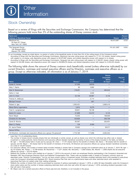

# Stock Ownership

Based on a review of filings with the Securities and Exchange Commission, the Company has determined that the following persons hold more than 5% of the outstanding shares of Disney common stock.

21DEC201818175598

| Name and<br><b>Address of Beneficial Owner</b>                         | <b>Shares</b>            | Percent<br>of Class |
|------------------------------------------------------------------------|--------------------------|---------------------|
| Blackrock Inc<br>55 East 52 <sup>nd</sup> Street<br>New York, NY 10055 | 93.072.6871              | 6.2%                |
| The Vanguard Group<br>100 Vanguard Blvd.<br>Malvern, PA 19355          | 101,521,300 <sup>2</sup> | 6.8%                |

To our knowledge, except as noted above, no person or entity is the beneficial owner of more than 5% of the voting power of the Company's stock.

According to filings with the Securities and Exchange Commission, Blackrock has sole voting power with respect to 77,741,124 shares, shared voting power

with respect to no shares, sole dispositive power with respect to 93,072,687 shares, and shared dispositive power with respect to no shares. <sup>2</sup> According to filings with the Securities and Exchange Commission, Vanguard has sole voting power with respect to 2,166,557 shares, shared voting power with respect to 342,582 shares, sole dispositive power with respect to 99,068,076 shares, and shared dispositive power with respect to 2,453,224 shares.

The following table shows the amount of Disney common stock beneficially owned (unless otherwise indicated) by our current Directors, nominees and named executive officers and by Directors, nominees and executive officers as a group. Except as otherwise indicated, all information is as of January 7, 2019.

|                                                                                     |                       | <b>Stock</b> | <b>Shares</b><br>Acquirable<br><b>Within</b> | Percent<br>of |
|-------------------------------------------------------------------------------------|-----------------------|--------------|----------------------------------------------|---------------|
| <b>Name</b>                                                                         | Shares <sup>1,2</sup> | Units $3$    | 60 Days <sup>4</sup>                         | <b>Class</b>  |
| Susan E. Arnold                                                                     | 27,336                | 18,816       | –                                            | $\star$       |
| Mary T. Barra                                                                       | 80                    | 3,892        |                                              | $\star$       |
| Alan N. Braverman                                                                   | 118,261               |              | 362,942                                      | $\star$       |
| Safra A. Catz                                                                       |                       | 2,630        |                                              | $\star$       |
| John S. Chen                                                                        | 52,106                | 28,887       | 6,143                                        | $\star$       |
| Francis A. deSouza                                                                  |                       | 2,114        | —                                            | $\star$       |
| Michael Froman                                                                      |                       | 827          |                                              | $\star$       |
| Robert A. Iger                                                                      | 1,205,451             |              | 2,663,415                                    | $\star$       |
| Maria Elena Lagomasino                                                              | 2,815                 | 9,279        |                                              | $\star$       |
| Fred H. Langhammer                                                                  | 29,921                | 18,738       |                                              | $\star$       |
| Aylwin B. Lewis                                                                     | 61,868                | 24,273       | 6,143                                        | $\star$       |
| Kevin Mayer                                                                         | 74,555                |              | 196,600                                      | $\star$       |
| Christine M. McCarthy                                                               | 140,903               |              | 293,709                                      | $\star$       |
| Zenia B. Mucha                                                                      | 60,397                |              | 202,631                                      | $\star$       |
| Mark G. Parker                                                                      | 129                   | 8,500        | –                                            | $\star$       |
| M. Jayne Parker                                                                     | 19,902                |              | 59,571                                       | $\star$       |
| Derica W.Rice                                                                       |                       |              |                                              | $\star$       |
| All Directors, nominees and executive officers as a group (16 persons) <sup>5</sup> | 1,719,169             | 117,956      | 3,594,554                                    | $\star$       |

Less than 1% of outstanding shares.

The number of shares shown includes shares that are individually or jointly owned, as well as shares over which the individual has either sole or shared investment or voting authority. Some Directors and executive officers disclaim beneficial ownership of some of the shares included in the table, as follows: Mr. Iger - 107,056 shares held in trusts and by spouse; Mr. Chen - 17,737 shares held for the benefit of children; Ms. Barra - 80 shares held for benefit of spouse; and Mr. Mayer - 65 shares held for the benefit of members of his family. All Directors and executive officers as a group disclaim beneficial ownership of a total of 124,873 shares.

For executive officers, the number of shares listed includes interests in shares held in Company savings and investment plans as of January 7, 2019: Mr. Iger -20,144 shares; Ms. Parker - 13,769 shares; Mr. Braverman - 11,871 shares; Ms. McCarthy - 3,926 shares; Ms. Mucha - 2,609 shares and all executive officers as a group — 52,319 shares.

<sup>3</sup> Reflects the number of stock units credited as of January 7, 2019 to the account of each non-employee Director participating in the Company's Amended and Restated 1997 Non-Employee Directors Stock and Deferred Compensation Plan. These units are payable solely in shares of Company common stock as described under ''*Director Compensation*,'' but do not have current voting or investment power. Excludes unvested restricted stock units awarded to executives under the Company's Amended and Restated 2011 Stock Incentive Plan that vest on a performance basis and other restricted stock units awarded to executives that have not vested under their vesting schedules.

Reflects the number of shares that could be purchased by exercise of options exercisable at January 7, 2019, or within 60 days thereafter under the Company's stock option plans and the number of shares underlying restricted stock units that vest within 60 days of January 7, 2019, excluding dividend equivalent units that will vest in that period.

<sup>5</sup> Mr. Mayer was not a named executive officer at fiscal year-end and, therefore, is not included in the group.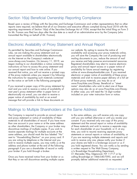## Section 16(a) Beneficial Ownership Reporting Compliance

Based upon a review of filings with the Securities and Exchange Commission and written representations that no other reports were required, we believe that all of our Directors and executive officers complied during fiscal 2018 with the reporting requirements of Section 16(a) of the Securities Exchange Act of 1934, except that the initial filing on Form 3 for Mr. Froman was filed two days after the due date as a result of an administrative error by the Company (who transmitted the filing on behalf of Mr. Froman).

### Electronic Availability of Proxy Statement and Annual Report

As permitted by Securities and Exchange Commission our website. By opting to receive the notice of rules, we are making this proxy statement and our availability and accessing your proxy materials online, annual report available to shareholders electronically you will save the Company the cost of producing and via the Internet on the Company's website at mailing documents to you, reduce the amount of mail *www.disney.com/investors*. On January 11, 2019, we you receive and help preserve environmental resources. began mailing to our shareholders a notice containing Registered shareholders may elect to receive electronic instructions on how to access this proxy statement and proxy and annual report access or a paper notice of our annual report and how to vote online. If you availability for future annual meetings by registering received that notice, you will not receive a printed copy online at *www.disneyshareholder.com*. If you received of the proxy materials unless you request it by following on the notice or set forth in the following paragraph. of future proxy materials, you may do so at

If you received a paper copy of this proxy statement by name'' shareholders who wish to elect one of these mail and you wish to receive a notice of availability of options may also do so at *www.ProxyVote.com/Disney*. next year's proxy statement either in paper form or In either case, you will need the 16 digit number electronically via e-mail, you can elect to receive a included on your voter instruction form or notice. paper notice of availability by mail or an e-mail message that will provide a link to these documents on

the instructions for requesting such materials contained materials and wish to receive paper delivery of a full set *www.ProxyVote.com/Disney*. Beneficial or ''street

# Mailings to Multiple Shareholders at the Same Address

The Company is required to provide an annual report to the same address, you will receive only one copy and proxy statement or notice of availability of these until you are notified otherwise or until you revoke your materials to all shareholders of record. If you have more consent. If you received only one copy of this proxy than one account in your name or at the same address statement and the annual report or notice of availability as other shareholders, the Company or your broker may of these materials and wish to receive a separate copy discontinue mailings of multiple copies. If you wish to for each shareholder at your household, or if, at any receive separate mailings for multiple accounts at the time, you wish to resume receiving separate proxy<br>same address, you should mark the box labeled "No" statements or annual reports or notices of availability, or same address, you should mark the box labeled "No" next to "Householding Election" on your proxy card. If if you are receiving multiple statements and reports and you are voting by telephone or the Internet and you wish to receive only one, please notify your broker if wish to receive multiple copies, you may notify us at the your shares are held in a brokerage account or us if paragraph if you are a shareholder of record or notify a written request to The Walt Disney Company, your broker if you hold through a broker. can come controller providing Department,

Once you have received notice from your broker or us that they or we will discontinue sending multiple copies promptly deliver additional materials as requested.

address and phone number at the end of the following you hold registered shares. You can notify us by sending 51 Mercedes Way, Edgewood, NY 11717 or by<br>calling Broadridge at 1-866-540-7095, and we will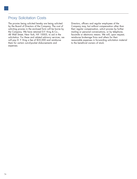# Proxy Solicitation Costs

The proxies being solicited hereby are being solicited Directors, officers and regular employees of the by the Board of Directors of the Company. The cost of Company may, but without compensation other than soliciting proxies in the enclosed form will be borne by their regular compensation, solicit proxies by further soliciting proxies in the enclosed form will be borne by the Company. We have retained D.F. King & Co., mailing or personal conversations, or by telephone, 48 Wall Street, New York, NY 10005, to aid in the facsimile or electronic means. We will, upon request, solicitation. For these and related advisory services, we reimburse brokerage firms and others for their solicitation. For these and related advisory services, we will pay D. F. King a fee of \$35,000 and reimburse reasonable expenses in forwarding solicitation material<br>them for certain out-of-pocket disbursements and to the beneficial owners of stock. them for certain out-of-pocket disbursements and expenses.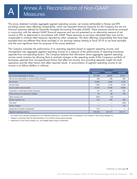This proxy statement includes aggregate segment operating income, net income attributable to Disney and EPS excluding certain items affecting comparability, which are important financial measures for the Company but are not financial measures defined by Generally Accepted Accounting Principles (GAAP). These measures should be reviewed in conjunction with the relevant GAAP financial measures and are not presented as an alternative measure of net income or EPS as determined in accordance with GAAP. These measures as we have calculated them may not be comparable to similarly titled measures reported by other companies. The items affecting comparability that have been excluded here are different than those excluded in our earnings release relating to fiscal 2018 as we have excluded only the most significant items for purposes of this proxy statement.

The Company evaluates the performance of its operating segments based on segment operating income, and management uses aggregate segment operating income as a measure of the performance of operating businesses separate from non-operating factors. The Company believes that information about aggregate segment operating income assists investors by allowing them to evaluate changes in the operating results of the Company's portfolio of businesses separate from non-operational factors that affect net income, thus providing separate insight into both operations and the other factors that affect reported results. A reconciliation of segment operating income to net income is as follows (dollars in millions):

|                                                     |           | <b>Year Ended</b> |           |
|-----------------------------------------------------|-----------|-------------------|-----------|
|                                                     | 9/29/2018 | 9/30/2017         | 10/1/2016 |
| Net income attributable to Disney                   | \$12,598  | \$8,980           | \$9,391   |
| Net income attributable to noncontrolling interests | 468       | 386               | 399       |
| Net income                                          | 13,066    | 9,366             | 9,790     |
| Income taxes                                        | 1,663     | 4,422             | 5,078     |
| Income before income taxes                          | 14,729    | 13,788            | 14,868    |
| Corporate & unallocated shared expenses             | 761       | 582               | 640       |
| Restructuring and impairment charges                | 33        | 98                | 156       |
| Other income, net                                   | (601)     | (78)              |           |
| Interest expense, net                               | 574       | 385               | 260       |
| Vice $Gain1$                                        |           |                   | (332)     |
| Infinity Charge <sup>2</sup>                        |           |                   | 129       |
| Impairment of Equity Investments <sup>3</sup>       | 210       |                   |           |
| Segment operating income                            | \$15,706  | \$14,775          | \$15,721  |

Our share of the net gain recognized by A+E Television Networks in connection with an acquisition of an interest in Vice Group Holding, Inc.

Charge in connection with the discontinuation of our Infinity console game business.

Impairment of Vice Group Holding, Inc. and Villages Nature equity investments.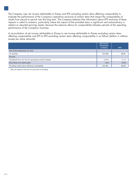The Company uses net income attributable to Disney and EPS excluding certain items affecting comparability to evaluate the performance of the Company's operations exclusive of certain items that impact the comparability of results from period to period over the long term. The Company believes that information about EPS exclusive of these impacts is useful to investors, particularly where the impact of the excluded items is significant and extraordinary in relation to reported earnings trends, because the measure allows for comparability between periods of the operating performance of the Company's business.

A reconciliation of net income attributable to Disney to net income attributable to Disney excluding certain items affecting comparability and EPS to EPS excluding certain items affecting comparability is as follows (dollars in millions except per share amounts):

|                                                            | Net Income<br>Attributable<br>to Disney | <b>EPS</b> |
|------------------------------------------------------------|-----------------------------------------|------------|
| Year Ended September 29, 2018                              |                                         |            |
| As reported                                                | \$12,598                                | \$8.36     |
| Exclude:                                                   |                                         |            |
| Net Benefit from the Tax Act (excluding minority interest) | (1,671)                                 | (1.11)     |
| Real Estate and related gains                              | (443)                                   | (0.30)     |
| Excluding certain items affecting comparability            | \$10,484                                | \$6.961    |

<sup>1</sup> May not equal to the sum of rows due to rounding.